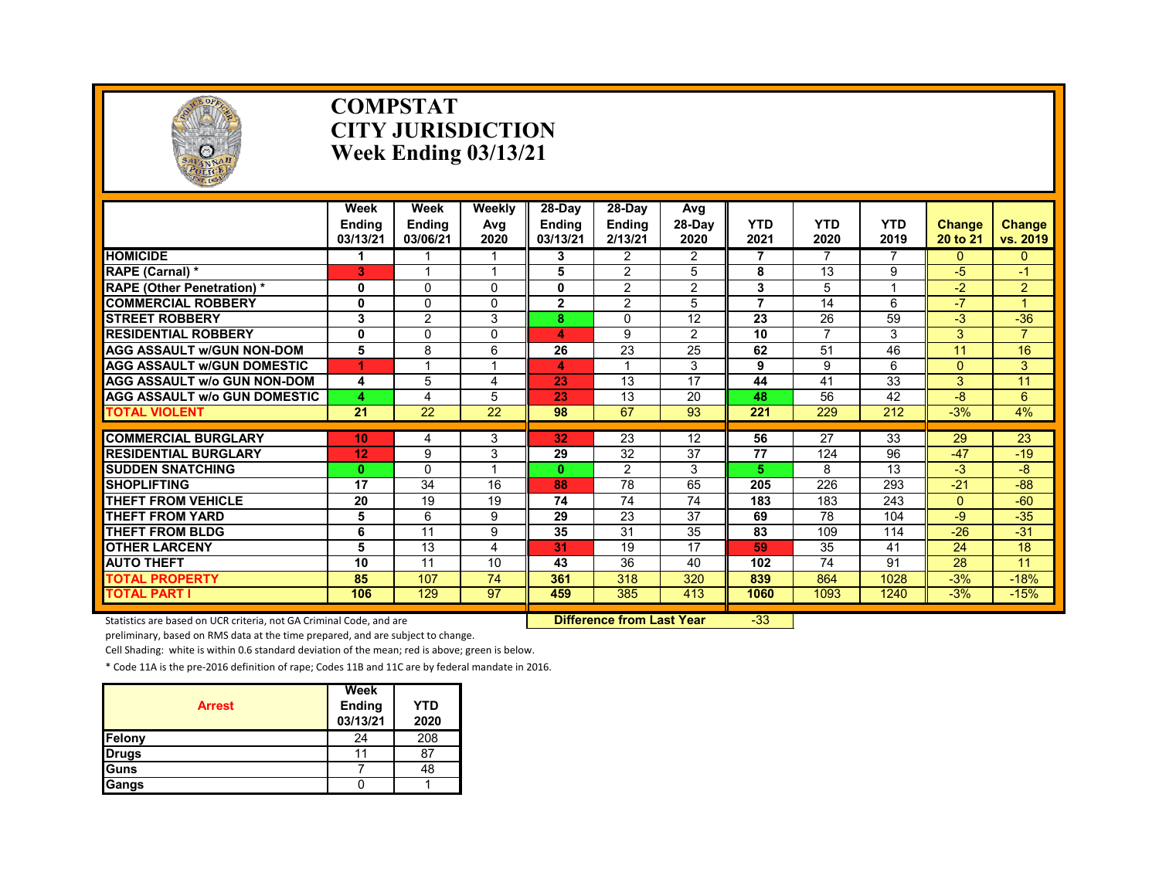

#### **COMPSTAT CITY JURISDICTION Week Ending 03/13/21**

|                                     | Week<br><b>Endina</b><br>03/13/21 | Week<br><b>Ending</b><br>03/06/21 | Weekly<br>Avg<br>2020 | $28-Dav$<br><b>Endina</b><br>03/13/21 | 28-Day<br><b>Ending</b><br>2/13/21 | Avg<br>28-Day<br>2020 | <b>YTD</b><br>2021 | <b>YTD</b><br>2020 | <b>YTD</b><br>2019 | <b>Change</b><br>20 to 21 | <b>Change</b><br>vs. 2019 |
|-------------------------------------|-----------------------------------|-----------------------------------|-----------------------|---------------------------------------|------------------------------------|-----------------------|--------------------|--------------------|--------------------|---------------------------|---------------------------|
| <b>HOMICIDE</b>                     |                                   |                                   |                       | 3                                     | $\overline{2}$                     | $\overline{2}$        | 7                  | 7                  | 7                  | $\Omega$                  | $\mathbf{0}$              |
| RAPE (Carnal) *                     | 3                                 |                                   |                       | 5                                     | $\overline{2}$                     | 5                     | 8                  | 13                 | 9                  | $-5$                      | $-1$                      |
| <b>RAPE (Other Penetration) *</b>   | 0                                 | $\Omega$                          | $\Omega$              | 0                                     | $\overline{2}$                     | $\overline{2}$        | 3                  | 5                  |                    | $-2$                      | $\overline{2}$            |
| <b>COMMERCIAL ROBBERY</b>           | 0                                 | 0                                 | $\Omega$              | $\mathbf{2}$                          | $\overline{2}$                     | 5                     | $\overline{7}$     | 14                 | 6                  | $-7$                      |                           |
| <b>STREET ROBBERY</b>               | 3                                 | $\overline{2}$                    | 3                     | 8                                     | 0                                  | 12                    | 23                 | 26                 | 59                 | $-3$                      | $-36$                     |
| <b>RESIDENTIAL ROBBERY</b>          | 0                                 | 0                                 | $\Omega$              | 4                                     | 9                                  | $\overline{2}$        | 10                 | 7                  | 3                  | 3                         | $\overline{7}$            |
| <b>AGG ASSAULT W/GUN NON-DOM</b>    | 5                                 | 8                                 | 6                     | 26                                    | 23                                 | 25                    | 62                 | 51                 | 46                 | 11                        | 16                        |
| <b>AGG ASSAULT W/GUN DOMESTIC</b>   | 1                                 |                                   |                       | 4                                     |                                    | 3                     | 9                  | 9                  | 6                  | $\overline{0}$            | 3                         |
| <b>AGG ASSAULT w/o GUN NON-DOM</b>  | 4                                 | 5                                 | 4                     | 23                                    | 13                                 | 17                    | 44                 | 41                 | 33                 | 3                         | 11                        |
| <b>AGG ASSAULT W/o GUN DOMESTIC</b> | 4                                 | 4                                 | 5                     | 23                                    | 13                                 | 20                    | 48                 | 56                 | 42                 | $-8$                      | 6                         |
| <b>TOTAL VIOLENT</b>                | 21                                | 22                                | 22                    | 98                                    | 67                                 | 93                    | 221                | 229                | 212                | $-3%$                     | 4%                        |
|                                     |                                   |                                   |                       |                                       |                                    |                       |                    |                    |                    |                           |                           |
| <b>COMMERCIAL BURGLARY</b>          | 10                                | 4                                 | 3                     | 32                                    | 23                                 | 12                    | 56                 | 27                 | 33                 | 29                        | 23                        |
| <b>RESIDENTIAL BURGLARY</b>         | 12                                | 9                                 | 3                     | 29                                    | 32                                 | 37                    | 77                 | 124                | 96                 | $-47$                     | $-19$                     |
| <b>SUDDEN SNATCHING</b>             | $\mathbf{0}$                      | 0                                 |                       | $\mathbf{0}$                          | 2                                  | 3                     | 5                  | 8                  | 13                 | $-3$                      | -8                        |
| <b>SHOPLIFTING</b>                  | 17                                | 34                                | 16                    | 88                                    | 78                                 | 65                    | 205                | 226                | 293                | $-21$                     | $-88-$                    |
| <b>THEFT FROM VEHICLE</b>           | 20                                | 19                                | 19                    | 74                                    | 74                                 | 74                    | 183                | 183                | 243                | $\Omega$                  | $-60$                     |
| <b>THEFT FROM YARD</b>              | 5                                 | 6                                 | 9                     | 29                                    | 23                                 | 37                    | 69                 | 78                 | 104                | $-9$                      | $-35$                     |
| THEFT FROM BLDG                     | 6                                 | 11                                | 9                     | 35                                    | 31                                 | 35                    | 83                 | 109                | 114                | $-26$                     | $-31$                     |
| <b>OTHER LARCENY</b>                | 5                                 | 13                                | 4                     | 31                                    | 19                                 | 17                    | 59                 | 35                 | 41                 | 24                        | 18                        |
| <b>AUTO THEFT</b>                   | 10                                | 11                                | 10                    | 43                                    | 36                                 | 40                    | 102                | 74                 | 91                 | 28                        | 11                        |
| <b>TOTAL PROPERTY</b>               | 85                                | 107                               | 74                    | 361                                   | 318                                | 320                   | 839                | 864                | 1028               | $-3%$                     | $-18%$                    |
| <b>TOTAL PART I</b>                 | 106                               | 129                               | 97                    | 459                                   | 385                                | 413                   | 1060               | 1093               | 1240               | $-3%$                     | $-15%$                    |

Statistics are based on UCR criteria, not GA Criminal Code, and are **Difference from Last Year** -33

preliminary, based on RMS data at the time prepared, and are subject to change.

Cell Shading: white is within 0.6 standard deviation of the mean; red is above; green is below.

| <b>Arrest</b> | Week<br>Ending<br>03/13/21 | YTD<br>2020 |
|---------------|----------------------------|-------------|
| Felony        | 24                         | 208         |
| <b>Drugs</b>  |                            | 87          |
| Guns          |                            | 48          |
| <b>Gangs</b>  |                            |             |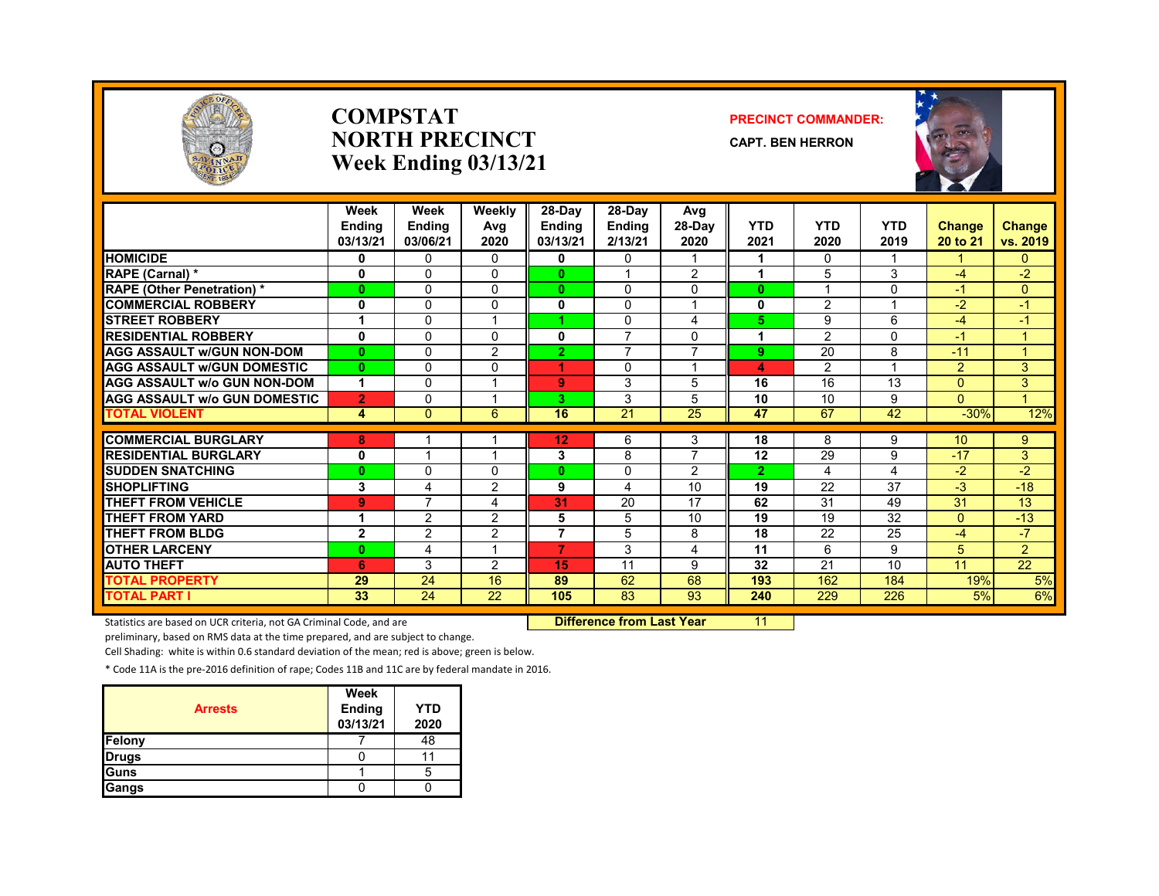

#### **COMPSTATNORTH PRECINCTWeek Ending 03/13/21**

#### **PRECINCT COMMANDER:**

**CAPT. BEN HERRON**



|                                     | Week<br><b>Ending</b><br>03/13/21 | Week<br><b>Endina</b><br>03/06/21 | Weekly<br>Avg<br>2020 | 28-Day<br><b>Ending</b><br>03/13/21 | 28-Day<br><b>Ending</b><br>2/13/21 | Avg<br>$28-Dav$<br>2020 | <b>YTD</b><br>2021 | <b>YTD</b><br>2020 | <b>YTD</b><br>2019 | Change<br>20 to 21 | <b>Change</b><br>vs. 2019 |
|-------------------------------------|-----------------------------------|-----------------------------------|-----------------------|-------------------------------------|------------------------------------|-------------------------|--------------------|--------------------|--------------------|--------------------|---------------------------|
| <b>HOMICIDE</b>                     | 0                                 | $\mathbf{0}$                      | $\Omega$              | 0                                   | 0                                  |                         | 1                  | $\mathbf{0}$       |                    |                    | $\overline{0}$            |
| RAPE (Carnal) *                     | 0                                 | $\Omega$                          | 0                     | 0                                   |                                    | 2                       | 1                  | 5                  | 3                  | $-4$               | $-2$                      |
| <b>RAPE (Other Penetration) *</b>   | $\bf{0}$                          | 0                                 | 0                     | $\bf{0}$                            | 0                                  | $\Omega$                | $\bf{0}$           |                    | 0                  | $-1$               | $\mathbf{0}$              |
| <b>COMMERCIAL ROBBERY</b>           | 0                                 | 0                                 | $\Omega$              | 0                                   | 0                                  |                         | 0                  | 2                  |                    | $-2$               | $-1$                      |
| <b>STREET ROBBERY</b>               |                                   | $\Omega$                          |                       |                                     | 0                                  | 4                       | 5                  | 9                  | 6                  | $-4$               | $-1$                      |
| <b>RESIDENTIAL ROBBERY</b>          | $\mathbf 0$                       | 0                                 | 0                     | 0                                   | $\overline{ }$                     | $\Omega$                | 1                  | 2                  | $\Omega$           | $-1$               | 1                         |
| <b>AGG ASSAULT W/GUN NON-DOM</b>    | $\mathbf{0}$                      | $\Omega$                          | 2                     | $\overline{2}$                      | $\overline{7}$                     | $\overline{7}$          | 9                  | 20                 | 8                  | $-11$              | $\overline{1}$            |
| <b>AGG ASSAULT W/GUN DOMESTIC</b>   | $\mathbf{0}$                      | $\Omega$                          | $\Omega$              | 4.                                  | $\Omega$                           |                         | 4                  | 2                  |                    | $\overline{2}$     | 3                         |
| <b>AGG ASSAULT w/o GUN NON-DOM</b>  | 1                                 | $\Omega$                          |                       | 9                                   | 3                                  | 5                       | 16                 | 16                 | 13                 | $\Omega$           | 3                         |
| <b>AGG ASSAULT W/o GUN DOMESTIC</b> | $\overline{2}$                    | 0                                 |                       | 3                                   | 3                                  | 5                       | 10                 | 10                 | 9                  | $\Omega$           | 1.                        |
| <b>TOTAL VIOLENT</b>                | 4                                 | $\mathbf{0}$                      | 6                     | 16                                  | 21                                 | 25                      | 47                 | 67                 | 42                 | $-30%$             | 12%                       |
|                                     |                                   |                                   |                       |                                     |                                    |                         |                    |                    |                    |                    |                           |
| <b>COMMERCIAL BURGLARY</b>          | 8                                 |                                   |                       | 12                                  | 6                                  | 3                       | 18                 | 8                  | 9                  | 10 <sup>1</sup>    | 9                         |
| <b>RESIDENTIAL BURGLARY</b>         | 0                                 |                                   |                       | 3                                   | 8                                  | $\overline{7}$          | 12                 | 29                 | 9                  | $-17$              | 3                         |
| <b>SUDDEN SNATCHING</b>             | $\bf{0}$                          | $\Omega$                          | 0                     | 0                                   | $\Omega$                           | 2                       | $\overline{2}$     | 4                  | 4                  | $-2$               | $-2$                      |
| <b>SHOPLIFTING</b>                  | 3                                 | $\overline{4}$                    | 2                     | 9                                   | 4                                  | 10                      | 19                 | 22                 | 37                 | $-3$               | $-18$                     |
| <b>THEFT FROM VEHICLE</b>           | 9                                 | 7                                 | 4                     | 31                                  | 20                                 | 17                      | 62                 | 31                 | 49                 | 31                 | 13                        |
| <b>THEFT FROM YARD</b>              | 1                                 | $\overline{2}$                    | 2                     | 5                                   | 5                                  | 10                      | 19                 | 19                 | 32                 | $\Omega$           | $-13$                     |
| <b>THEFT FROM BLDG</b>              | $\overline{2}$                    | 2                                 | 2                     | 7                                   | 5                                  | 8                       | 18                 | 22                 | 25                 | $-4$               | $-7$                      |
| <b>OTHER LARCENY</b>                | $\mathbf{0}$                      | 4                                 |                       | 7                                   | 3                                  | 4                       | 11                 | 6                  | 9                  | 5                  | $\overline{2}$            |
| <b>AUTO THEFT</b>                   | 6                                 | 3                                 | 2                     | 15                                  | 11                                 | 9                       | 32                 | 21                 | 10                 | 11                 | 22                        |
| <b>TOTAL PROPERTY</b>               | 29                                | 24                                | 16                    | 89                                  | 62                                 | 68                      | 193                | 162                | 184                | 19%                | 5%                        |
| <b>TOTAL PART I</b>                 | 33                                | 24                                | 22                    | 105                                 | 83                                 | 93                      | 240                | 229                | 226                | 5%                 | 6%                        |

Statistics are based on UCR criteria, not GA Criminal Code, and are **Difference from Last Year** 11

preliminary, based on RMS data at the time prepared, and are subject to change.

Cell Shading: white is within 0.6 standard deviation of the mean; red is above; green is below.

| <b>Arrests</b> | Week<br>Ending<br>03/13/21 | YTD<br>2020 |
|----------------|----------------------------|-------------|
| Felony         |                            | 48          |
| <b>Drugs</b>   |                            |             |
| Guns           |                            |             |
| Gangs          |                            |             |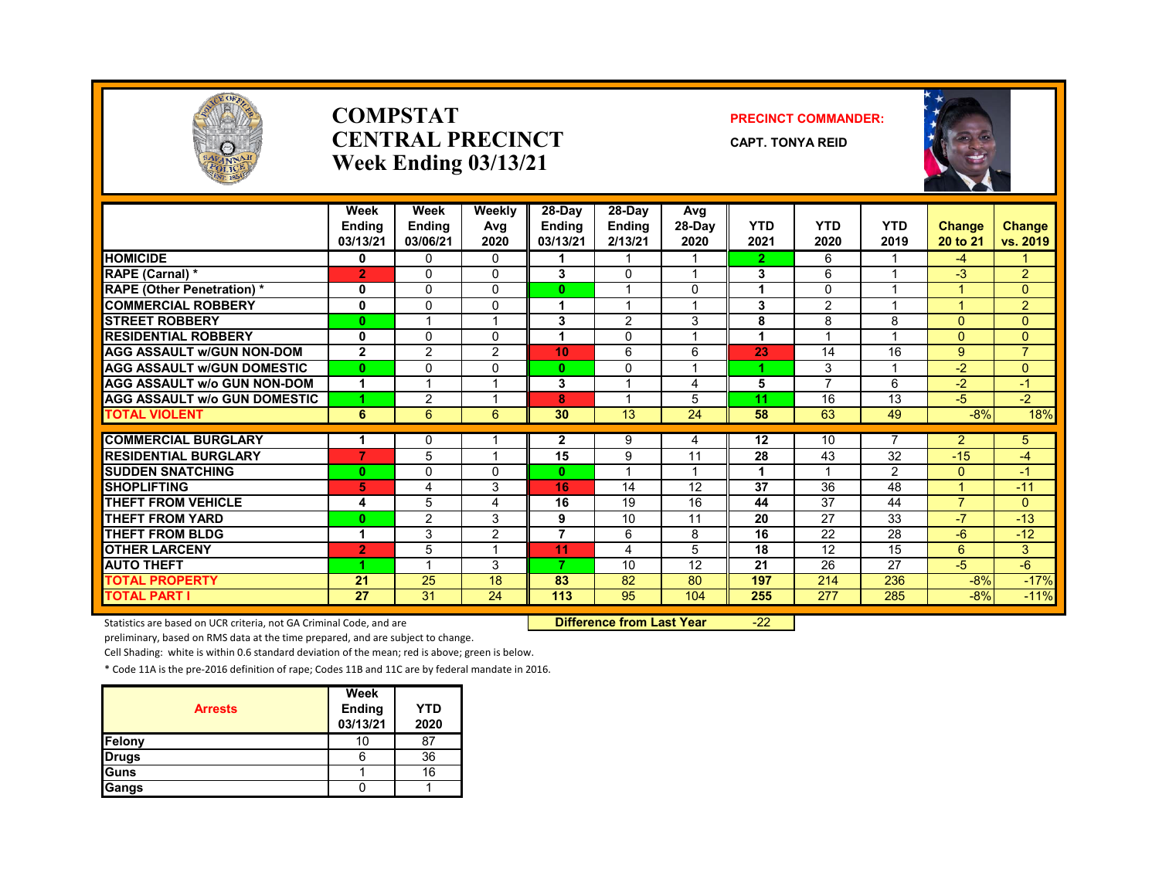

#### **COMPSTATCENTRAL PRECINCTWeek Ending 03/13/21**

#### **PRECINCT COMMANDER:**

**CAPT. TONYA REID**



|                                     | Week<br><b>Endina</b><br>03/13/21 | Week<br><b>Ending</b><br>03/06/21 | Weekly<br>Avg<br>2020 | 28-Day<br><b>Ending</b><br>03/13/21 | $28-Dav$<br><b>Ending</b><br>2/13/21 | Avg<br>$28-Dav$<br>2020 | <b>YTD</b><br>2021 | <b>YTD</b><br>2020 | <b>YTD</b><br>2019 | <b>Change</b><br>20 to 21 | <b>Change</b><br>vs. 2019 |
|-------------------------------------|-----------------------------------|-----------------------------------|-----------------------|-------------------------------------|--------------------------------------|-------------------------|--------------------|--------------------|--------------------|---------------------------|---------------------------|
| <b>HOMICIDE</b>                     | 0                                 | 0                                 | 0                     | 1                                   |                                      |                         | $\overline{2}$     | 6                  |                    | $-4$                      | 1.                        |
| RAPE (Carnal) *                     | $\overline{2}$                    | $\Omega$                          | $\Omega$              | 3                                   | $\Omega$                             | $\overline{\mathbf{A}}$ | 3                  | 6                  |                    | $-3$                      | $\overline{2}$            |
| <b>RAPE (Other Penetration) *</b>   | 0                                 | $\Omega$                          | 0                     | $\bf{0}$                            |                                      | 0                       | 1                  | $\Omega$           |                    |                           | $\overline{0}$            |
| <b>COMMERCIAL ROBBERY</b>           | $\bf{0}$                          | 0                                 | $\Omega$              | 1                                   |                                      |                         | 3                  | 2                  |                    |                           | $\overline{2}$            |
| <b>STREET ROBBERY</b>               | 0                                 | 1                                 |                       | 3                                   | 2                                    | 3                       | 8                  | 8                  | 8                  | $\Omega$                  | $\overline{0}$            |
| <b>RESIDENTIAL ROBBERY</b>          | $\bf{0}$                          | $\Omega$                          | $\Omega$              | 4                                   | $\Omega$                             |                         | 1                  |                    |                    | $\overline{0}$            | $\Omega$                  |
| <b>AGG ASSAULT W/GUN NON-DOM</b>    | $\mathbf{2}$                      | 2                                 | $\overline{2}$        | 10                                  | 6                                    | 6                       | 23                 | 14                 | 16                 | 9                         | $\overline{7}$            |
| <b>AGG ASSAULT W/GUN DOMESTIC</b>   | $\bf{0}$                          | $\Omega$                          | $\mathbf{0}$          | 0                                   | $\Omega$                             |                         |                    | 3                  |                    | $-2$                      | $\Omega$                  |
| <b>AGG ASSAULT W/o GUN NON-DOM</b>  | 1                                 |                                   |                       | 3                                   |                                      | 4                       | 5                  | ⇁                  | 6                  | $-2$                      | $-1$                      |
| <b>AGG ASSAULT W/o GUN DOMESTIC</b> |                                   | 2                                 |                       | 8                                   |                                      | 5                       | 11                 | 16                 | 13                 | $-5$                      | $-2$                      |
| <b>TOTAL VIOLENT</b>                | 6                                 | 6                                 | 6                     | 30                                  | 13                                   | 24                      | 58                 | 63                 | 49                 | $-8%$                     | 18%                       |
| <b>COMMERCIAL BURGLARY</b>          |                                   | 0                                 |                       | $\mathbf{2}$                        | 9                                    | 4                       | 12                 | 10                 |                    | $\overline{2}$            | 5                         |
| <b>RESIDENTIAL BURGLARY</b>         | 7                                 | 5                                 |                       | 15                                  | 9                                    | 11                      | 28                 | 43                 | 32                 | $-15$                     | -4                        |
| <b>SUDDEN SNATCHING</b>             | $\bf{0}$                          | 0                                 | $\Omega$              | 0                                   |                                      |                         | 1                  |                    | $\overline{2}$     | $\Omega$                  | $-1$                      |
| <b>SHOPLIFTING</b>                  | 5                                 | 4                                 | 3                     | 16                                  | 14                                   | $\overline{12}$         | 37                 | 36                 | 48                 |                           | $-11$                     |
| <b>THEFT FROM VEHICLE</b>           | 4                                 | 5                                 | 4                     | 16                                  | 19                                   | 16                      | 44                 | 37                 | 44                 | $\overline{7}$            | $\Omega$                  |
| <b>THEFT FROM YARD</b>              | $\bf{0}$                          | $\overline{2}$                    | 3                     | 9                                   | 10                                   | 11                      | 20                 | 27                 | 33                 | $-7$                      | $-13$                     |
| <b>THEFT FROM BLDG</b>              | 1                                 | 3                                 | $\overline{2}$        | $\overline{7}$                      | 6                                    | 8                       | 16                 | 22                 | 28                 | -6                        | $-12$                     |
| <b>OTHER LARCENY</b>                | $\overline{2}$                    | 5                                 |                       | 11                                  | 4                                    | 5                       | 18                 | 12                 | 15                 | 6                         | 3                         |
| <b>AUTO THEFT</b>                   |                                   | -4                                | 3                     | 7                                   | 10                                   | 12                      | 21                 | 26                 | 27                 | -5                        | $-6$                      |
| <b>TOTAL PROPERTY</b>               | 21                                | 25                                | 18                    | 83                                  | 82                                   | 80                      | 197                | 214                | 236                | $-8%$                     | $-17%$                    |
| <b>TOTAL PART I</b>                 | 27                                | 31                                | 24                    | 113                                 | 95                                   | 104                     | 255                | 277                | 285                | $-8%$                     | $-11%$                    |

Statistics are based on UCR criteria, not GA Criminal Code, and are **Difference from Last Year** -22

preliminary, based on RMS data at the time prepared, and are subject to change.

Cell Shading: white is within 0.6 standard deviation of the mean; red is above; green is below.

|                | Week               |                    |
|----------------|--------------------|--------------------|
| <b>Arrests</b> | Ending<br>03/13/21 | <b>YTD</b><br>2020 |
| Felony         | 10                 | 87                 |
| <b>Drugs</b>   | n                  | 36                 |
| Guns           |                    | 16                 |
| Gangs          |                    |                    |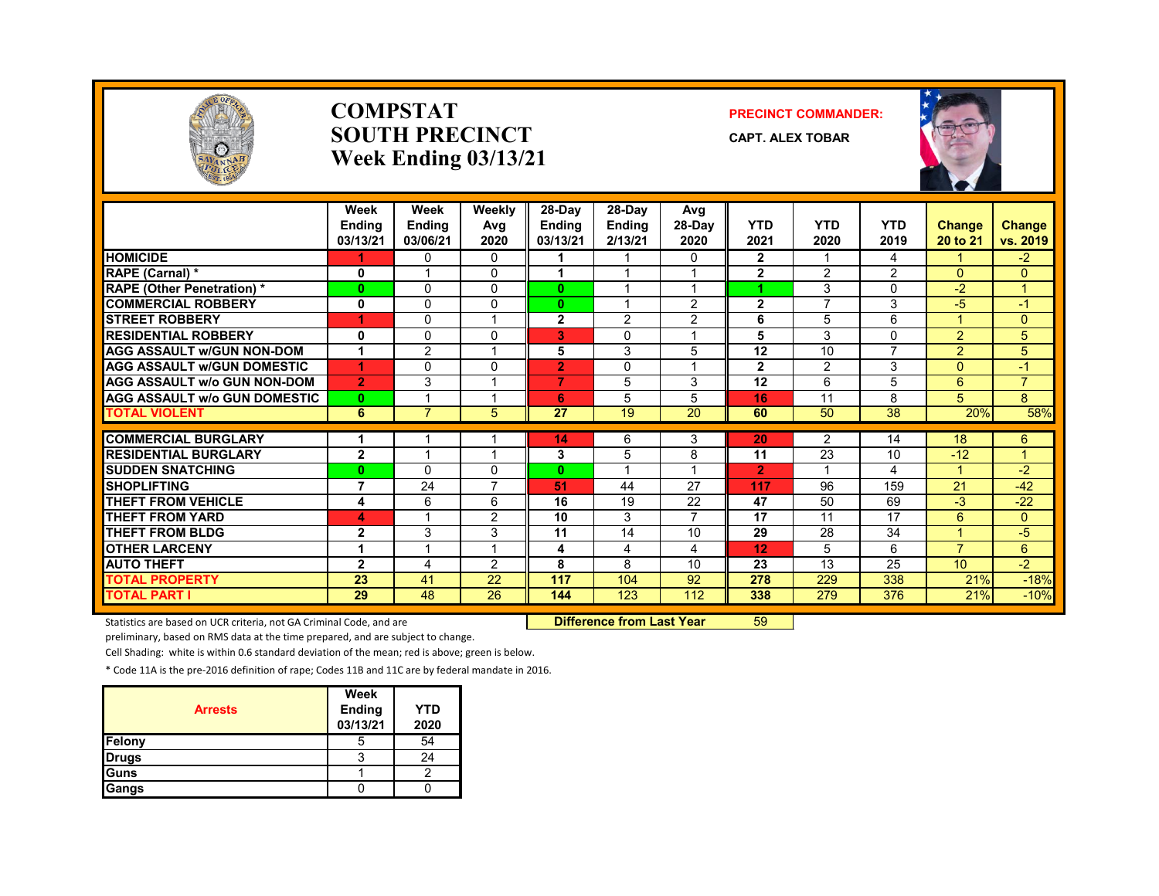

#### **COMPSTATSOUTH PRECINCTWeek Ending 03/13/21**

#### **PRECINCT COMMANDER:**

**CAPT. ALEX TOBAR**



|                                     | Week<br><b>Endina</b><br>03/13/21 | Week<br><b>Ending</b><br>03/06/21 | Weekly<br>Avg<br>2020 | 28-Day<br><b>Ending</b><br>03/13/21 | 28-Day<br><b>Ending</b><br>2/13/21 | Avg<br>$28-Dav$<br>2020      | <b>YTD</b><br>2021 | <b>YTD</b><br>2020   | <b>YTD</b><br>2019 | Change<br>20 to 21   | <b>Change</b><br>vs. 2019   |
|-------------------------------------|-----------------------------------|-----------------------------------|-----------------------|-------------------------------------|------------------------------------|------------------------------|--------------------|----------------------|--------------------|----------------------|-----------------------------|
| <b>HOMICIDE</b>                     |                                   | 0                                 | $\mathbf{0}$          |                                     |                                    | 0                            | $\mathbf{2}$       |                      | 4                  |                      | $-2$                        |
| RAPE (Carnal) *                     | 0                                 |                                   | $\Omega$              | 1                                   |                                    |                              | $\overline{2}$     | $\overline{2}$       | $\overline{2}$     | $\Omega$             | $\mathbf{0}$                |
| <b>RAPE (Other Penetration)*</b>    | $\bf{0}$                          | 0                                 | $\Omega$              | 0                                   |                                    |                              | и                  | 3                    | $\Omega$           | $-2$                 | 1                           |
| <b>COMMERCIAL ROBBERY</b>           | 0                                 | $\Omega$                          | $\Omega$              | $\bf{0}$                            |                                    | $\overline{2}$               | $\overline{2}$     |                      | 3                  | $-5$                 | -1                          |
| <b>STREET ROBBERY</b>               | 1                                 | $\mathbf{0}$                      |                       | $\mathbf{2}$                        | 2                                  | $\overline{2}$               | 6                  | 5                    | 6                  |                      | $\mathbf{0}$                |
| <b>RESIDENTIAL ROBBERY</b>          | $\mathbf{0}$                      | $\mathbf{0}$                      | $\Omega$              | 3                                   | $\Omega$                           |                              | 5                  | 3                    | 0                  | $\overline{2}$       | 5                           |
| <b>AGG ASSAULT w/GUN NON-DOM</b>    |                                   | $\overline{2}$                    |                       | 5                                   | 3                                  | 5                            | 12                 | 10                   | 7                  | $\overline{2}$       | 5                           |
| <b>AGG ASSAULT W/GUN DOMESTIC</b>   | 1                                 | $\mathbf{0}$                      | $\Omega$              | $\overline{2}$                      | $\Omega$                           | $\overline{A}$               | $\mathbf{2}$       | $\overline{2}$       | 3                  | $\Omega$             | $-1$                        |
| <b>AGG ASSAULT w/o GUN NON-DOM</b>  | $\overline{2}$                    | 3                                 |                       | 7                                   | 5                                  | 3                            | 12                 | 6                    | 5                  | 6                    | $\overline{7}$              |
| <b>AGG ASSAULT w/o GUN DOMESTIC</b> | $\mathbf{0}$                      |                                   |                       | 6                                   | 5                                  | 5                            | 16                 | 11                   | 8                  | 5                    | 8                           |
| <b>TOTAL VIOLENT</b>                | 6                                 | 7                                 | 5                     | 27                                  | 19                                 | 20                           | 60                 | 50                   | 38                 | 20%                  | 58%                         |
| <b>COMMERCIAL BURGLARY</b>          |                                   |                                   |                       |                                     |                                    |                              | 20                 |                      |                    | 18                   |                             |
| <b>RESIDENTIAL BURGLARY</b>         | $\mathbf{2}$                      |                                   |                       | 14<br>3                             | 6                                  | 3                            | 11                 | $\overline{2}$<br>23 | 14<br>10           | $-12$                | $6^{\circ}$<br>$\mathbf{1}$ |
|                                     |                                   |                                   | $\Omega$              |                                     | 5<br>$\overline{\mathbf{A}}$       | 8<br>$\overline{\mathbf{A}}$ |                    | 4                    |                    | $\blacktriangleleft$ |                             |
| <b>SUDDEN SNATCHING</b>             | $\bf{0}$                          | 0                                 | $\overline{7}$        | $\bf{0}$                            |                                    |                              | $\overline{2}$     |                      | 4                  | 21                   | $-2$                        |
| <b>SHOPLIFTING</b>                  | $\overline{7}$                    | 24                                |                       | 51                                  | 44                                 | 27                           | 117                | 96                   | 159                |                      | $-42$                       |
| <b>THEFT FROM VEHICLE</b>           | 4                                 | 6                                 | 6                     | 16                                  | 19                                 | 22<br>$\overline{7}$         | 47                 | 50                   | 69                 | $-3$                 | $-22$                       |
| <b>THEFT FROM YARD</b>              | 4                                 |                                   | 2                     | 10                                  | 3                                  |                              | 17                 | 11                   | 17                 | 6                    | $\mathbf{0}$                |
| <b>THEFT FROM BLDG</b>              | $\mathbf{2}$                      | 3                                 | 3                     | 11                                  | 14                                 | 10                           | 29                 | 28                   | 34                 |                      | -5                          |
| <b>OTHER LARCENY</b>                |                                   |                                   |                       | 4                                   | 4                                  | 4                            | 12                 | 5                    | 6                  | $\overline{7}$       | $6\overline{6}$             |
| <b>AUTO THEFT</b>                   | $\overline{2}$                    | 4                                 | $\overline{2}$        | 8                                   | 8                                  | 10                           | 23                 | 13                   | 25                 | 10 <sup>1</sup>      | $-2$                        |
| <b>TOTAL PROPERTY</b>               | 23                                | 41                                | 22                    | 117                                 | 104                                | 92                           | 278                | 229                  | 338                | 21%                  | $-18%$                      |
| <b>TOTAL PART I</b>                 | 29                                | 48                                | 26                    | 144                                 | 123                                | 112                          | 338                | 279                  | 376                | 21%                  | $-10%$                      |

Statistics are based on UCR criteria, not GA Criminal Code, and are **Difference from Last Year** 59

preliminary, based on RMS data at the time prepared, and are subject to change.

Cell Shading: white is within 0.6 standard deviation of the mean; red is above; green is below.

| <b>Arrests</b> | Week<br><b>Ending</b><br>03/13/21 | <b>YTD</b><br>2020 |
|----------------|-----------------------------------|--------------------|
| Felony         | G                                 | 54                 |
| <b>Drugs</b>   |                                   | 24                 |
| Guns           |                                   |                    |
| Gangs          |                                   |                    |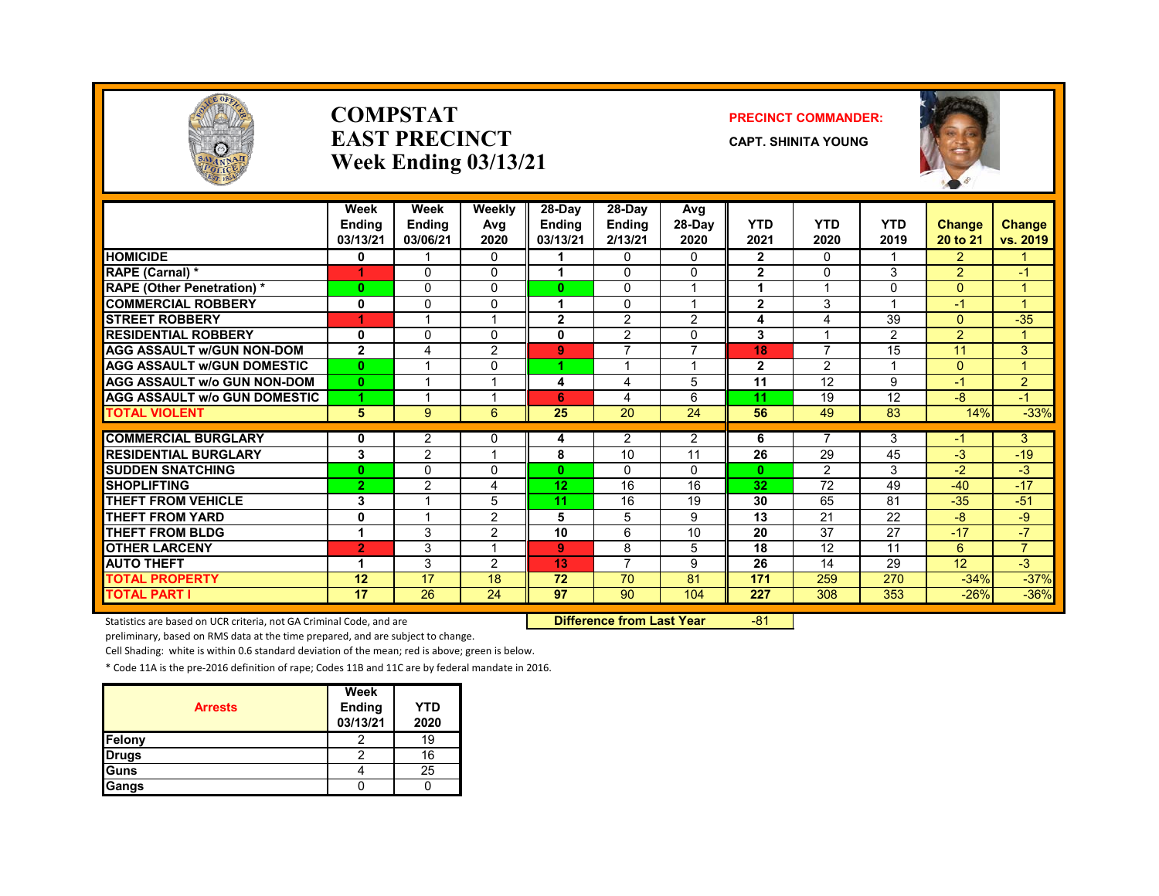

#### **COMPSTATEAST PRECINCTWeek Ending 03/13/21**

#### **PRECINCT COMMANDER:**

**CAPT. SHINITA YOUNG**



|                                                           | Week<br><b>Ending</b><br>03/13/21 | Week<br><b>Ending</b><br>03/06/21 | Weekly<br>Avg<br>2020        | $28-Day$<br>Ending<br>03/13/21 | 28-Dav<br><b>Ending</b><br>2/13/21 | Avg<br>28-Day<br>2020    | <b>YTD</b><br>2021 | <b>YTD</b><br>2020 | <b>YTD</b><br>2019      | <b>Change</b><br>20 to 21 | <b>Change</b><br>vs. 2019 |
|-----------------------------------------------------------|-----------------------------------|-----------------------------------|------------------------------|--------------------------------|------------------------------------|--------------------------|--------------------|--------------------|-------------------------|---------------------------|---------------------------|
| <b>HOMICIDE</b>                                           | 0                                 |                                   | $\Omega$                     |                                | 0                                  | 0                        | $\mathbf{2}$       | $\Omega$           |                         | $\overline{2}$            |                           |
| RAPE (Carnal) *                                           | 1                                 | $\Omega$                          | $\Omega$                     |                                | 0                                  | 0                        | $\mathbf{2}$       | $\Omega$           | 3                       | $\overline{2}$            | $-1$                      |
| <b>RAPE (Other Penetration) *</b>                         | $\mathbf{0}$                      | 0                                 | $\Omega$                     | $\mathbf{0}$                   | 0                                  | 1                        |                    | $\overline{ }$     | 0                       | $\Omega$                  |                           |
| <b>COMMERCIAL ROBBERY</b>                                 | 0                                 | $\Omega$                          | $\Omega$                     | 1                              | 0                                  | 1                        | $\mathbf{2}$       | 3                  | $\overline{\mathbf{A}}$ | $-1$                      | и                         |
| <b>STREET ROBBERY</b>                                     | 1                                 | 1                                 | и                            | $\mathbf{2}$                   | 2                                  | $\overline{2}$           | 4                  | 4                  | 39                      | $\Omega$                  | $-35$                     |
| <b>RESIDENTIAL ROBBERY</b>                                | 0                                 | 0                                 | $\Omega$                     | 0                              | $\overline{2}$                     | 0                        | 3                  |                    | $\overline{2}$          | $\overline{2}$            |                           |
| <b>AGG ASSAULT w/GUN NON-DOM</b>                          | $\mathbf{2}$                      | 4                                 | 2                            | 9                              | $\overline{\phantom{a}}$           | $\overline{\phantom{a}}$ | 18                 | $\overline{7}$     | 15                      | 11                        | 3                         |
| <b>AGG ASSAULT w/GUN DOMESTIC</b>                         | $\mathbf{0}$                      | $\overline{\mathbf{A}}$           | $\Omega$                     | л                              |                                    | 1                        | $\mathbf{2}$       | 2                  | $\overline{\mathbf{A}}$ | $\Omega$                  |                           |
| <b>AGG ASSAULT W/o GUN NON-DOM</b>                        | $\mathbf{0}$                      | 1                                 | $\overline{\mathbf{A}}$      | 4                              | 4                                  | 5                        | 11                 | 12                 | 9                       | $-1$                      | $\overline{2}$            |
| <b>AGG ASSAULT w/o GUN DOMESTIC</b>                       | 4                                 | 1                                 | и                            | 6                              | 4                                  | 6                        | 11                 | 19                 | 12                      | -8                        | $-1$                      |
| <b>TOTAL VIOLENT</b>                                      | $5\phantom{.0}$                   | 9                                 | 6                            | 25                             | 20                                 | 24                       | 56                 | 49                 | 83                      | 14%                       | $-33%$                    |
|                                                           |                                   |                                   |                              |                                |                                    |                          |                    | $\overline{7}$     |                         |                           |                           |
| <b>COMMERCIAL BURGLARY</b><br><b>RESIDENTIAL BURGLARY</b> | 0                                 | $\overline{2}$                    | $\Omega$<br>4                | 4                              | 2<br>10                            | $\overline{2}$           | 6<br>26            | 29                 | 3<br>45                 | -1<br>$-3$                | 3<br>$-19$                |
|                                                           | 3                                 | $\overline{2}$                    |                              | 8                              |                                    | 11                       |                    |                    |                         | $-2 \overline{ }$         |                           |
| <b>SUDDEN SNATCHING</b>                                   | $\mathbf{0}$                      | $\Omega$                          | $\Omega$                     | $\mathbf{0}$                   | 0                                  | 0                        | $\bf{0}$           | $\mathcal{P}$      | 3                       |                           | $-3$                      |
| <b>SHOPLIFTING</b>                                        | $\overline{2}$                    | $\overline{2}$                    | 4                            | 12                             | 16                                 | 16                       | 32                 | 72                 | 49                      | $-40$                     | $-17$                     |
| <b>THEFT FROM VEHICLE</b>                                 | 3                                 | 1                                 | 5                            | 11                             | 16                                 | 19                       | 30                 | 65                 | 81                      | $-35$                     | $-51$                     |
| <b>THEFT FROM YARD</b>                                    | $\mathbf 0$                       |                                   | 2                            | 5                              | 5                                  | 9                        | 13                 | 21                 | $\overline{22}$         | $-8$                      | -9                        |
| <b>THEFT FROM BLDG</b>                                    | 1                                 | 3                                 | 2<br>$\overline{\mathbf{A}}$ | 10                             | 6                                  | 10                       | 20                 | 37                 | 27                      | $-17$                     | $-7$                      |
| <b>OTHER LARCENY</b>                                      | $\overline{2}$                    | 3                                 |                              | 9                              | 8                                  | 5                        | 18                 | 12                 | 11                      | 6                         | $\overline{7}$            |
| <b>AUTO THEFT</b>                                         | 1                                 | 3                                 | $\mathcal{P}$                | 13                             | 7                                  | 9                        | 26                 | 14                 | 29                      | 12                        | $-3$                      |
| <b>TOTAL PROPERTY</b>                                     | 12                                | 17                                | 18                           | 72                             | 70                                 | 81                       | 171                | 259                | 270                     | $-34%$                    | $-37%$                    |
| <b>TOTAL PART I</b>                                       | 17                                | 26                                | 24                           | 97                             | 90                                 | 104                      | 227                | 308                | 353                     | $-26%$                    | $-36%$                    |

Statistics are based on UCR criteria, not GA Criminal Code, and are **Difference from Last Year** -81

preliminary, based on RMS data at the time prepared, and are subject to change.

Cell Shading: white is within 0.6 standard deviation of the mean; red is above; green is below.

| <b>Arrests</b> | Week<br><b>Ending</b><br>03/13/21 | YTD<br>2020 |
|----------------|-----------------------------------|-------------|
| Felony         |                                   | 19          |
| <b>Drugs</b>   |                                   | 16          |
| <b>Guns</b>    |                                   | 25          |
| Gangs          |                                   |             |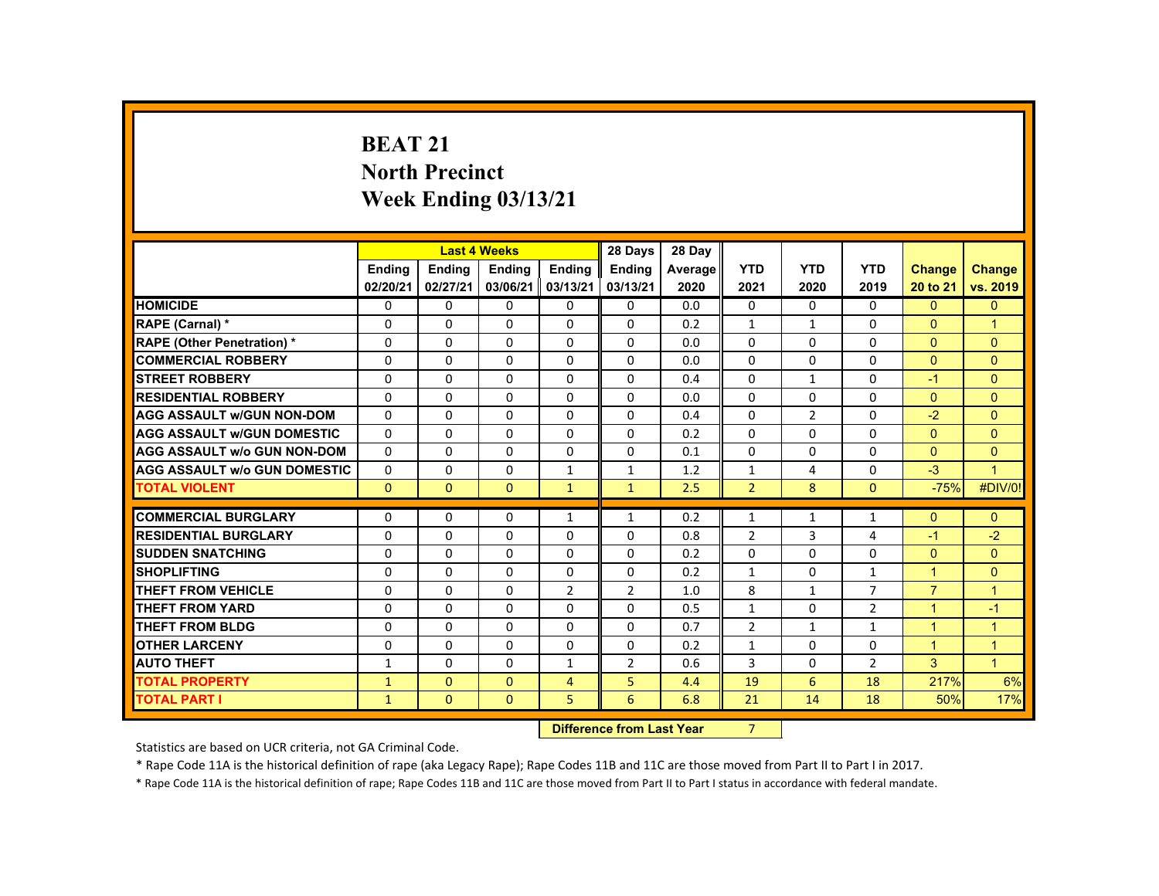# **BEAT 21 North Precinct Week Ending 03/13/21**

|                                     |               | <b>Last 4 Weeks</b> |              |                | 28 Days        | 28 Day  |                |                |                |                |                |
|-------------------------------------|---------------|---------------------|--------------|----------------|----------------|---------|----------------|----------------|----------------|----------------|----------------|
|                                     | <b>Endina</b> | Ending              | Ending       | Ending         | Ending         | Average | <b>YTD</b>     | <b>YTD</b>     | <b>YTD</b>     | <b>Change</b>  | <b>Change</b>  |
|                                     | 02/20/21      | 02/27/21            | 03/06/21     | 03/13/21       | 03/13/21       | 2020    | 2021           | 2020           | 2019           | 20 to 21       | vs. 2019       |
| <b>HOMICIDE</b>                     | 0             | $\Omega$            | $\Omega$     | $\Omega$       | $\Omega$       | 0.0     | 0              | $\Omega$       | $\Omega$       | $\overline{0}$ | $\mathbf{0}$   |
| RAPE (Carnal) *                     | 0             | $\Omega$            | $\Omega$     | $\Omega$       | 0              | 0.2     | $\mathbf{1}$   | $\mathbf{1}$   | $\Omega$       | $\Omega$       | $\mathbf{1}$   |
| <b>RAPE (Other Penetration) *</b>   | 0             | $\Omega$            | $\Omega$     | $\Omega$       | $\Omega$       | 0.0     | $\Omega$       | $\Omega$       | $\Omega$       | $\mathbf{0}$   | $\overline{0}$ |
| <b>COMMERCIAL ROBBERY</b>           | $\Omega$      | $\Omega$            | $\Omega$     | $\Omega$       | $\Omega$       | 0.0     | $\Omega$       | $\Omega$       | $\Omega$       | $\Omega$       | $\mathbf{0}$   |
| <b>STREET ROBBERY</b>               | $\Omega$      | $\Omega$            | $\Omega$     | $\Omega$       | $\Omega$       | 0.4     | $\Omega$       | $\mathbf{1}$   | 0              | $-1$           | $\Omega$       |
| <b>RESIDENTIAL ROBBERY</b>          | $\Omega$      | 0                   | 0            | $\mathbf{0}$   | 0              | 0.0     | $\Omega$       | 0              | 0              | $\mathbf{0}$   | $\mathbf{0}$   |
| <b>AGG ASSAULT w/GUN NON-DOM</b>    | $\Omega$      | $\Omega$            | $\Omega$     | $\Omega$       | $\Omega$       | 0.4     | $\Omega$       | $\overline{2}$ | $\Omega$       | $-2$           | $\Omega$       |
| <b>AGG ASSAULT W/GUN DOMESTIC</b>   | $\Omega$      | $\Omega$            | $\Omega$     | $\Omega$       | $\Omega$       | 0.2     | $\Omega$       | $\Omega$       | $\Omega$       | $\overline{0}$ | $\mathbf{0}$   |
| <b>AGG ASSAULT w/o GUN NON-DOM</b>  | $\Omega$      | $\Omega$            | $\Omega$     | $\Omega$       | $\Omega$       | 0.1     | $\Omega$       | $\Omega$       | $\Omega$       | $\overline{0}$ | $\mathbf{0}$   |
| <b>AGG ASSAULT W/o GUN DOMESTIC</b> | 0             | $\Omega$            | 0            | $\mathbf{1}$   | $\mathbf{1}$   | 1.2     | $\mathbf{1}$   | 4              | 0              | $-3$           | $\mathbf{1}$   |
| <b>TOTAL VIOLENT</b>                | $\Omega$      | $\mathbf{0}$        | $\mathbf{0}$ | $\mathbf{1}$   | $\mathbf{1}$   | 2.5     | $\overline{2}$ | 8              | $\Omega$       | $-75%$         | #DIV/0!        |
| <b>COMMERCIAL BURGLARY</b>          | $\Omega$      | $\Omega$            | $\Omega$     | $\mathbf{1}$   | $\mathbf{1}$   | 0.2     | $\mathbf{1}$   | $\mathbf{1}$   | $\mathbf{1}$   | $\Omega$       | $\overline{0}$ |
| <b>RESIDENTIAL BURGLARY</b>         | 0             | $\Omega$            | 0            | $\Omega$       | 0              | 0.8     | $\overline{2}$ | 3              | 4              | $-1$           | $-2$           |
| <b>SUDDEN SNATCHING</b>             | 0             | $\Omega$            | $\Omega$     | $\Omega$       | 0              | 0.2     | $\Omega$       | $\Omega$       | $\Omega$       | $\mathbf{0}$   | $\mathbf{0}$   |
| <b>SHOPLIFTING</b>                  | $\Omega$      | $\Omega$            | $\Omega$     | $\Omega$       | $\Omega$       | 0.2     | $\mathbf{1}$   | $\Omega$       | $\mathbf{1}$   | 1              | $\mathbf{0}$   |
| <b>THEFT FROM VEHICLE</b>           | $\Omega$      | $\Omega$            | $\Omega$     | $\overline{2}$ | $\overline{2}$ | 1.0     | 8              | $\mathbf{1}$   | $\overline{7}$ | $\overline{7}$ | $\mathbf{1}$   |
| <b>THEFT FROM YARD</b>              | $\Omega$      | $\Omega$            | $\Omega$     | $\Omega$       | $\Omega$       | 0.5     | $\mathbf{1}$   | $\Omega$       | $\overline{2}$ | $\mathbf{1}$   | $-1$           |
| <b>THEFT FROM BLDG</b>              | 0             | $\Omega$            | 0            | $\Omega$       | 0              | 0.7     | $\overline{2}$ | $\mathbf{1}$   | $\mathbf{1}$   | $\mathbf{1}$   | $\mathbf{1}$   |
| <b>OTHER LARCENY</b>                | $\Omega$      | $\Omega$            | $\Omega$     | $\Omega$       | $\Omega$       | 0.2     | $\mathbf{1}$   | $\Omega$       | $\Omega$       | $\mathbf{1}$   | $\mathbf{1}$   |
| <b>AUTO THEFT</b>                   | $\mathbf{1}$  | $\Omega$            | $\Omega$     | $\mathbf{1}$   | $\overline{2}$ | 0.6     | 3              | $\Omega$       | $\overline{2}$ | 3              | $\mathbf{1}$   |
| <b>TOTAL PROPERTY</b>               | $\mathbf{1}$  | $\Omega$            | $\Omega$     | $\overline{4}$ | 5.             | 4.4     | 19             | 6              | 18             | 217%           | 6%             |
| <b>TOTAL PART I</b>                 | $\mathbf{1}$  | $\mathbf{0}$        | $\mathbf{0}$ | 5.             | 6              | 6.8     | 21             | 14             | 18             | 50%            | 17%            |
|                                     |               |                     |              |                |                |         |                |                |                |                |                |

 **Difference from Last Year**7

Statistics are based on UCR criteria, not GA Criminal Code.

\* Rape Code 11A is the historical definition of rape (aka Legacy Rape); Rape Codes 11B and 11C are those moved from Part II to Part I in 2017.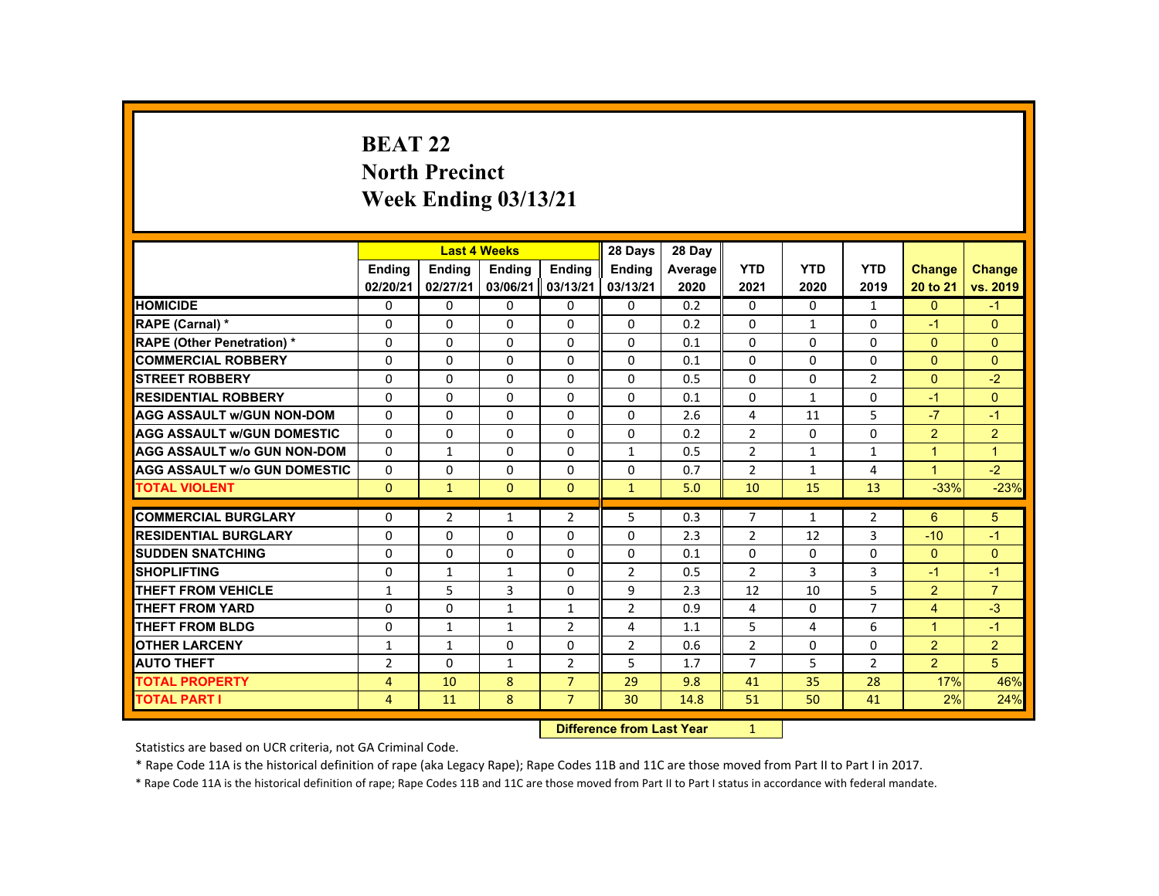# **BEAT 22 North Precinct Week Ending 03/13/21**

|                                     |                |               | <b>Last 4 Weeks</b>              |                | 28 Days        | 28 Day  |                |              |                |                |                |
|-------------------------------------|----------------|---------------|----------------------------------|----------------|----------------|---------|----------------|--------------|----------------|----------------|----------------|
|                                     | Ending         | <b>Ending</b> | <b>Ending</b>                    | <b>Ending</b>  | <b>Endina</b>  | Average | <b>YTD</b>     | <b>YTD</b>   | <b>YTD</b>     | Change         | <b>Change</b>  |
|                                     | 02/20/21       | 02/27/21      | 03/06/21                         | 03/13/21       | 03/13/21       | 2020    | 2021           | 2020         | 2019           | 20 to 21       | vs. 2019       |
| <b>HOMICIDE</b>                     | 0              | $\mathbf{0}$  | 0                                | 0              | 0              | 0.2     | 0              | 0            | $\mathbf{1}$   | $\mathbf{0}$   | $-1$           |
| RAPE (Carnal) *                     | $\Omega$       | $\Omega$      | $\Omega$                         | $\Omega$       | $\Omega$       | 0.2     | $\Omega$       | $\mathbf{1}$ | $\Omega$       | $-1$           | $\Omega$       |
| <b>RAPE (Other Penetration) *</b>   | $\Omega$       | $\Omega$      | $\Omega$                         | $\Omega$       | $\Omega$       | 0.1     | $\Omega$       | $\Omega$     | $\Omega$       | $\mathbf{0}$   | $\overline{0}$ |
| <b>COMMERCIAL ROBBERY</b>           | $\Omega$       | $\Omega$      | $\Omega$                         | $\Omega$       | $\Omega$       | 0.1     | $\Omega$       | $\Omega$     | $\Omega$       | $\Omega$       | $\Omega$       |
| <b>STREET ROBBERY</b>               | $\mathbf{0}$   | $\Omega$      | $\Omega$                         | $\Omega$       | $\Omega$       | 0.5     | $\Omega$       | $\Omega$     | $\overline{2}$ | $\Omega$       | $-2$           |
| <b>RESIDENTIAL ROBBERY</b>          | $\Omega$       | $\Omega$      | $\Omega$                         | $\Omega$       | $\Omega$       | 0.1     | $\Omega$       | $\mathbf{1}$ | $\Omega$       | $-1$           | $\Omega$       |
| <b>AGG ASSAULT W/GUN NON-DOM</b>    | $\Omega$       | $\Omega$      | $\Omega$                         | $\Omega$       | $\Omega$       | 2.6     | 4              | 11           | 5              | $-7$           | $-1$           |
| <b>AGG ASSAULT W/GUN DOMESTIC</b>   | $\Omega$       | $\Omega$      | $\Omega$                         | $\Omega$       | $\Omega$       | 0.2     | $\overline{2}$ | $\Omega$     | $\Omega$       | $\overline{2}$ | $\overline{2}$ |
| <b>AGG ASSAULT W/o GUN NON-DOM</b>  | $\mathbf{0}$   | $\mathbf{1}$  | 0                                | 0              | $\mathbf{1}$   | 0.5     | $\overline{2}$ | $\mathbf{1}$ | $\mathbf{1}$   | $\mathbf{1}$   | $\mathbf{1}$   |
| <b>AGG ASSAULT W/o GUN DOMESTIC</b> | $\Omega$       | $\mathbf 0$   | $\Omega$                         | 0              | $\mathbf 0$    | 0.7     | $\overline{2}$ | $\mathbf{1}$ | 4              | $\mathbf{1}$   | $-2$           |
| <b>TOTAL VIOLENT</b>                | $\Omega$       | $\mathbf{1}$  | $\mathbf{0}$                     | $\mathbf{0}$   | $\mathbf{1}$   | 5.0     | 10             | 15           | 13             | $-33%$         | $-23%$         |
| <b>COMMERCIAL BURGLARY</b>          | $\Omega$       | 2             | $\mathbf{1}$                     | $\overline{2}$ | 5              | 0.3     | $\overline{7}$ | 1            | $\overline{2}$ | 6              | 5              |
| <b>RESIDENTIAL BURGLARY</b>         | $\Omega$       | $\Omega$      | $\Omega$                         | $\Omega$       | $\Omega$       | 2.3     | $\overline{2}$ | 12           | 3              | $-10$          | $-1$           |
| <b>SUDDEN SNATCHING</b>             | $\Omega$       | $\Omega$      | $\Omega$                         | $\Omega$       | $\Omega$       | 0.1     | $\Omega$       | $\Omega$     | $\Omega$       | $\Omega$       | $\Omega$       |
| <b>SHOPLIFTING</b>                  | 0              | $\mathbf{1}$  | 1                                | 0              | $\overline{2}$ | 0.5     | $\overline{2}$ | 3            | 3              | $-1$           | $-1$           |
| <b>THEFT FROM VEHICLE</b>           | $\mathbf{1}$   | 5             | 3                                | $\Omega$       | 9              | 2.3     | 12             | 10           | 5              | $\overline{2}$ | $\overline{7}$ |
| <b>THEFT FROM YARD</b>              | 0              | $\Omega$      | $\mathbf{1}$                     | $\mathbf{1}$   | 2              | 0.9     | 4              | 0            | $\overline{7}$ | $\overline{4}$ | $-3$           |
| <b>THEFT FROM BLDG</b>              | $\Omega$       | $\mathbf{1}$  | $\mathbf{1}$                     | $\overline{2}$ | 4              | 1.1     | 5              | 4            | 6              | $\mathbf{1}$   | $-1$           |
| <b>OTHER LARCENY</b>                | 1              | $\mathbf{1}$  | $\Omega$                         | 0              | $\overline{2}$ | 0.6     | $\overline{2}$ | 0            | $\Omega$       | $\overline{2}$ | $\overline{2}$ |
| <b>AUTO THEFT</b>                   | $\overline{2}$ | $\mathbf{0}$  | $\mathbf{1}$                     | $\overline{2}$ | 5              | 1.7     | $\overline{7}$ | 5            | 2              | 2 <sup>1</sup> | 5              |
| <b>TOTAL PROPERTY</b>               | $\overline{4}$ | 10            | 8                                | $\overline{7}$ | 29             | 9.8     | 41             | 35           | 28             | 17%            | 46%            |
| <b>TOTAL PART I</b>                 | $\overline{4}$ | 11            | 8                                | $\overline{7}$ | 30             | 14.8    | 51             | 50           | 41             | 2%             | 24%            |
|                                     |                |               | <b>Difference from Last Year</b> |                | 1              |         |                |              |                |                |                |

 **Difference from Last Year**

Statistics are based on UCR criteria, not GA Criminal Code.

\* Rape Code 11A is the historical definition of rape (aka Legacy Rape); Rape Codes 11B and 11C are those moved from Part II to Part I in 2017.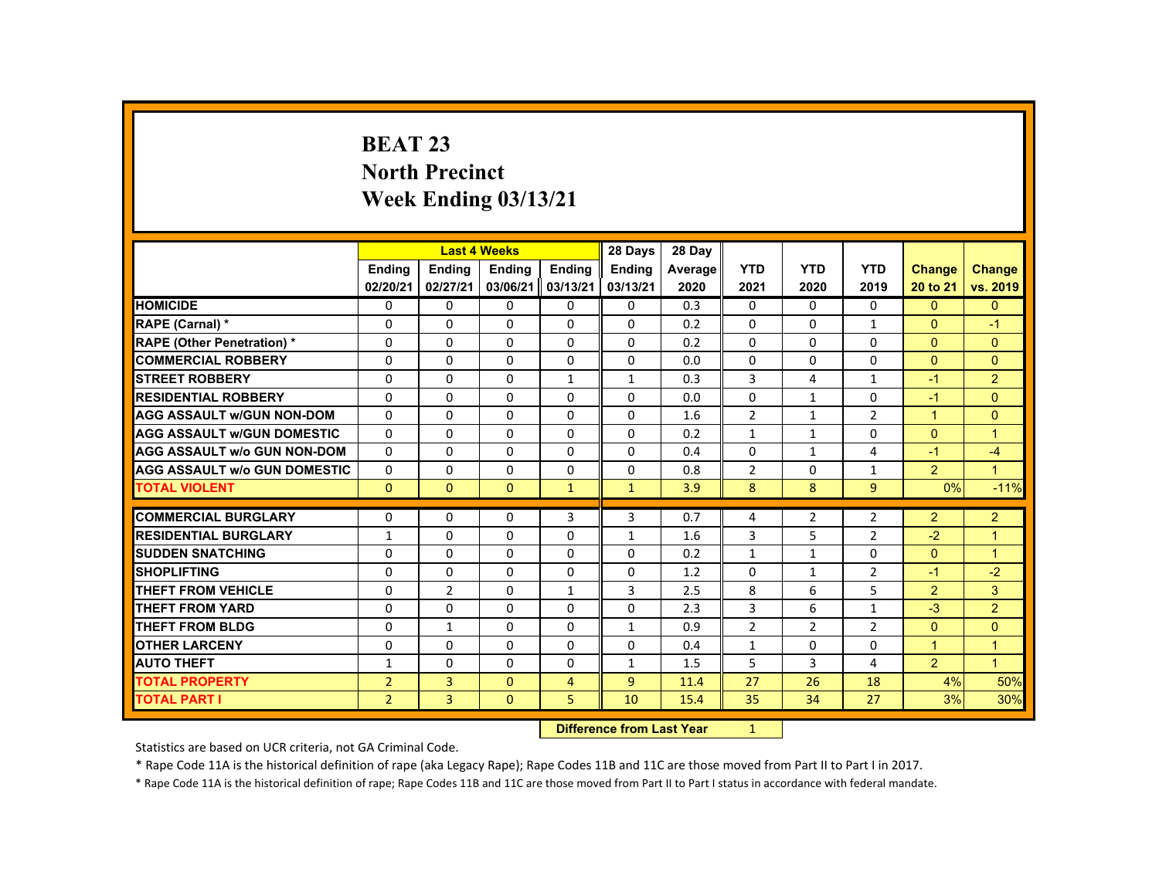# **BEAT 23 North Precinct Week Ending 03/13/21**

|                                     |                |                                  | <b>Last 4 Weeks</b> |                | 28 Days        | 28 Day  |                |                |                |                |                      |
|-------------------------------------|----------------|----------------------------------|---------------------|----------------|----------------|---------|----------------|----------------|----------------|----------------|----------------------|
|                                     | Ending         | Ending                           | <b>Ending</b>       | Ending         | <b>Ending</b>  | Average | <b>YTD</b>     | <b>YTD</b>     | <b>YTD</b>     | <b>Change</b>  | Change               |
|                                     | 02/20/21       | 02/27/21                         | 03/06/21            | 03/13/21       | 03/13/21       | 2020    | 2021           | 2020           | 2019           | 20 to 21       | vs. 2019             |
| <b>HOMICIDE</b>                     | 0              | $\Omega$                         | $\mathbf{0}$        | $\Omega$       | 0              | 0.3     | 0              | 0              | 0              | $\Omega$       | $\mathbf{0}$         |
| RAPE (Carnal) *                     | $\Omega$       | $\Omega$                         | $\Omega$            | $\Omega$       | $\Omega$       | 0.2     | $\Omega$       | $\Omega$       | $\mathbf{1}$   | $\Omega$       | $-1$                 |
| <b>RAPE (Other Penetration) *</b>   | $\Omega$       | $\Omega$                         | $\Omega$            | $\Omega$       | $\Omega$       | 0.2     | $\Omega$       | $\Omega$       | $\Omega$       | $\overline{0}$ | $\overline{0}$       |
| <b>COMMERCIAL ROBBERY</b>           | $\Omega$       | $\Omega$                         | $\Omega$            | $\Omega$       | $\Omega$       | 0.0     | $\Omega$       | $\Omega$       | $\Omega$       | $\Omega$       | $\Omega$             |
| <b>STREET ROBBERY</b>               | 0              | $\Omega$                         | $\Omega$            | 1              | 1              | 0.3     | 3              | $\overline{4}$ | $\mathbf{1}$   | $-1$           | 2 <sup>1</sup>       |
| <b>RESIDENTIAL ROBBERY</b>          | $\mathbf{0}$   | $\Omega$                         | $\Omega$            | $\Omega$       | $\Omega$       | 0.0     | $\Omega$       | $\mathbf{1}$   | $\Omega$       | $-1$           | $\Omega$             |
| <b>AGG ASSAULT w/GUN NON-DOM</b>    | $\Omega$       | $\Omega$                         | $\Omega$            | $\Omega$       | $\Omega$       | 1.6     | $\overline{2}$ | $\mathbf{1}$   | $\overline{2}$ | $\mathbf{1}$   | $\overline{0}$       |
| <b>AGG ASSAULT W/GUN DOMESTIC</b>   | $\Omega$       | $\Omega$                         | $\Omega$            | $\Omega$       | $\Omega$       | 0.2     | $\mathbf{1}$   | $\mathbf{1}$   | $\Omega$       | $\Omega$       | $\blacktriangleleft$ |
| <b>AGG ASSAULT W/o GUN NON-DOM</b>  | $\Omega$       | $\mathbf{0}$                     | $\mathbf{0}$        | 0              | 0              | 0.4     | $\Omega$       | $\mathbf{1}$   | 4              | $-1$           | $-4$                 |
| <b>AGG ASSAULT W/o GUN DOMESTIC</b> | $\Omega$       | $\Omega$                         | $\Omega$            | $\Omega$       | $\Omega$       | 0.8     | $\overline{2}$ | 0              | $\mathbf{1}$   | $\overline{2}$ | $\mathbf{1}$         |
| <b>TOTAL VIOLENT</b>                | $\Omega$       | $\mathbf{0}$                     | $\mathbf{0}$        | $\mathbf{1}$   | $\mathbf{1}$   | 3.9     | 8              | 8              | 9              | 0%             | $-11%$               |
| <b>COMMERCIAL BURGLARY</b>          | $\mathbf{0}$   | $\Omega$                         | $\Omega$            | 3              | 3              | 0.7     | 4              | $\overline{2}$ | $\overline{2}$ | $\overline{2}$ | $\overline{2}$       |
| <b>RESIDENTIAL BURGLARY</b>         | $\mathbf{1}$   | $\Omega$                         | $\Omega$            | $\Omega$       | $\mathbf{1}$   | 1.6     | 3              | 5              | $\overline{2}$ | $-2$           | $\mathbf{1}$         |
| <b>SUDDEN SNATCHING</b>             | $\mathbf{0}$   | $\Omega$                         | $\Omega$            | $\Omega$       | $\Omega$       | 0.2     | $\mathbf{1}$   | $\mathbf{1}$   | $\Omega$       | $\overline{0}$ | $\blacktriangleleft$ |
| <b>SHOPLIFTING</b>                  | 0              | $\Omega$                         | $\mathbf{0}$        | $\Omega$       | 0              | 1.2     | 0              | 1              | $\overline{2}$ | $-1$           | $-2$                 |
| <b>THEFT FROM VEHICLE</b>           | $\Omega$       | $\overline{2}$                   | $\Omega$            | $\mathbf{1}$   | 3              | 2.5     | 8              | 6              | 5              | $\overline{2}$ | $\mathbf{3}$         |
| <b>THEFT FROM YARD</b>              | $\Omega$       | $\Omega$                         | $\Omega$            | $\Omega$       | $\Omega$       | 2.3     | 3              | 6              | $\mathbf{1}$   | $-3$           | $\overline{2}$       |
| <b>THEFT FROM BLDG</b>              | $\Omega$       | $\mathbf{1}$                     | $\Omega$            | $\Omega$       | $\mathbf{1}$   | 0.9     | $\overline{2}$ | $\overline{2}$ | $\overline{2}$ | $\overline{0}$ | $\Omega$             |
| <b>OTHER LARCENY</b>                | $\Omega$       | $\Omega$                         | $\Omega$            | $\Omega$       | $\Omega$       | 0.4     | $\mathbf{1}$   | 0              | 0              | $\mathbf{1}$   | $\mathbf{1}$         |
| <b>AUTO THEFT</b>                   | 1              | $\mathbf{0}$                     | $\Omega$            | $\mathbf{0}$   | $\mathbf{1}$   | 1.5     | 5              | 3              | 4              | 2 <sup>1</sup> | $\blacktriangleleft$ |
| <b>TOTAL PROPERTY</b>               | $\overline{2}$ | $\overline{3}$                   | $\Omega$            | $\overline{4}$ | $\overline{9}$ | 11.4    | 27             | 26             | 18             | 4%             | 50%                  |
| <b>TOTAL PART I</b>                 | 2 <sup>1</sup> | $\overline{3}$                   | $\mathbf{0}$        | 5              | 10             | 15.4    | 35             | 34             | 27             | 3%             | 30%                  |
|                                     |                | <b>Difference from Last Year</b> |                     | $\mathbf{1}$   |                |         |                |                |                |                |                      |

 **Difference from Last Year**

Statistics are based on UCR criteria, not GA Criminal Code.

\* Rape Code 11A is the historical definition of rape (aka Legacy Rape); Rape Codes 11B and 11C are those moved from Part II to Part I in 2017.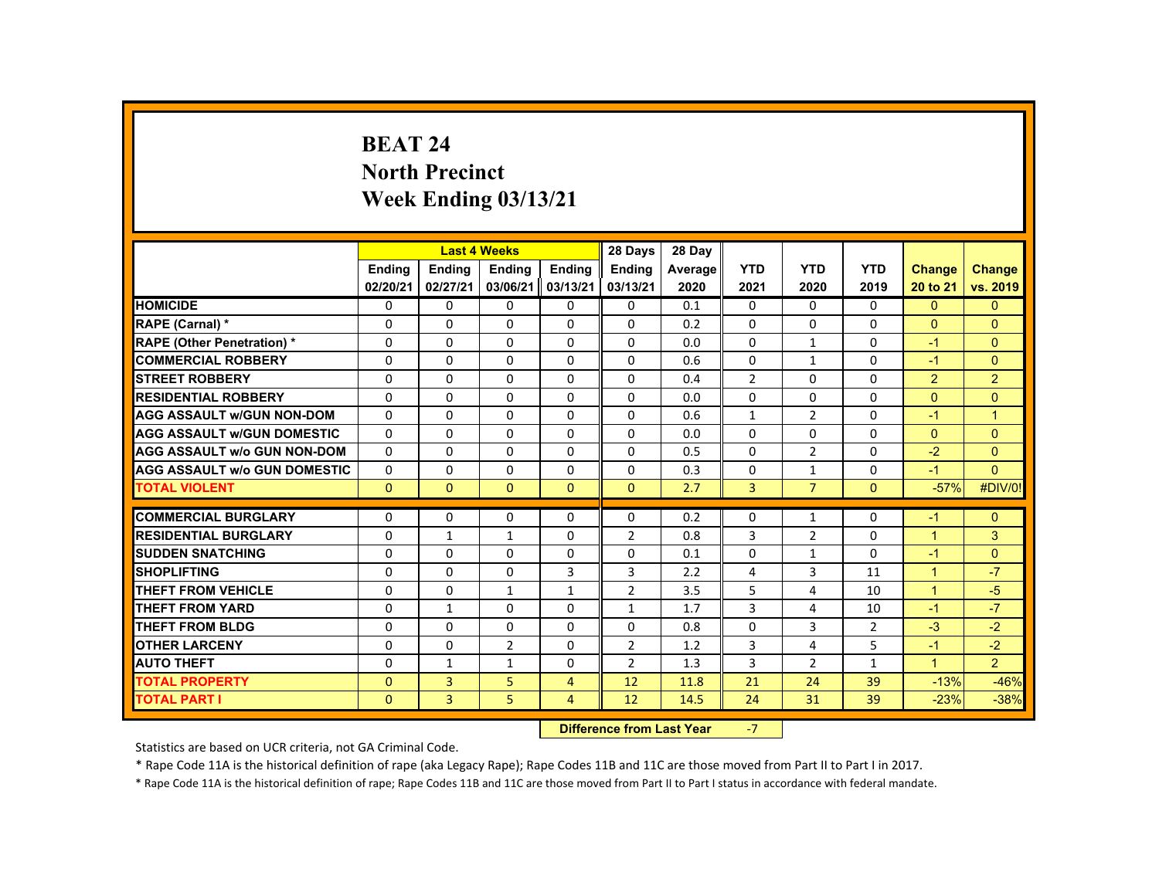# **BEAT 24 North Precinct Week Ending 03/13/21**

|                                     |              |                | <b>Last 4 Weeks</b> |                | 28 Days        | 28 Day  |                |                |                |                      |                      |
|-------------------------------------|--------------|----------------|---------------------|----------------|----------------|---------|----------------|----------------|----------------|----------------------|----------------------|
|                                     | Ending       | Ending         | Ending              | Ending         | <b>Ending</b>  | Average | <b>YTD</b>     | <b>YTD</b>     | <b>YTD</b>     | <b>Change</b>        | <b>Change</b>        |
|                                     | 02/20/21     | 02/27/21       | 03/06/21            | 03/13/21       | 03/13/21       | 2020    | 2021           | 2020           | 2019           | 20 to 21             | vs. 2019             |
| <b>HOMICIDE</b>                     | $\Omega$     | $\Omega$       | $\Omega$            | $\Omega$       | $\Omega$       | 0.1     | 0              | $\Omega$       | $\Omega$       | $\Omega$             | $\mathbf{0}$         |
| <b>RAPE (Carnal) *</b>              | $\Omega$     | $\Omega$       | $\Omega$            | $\Omega$       | $\Omega$       | 0.2     | $\Omega$       | $\Omega$       | $\Omega$       | $\mathbf{0}$         | $\Omega$             |
| <b>RAPE (Other Penetration) *</b>   | $\Omega$     | $\Omega$       | $\Omega$            | $\Omega$       | $\Omega$       | 0.0     | 0              | $\mathbf{1}$   | $\Omega$       | $-1$                 | $\Omega$             |
| <b>COMMERCIAL ROBBERY</b>           | $\Omega$     | $\Omega$       | $\Omega$            | $\Omega$       | $\Omega$       | 0.6     | $\Omega$       | $\mathbf{1}$   | $\Omega$       | $-1$                 | $\Omega$             |
| <b>STREET ROBBERY</b>               | $\Omega$     | $\Omega$       | $\Omega$            | $\Omega$       | $\Omega$       | 0.4     | $\overline{2}$ | $\Omega$       | $\Omega$       | 2                    | $\overline{2}$       |
| <b>RESIDENTIAL ROBBERY</b>          | $\mathbf{0}$ | $\mathbf{0}$   | $\mathbf{0}$        | $\mathbf{0}$   | 0              | 0.0     | 0              | 0              | 0              | $\Omega$             | $\overline{0}$       |
| <b>AGG ASSAULT W/GUN NON-DOM</b>    | $\Omega$     | $\Omega$       | $\Omega$            | $\Omega$       | $\Omega$       | 0.6     | $\mathbf{1}$   | $\overline{2}$ | $\Omega$       | $-1$                 | $\blacktriangleleft$ |
| <b>AGG ASSAULT W/GUN DOMESTIC</b>   | $\Omega$     | $\Omega$       | $\Omega$            | $\Omega$       | $\Omega$       | 0.0     | $\Omega$       | $\Omega$       | $\Omega$       | $\Omega$             | $\Omega$             |
| <b>AGG ASSAULT w/o GUN NON-DOM</b>  | $\Omega$     | $\Omega$       | $\Omega$            | $\Omega$       | $\Omega$       | 0.5     | $\Omega$       | $\overline{2}$ | $\Omega$       | $-2$                 | $\Omega$             |
| <b>AGG ASSAULT W/o GUN DOMESTIC</b> | $\Omega$     | $\Omega$       | $\Omega$            | $\Omega$       | $\Omega$       | 0.3     | $\Omega$       | $\mathbf{1}$   | $\Omega$       | $-1$                 | $\Omega$             |
| <b>TOTAL VIOLENT</b>                | $\Omega$     | $\mathbf{0}$   | $\Omega$            | $\Omega$       | $\Omega$       | 2.7     | $\overline{3}$ | $\overline{7}$ | $\Omega$       | $-57%$               | #DIV/0!              |
| <b>COMMERCIAL BURGLARY</b>          | $\Omega$     | $\Omega$       | $\Omega$            | $\Omega$       | $\Omega$       | 0.2     | $\Omega$       | $\mathbf{1}$   | $\Omega$       | $-1$                 | $\Omega$             |
| <b>RESIDENTIAL BURGLARY</b>         | $\Omega$     | $\mathbf{1}$   | $\mathbf{1}$        | $\Omega$       | 2              | 0.8     | 3              | $\overline{2}$ | 0              | $\blacktriangleleft$ | 3                    |
| <b>SUDDEN SNATCHING</b>             | $\mathbf{0}$ | $\Omega$       | $\Omega$            | $\Omega$       | $\Omega$       | 0.1     | $\Omega$       | $\mathbf{1}$   | $\Omega$       | $-1$                 | $\mathbf{0}$         |
| <b>SHOPLIFTING</b>                  | $\Omega$     | $\Omega$       | $\Omega$            | 3              | 3              | 2.2     | 4              | 3              | 11             | $\overline{1}$       | $-7$                 |
| <b>THEFT FROM VEHICLE</b>           | $\Omega$     | $\Omega$       | $\mathbf{1}$        | $\mathbf{1}$   | $\overline{2}$ | 3.5     | 5              | 4              | 10             | $\mathbf{1}$         | $-5$                 |
| <b>THEFT FROM YARD</b>              | $\Omega$     | $\mathbf{1}$   | $\Omega$            | $\Omega$       | $\mathbf{1}$   | 1.7     | 3              | 4              | 10             | $-1$                 | $-7$                 |
| <b>THEFT FROM BLDG</b>              | 0            | $\Omega$       | $\mathbf{0}$        | $\Omega$       | 0              | 0.8     | $\Omega$       | 3              | $\overline{2}$ | $-3$                 | $-2$                 |
| <b>OTHER LARCENY</b>                | $\Omega$     | $\Omega$       | 2                   | 0              | 2              | 1.2     | 3              | 4              | 5              | $-1$                 | $-2$                 |
| <b>AUTO THEFT</b>                   | $\Omega$     | $\mathbf{1}$   | $\mathbf{1}$        | $\Omega$       | $\overline{2}$ | 1.3     | 3              | $\overline{2}$ | $\mathbf{1}$   | $\mathbf{1}$         | 2 <sup>1</sup>       |
| <b>TOTAL PROPERTY</b>               | $\Omega$     | $\overline{3}$ | 5                   | $\overline{4}$ | 12             | 11.8    | 21             | 24             | 39             | $-13%$               | $-46%$               |
| <b>TOTAL PART I</b>                 | $\Omega$     | 3              | 5                   | $\overline{4}$ | 12             | 14.5    | 24             | 31             | 39             | $-23%$               | $-38%$               |
|                                     |              |                |                     |                |                |         |                |                |                |                      |                      |

 **Difference from Last Year**‐7

Statistics are based on UCR criteria, not GA Criminal Code.

\* Rape Code 11A is the historical definition of rape (aka Legacy Rape); Rape Codes 11B and 11C are those moved from Part II to Part I in 2017.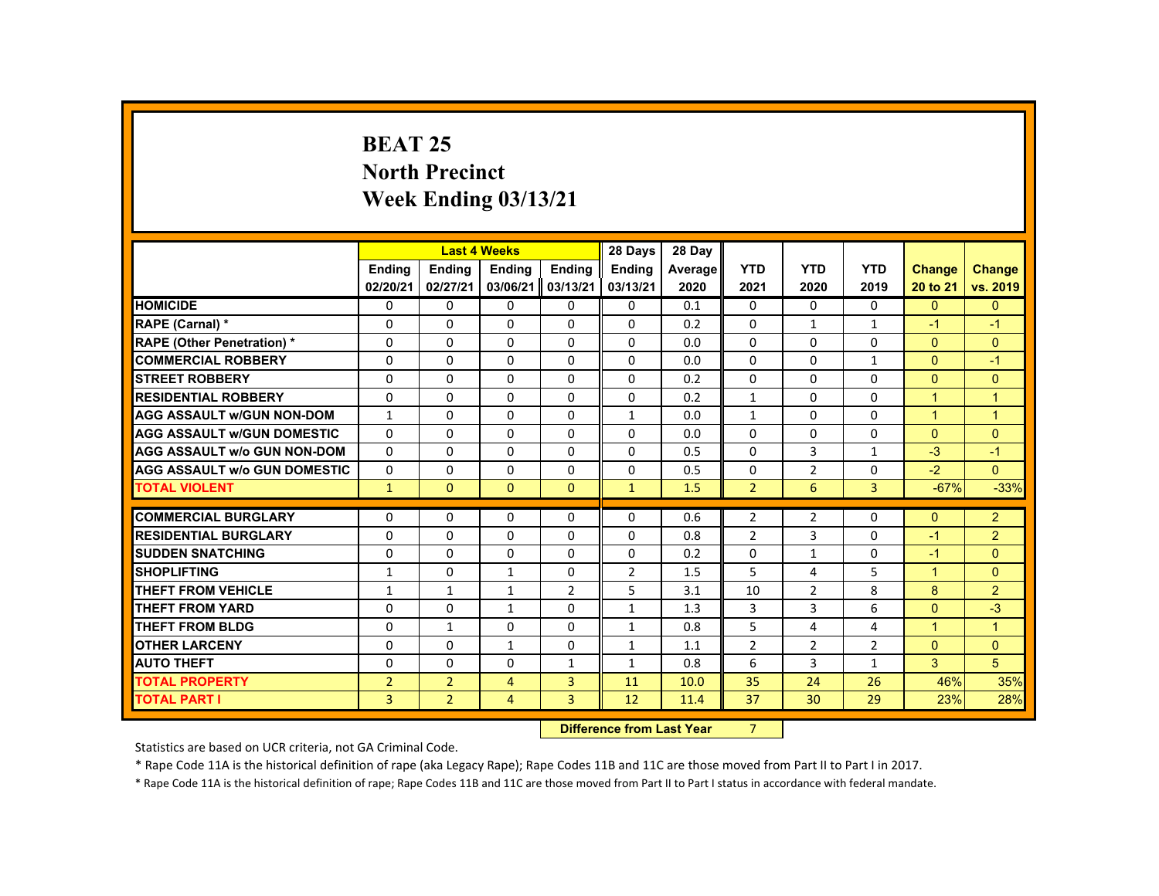# **BEAT 25 North Precinct Week Ending 03/13/21**

|                                     |                 |                | <b>Last 4 Weeks</b> |                | 28 Days        | 28 Day  |                |                |                |                      |                      |
|-------------------------------------|-----------------|----------------|---------------------|----------------|----------------|---------|----------------|----------------|----------------|----------------------|----------------------|
|                                     | <b>Endina</b>   | <b>Endina</b>  | <b>Endina</b>       | <b>Endina</b>  | <b>Endina</b>  | Average | <b>YTD</b>     | <b>YTD</b>     | <b>YTD</b>     | <b>Change</b>        | <b>Change</b>        |
|                                     | 02/20/21        | 02/27/21       | 03/06/21            | 03/13/21       | 03/13/21       | 2020    | 2021           | 2020           | 2019           | 20 to 21             | vs. 2019             |
| <b>HOMICIDE</b>                     | $\mathbf{0}$    | $\Omega$       | $\mathbf{0}$        | $\Omega$       | 0              | 0.1     | 0              | $\Omega$       | $\mathbf{0}$   | $\Omega$             | $\Omega$             |
| RAPE (Carnal) *                     | 0               | $\Omega$       | $\Omega$            | $\Omega$       | $\Omega$       | 0.2     | $\Omega$       | 1              | $\mathbf{1}$   | $-1$                 | $-1$                 |
| <b>RAPE (Other Penetration) *</b>   | $\Omega$        | $\Omega$       | $\Omega$            | $\Omega$       | $\Omega$       | 0.0     | $\Omega$       | $\Omega$       | $\Omega$       | $\Omega$             | $\Omega$             |
| <b>COMMERCIAL ROBBERY</b>           | $\Omega$        | $\Omega$       | $\Omega$            | $\Omega$       | 0              | 0.0     | 0              | 0              | $\mathbf{1}$   | $\Omega$             | $-1$                 |
| <b>STREET ROBBERY</b>               | $\Omega$        | $\Omega$       | $\Omega$            | $\Omega$       | $\Omega$       | 0.2     | $\Omega$       | $\Omega$       | $\Omega$       | $\Omega$             | $\mathbf{0}$         |
| <b>RESIDENTIAL ROBBERY</b>          | $\Omega$        | $\Omega$       | $\Omega$            | $\Omega$       | $\Omega$       | 0.2     | $\mathbf{1}$   | $\Omega$       | $\Omega$       | $\blacktriangleleft$ | $\mathbf{1}$         |
| <b>AGG ASSAULT W/GUN NON-DOM</b>    | $\mathbf{1}$    | $\Omega$       | $\Omega$            | $\Omega$       | $\mathbf{1}$   | 0.0     | $\mathbf{1}$   | $\Omega$       | $\Omega$       | $\blacktriangleleft$ | $\blacktriangleleft$ |
| <b>AGG ASSAULT W/GUN DOMESTIC</b>   | $\Omega$        | $\Omega$       | $\Omega$            | $\Omega$       | $\Omega$       | 0.0     | $\Omega$       | $\Omega$       | $\Omega$       | $\Omega$             | $\Omega$             |
| <b>AGG ASSAULT w/o GUN NON-DOM</b>  | $\Omega$        | $\Omega$       | $\Omega$            | $\Omega$       | $\Omega$       | 0.5     | $\Omega$       | $\overline{3}$ | $\mathbf{1}$   | $-3$                 | $-1$                 |
| <b>AGG ASSAULT W/o GUN DOMESTIC</b> | $\Omega$        | $\Omega$       | $\Omega$            | $\Omega$       | $\Omega$       | 0.5     | $\Omega$       | $\overline{2}$ | $\Omega$       | $-2$                 | $\Omega$             |
| <b>TOTAL VIOLENT</b>                | $\mathbf{1}$    | $\Omega$       | $\mathbf{0}$        | $\mathbf{0}$   | $\mathbf{1}$   | 1.5     | $\overline{2}$ | 6              | 3              | $-67%$               | $-33%$               |
|                                     |                 |                |                     |                |                |         |                |                |                |                      |                      |
| <b>COMMERCIAL BURGLARY</b>          | $\Omega$        | $\Omega$       | $\Omega$            | $\Omega$       | $\Omega$       | 0.6     | $\overline{2}$ | $\overline{2}$ | $\Omega$       | $\Omega$             | $\overline{2}$       |
| <b>RESIDENTIAL BURGLARY</b>         | $\Omega$        | $\Omega$       | $\Omega$            | $\Omega$       | $\Omega$       | 0.8     | $\overline{2}$ | $\overline{3}$ | $\Omega$       | $-1$                 | $\overline{2}$       |
| <b>SUDDEN SNATCHING</b>             | 0               | $\mathbf{0}$   | $\mathbf{0}$        | 0              | 0              | 0.2     | 0              | $\mathbf{1}$   | 0              | $-1$                 | $\mathbf{0}$         |
| <b>SHOPLIFTING</b>                  | $\mathbf{1}$    | $\Omega$       | $\mathbf{1}$        | $\Omega$       | $\overline{2}$ | 1.5     | 5              | 4              | 5              | $\blacktriangleleft$ | $\Omega$             |
| <b>THEFT FROM VEHICLE</b>           | $\mathbf{1}$    | $\mathbf{1}$   | $\mathbf{1}$        | $\overline{2}$ | 5              | 3.1     | 10             | $\overline{2}$ | 8              | 8                    | $\overline{2}$       |
| <b>THEFT FROM YARD</b>              | $\Omega$        | $\Omega$       | $\mathbf{1}$        | $\Omega$       | $\mathbf{1}$   | 1.3     | 3              | $\mathbf{3}$   | 6              | $\Omega$             | $-3$                 |
| <b>THEFT FROM BLDG</b>              | $\Omega$        | $\mathbf{1}$   | $\Omega$            | $\Omega$       | $\mathbf{1}$   | 0.8     | 5              | 4              | 4              | $\mathbf{1}$         | $\mathbf{1}$         |
| <b>OTHER LARCENY</b>                | $\Omega$        | $\Omega$       | $\mathbf{1}$        | $\Omega$       | $\mathbf{1}$   | 1.1     | $\overline{2}$ | $\overline{2}$ | $\overline{2}$ | $\Omega$             | $\Omega$             |
| <b>AUTO THEFT</b>                   | $\Omega$        | $\Omega$       | $\Omega$            | $\mathbf{1}$   | $\mathbf{1}$   | 0.8     | 6              | 3              | $\mathbf{1}$   | 3                    | 5                    |
| <b>TOTAL PROPERTY</b>               | $\overline{2}$  | $\overline{2}$ | $\overline{4}$      | $\overline{3}$ | 11             | 10.0    | 35             | 24             | 26             | 46%                  | 35%                  |
| <b>TOTAL PART I</b>                 | $\overline{3}$  | 2 <sup>1</sup> | $\overline{4}$      | $\overline{3}$ | 12             | 11.4    | 37             | 30             | 29             | 23%                  | 28%                  |
|                                     | <b>INSTEADS</b> |                |                     |                |                |         | $\overline{ }$ |                |                |                      |                      |

 **Difference from Last Year** 7

Statistics are based on UCR criteria, not GA Criminal Code.

\* Rape Code 11A is the historical definition of rape (aka Legacy Rape); Rape Codes 11B and 11C are those moved from Part II to Part I in 2017.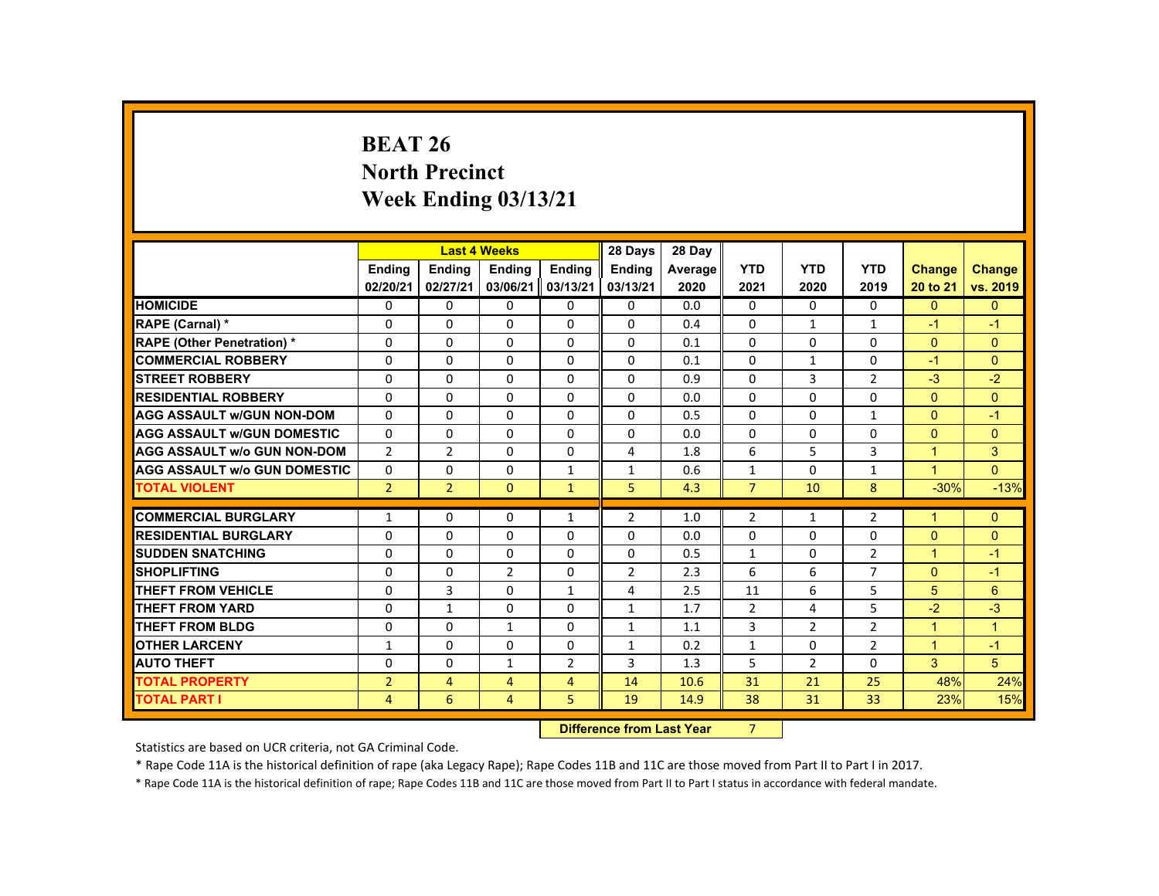# **BEAT 26 North Precinct Week Ending 03/13/21**

|                                     |                | <b>Last 4 Weeks</b> |                |                 | 28 Days        | 28 Day  |                |                |                |                      |                |
|-------------------------------------|----------------|---------------------|----------------|-----------------|----------------|---------|----------------|----------------|----------------|----------------------|----------------|
|                                     | <b>Ending</b>  | <b>Ending</b>       | <b>Ending</b>  | Ending          | <b>Ending</b>  | Average | <b>YTD</b>     | <b>YTD</b>     | <b>YTD</b>     | <b>Change</b>        | <b>Change</b>  |
|                                     | 02/20/21       | 02/27/21            | 03/06/21       | 03/13/21        | 03/13/21       | 2020    | 2021           | 2020           | 2019           | 20 to 21             | vs. 2019       |
| <b>HOMICIDE</b>                     | 0              | $\Omega$            | $\mathbf{0}$   | $\Omega$        | 0              | 0.0     | 0              | $\Omega$       | 0              | $\Omega$             | $\mathbf{0}$   |
| <b>RAPE (Carnal) *</b>              | $\mathbf{0}$   | $\Omega$            | $\mathbf{0}$   | $\Omega$        | $\Omega$       | 0.4     | $\Omega$       | 1              | $\mathbf{1}$   | $-1$                 | $-1$           |
| <b>RAPE (Other Penetration) *</b>   | $\Omega$       | $\Omega$            | $\Omega$       | $\Omega$        | $\Omega$       | 0.1     | $\Omega$       | $\Omega$       | $\Omega$       | $\Omega$             | $\Omega$       |
| <b>COMMERCIAL ROBBERY</b>           | $\Omega$       | $\Omega$            | $\Omega$       | $\Omega$        | $\Omega$       | 0.1     | $\Omega$       | $\mathbf{1}$   | $\Omega$       | $-1$                 | $\Omega$       |
| <b>STREET ROBBERY</b>               | $\Omega$       | $\Omega$            | $\Omega$       | $\Omega$        | $\Omega$       | 0.9     | $\Omega$       | $\overline{3}$ | $\overline{2}$ | $-3$                 | $-2$           |
| <b>RESIDENTIAL ROBBERY</b>          | 0              | $\mathbf{0}$        | $\mathbf{0}$   | $\mathbf{0}$    | 0              | 0.0     | 0              | 0              | 0              | $\Omega$             | $\overline{0}$ |
| <b>AGG ASSAULT W/GUN NON-DOM</b>    | $\Omega$       | $\Omega$            | $\Omega$       | $\Omega$        | 0              | 0.5     | $\Omega$       | $\Omega$       | $\mathbf{1}$   | $\Omega$             | $-1$           |
| <b>AGG ASSAULT W/GUN DOMESTIC</b>   | $\Omega$       | $\Omega$            | $\Omega$       | $\Omega$        | $\Omega$       | 0.0     | $\Omega$       | $\Omega$       | $\Omega$       | $\Omega$             | $\Omega$       |
| <b>AGG ASSAULT w/o GUN NON-DOM</b>  | $\overline{2}$ | $\overline{2}$      | $\Omega$       | $\Omega$        | 4              | 1.8     | 6              | 5              | 3              | $\overline{1}$       | 3              |
| <b>AGG ASSAULT W/o GUN DOMESTIC</b> | $\Omega$       | $\Omega$            | $\Omega$       | $\mathbf{1}$    | $\mathbf{1}$   | 0.6     | $\mathbf{1}$   | $\Omega$       | $\mathbf{1}$   | $\blacktriangleleft$ | $\Omega$       |
| <b>TOTAL VIOLENT</b>                | $\overline{2}$ | 2 <sup>1</sup>      | $\mathbf{0}$   | $\mathbf{1}$    | 5              | 4.3     | $\overline{7}$ | 10             | 8              | $-30%$               | $-13%$         |
|                                     |                |                     |                |                 |                |         |                |                |                |                      |                |
| <b>COMMERCIAL BURGLARY</b>          | $\mathbf{1}$   | $\Omega$            | $\Omega$       | $\mathbf{1}$    | $\overline{2}$ | 1.0     | $\overline{2}$ | $\mathbf{1}$   | $\overline{2}$ | $\blacktriangleleft$ | $\Omega$       |
| <b>RESIDENTIAL BURGLARY</b>         | $\Omega$       | $\Omega$            | $\Omega$       | $\Omega$        | $\Omega$       | 0.0     | $\Omega$       | $\Omega$       | $\Omega$       | $\Omega$             | $\Omega$       |
| <b>SUDDEN SNATCHING</b>             | $\Omega$       | $\mathbf{0}$        | $\mathbf{0}$   | 0               | 0              | 0.5     | $\mathbf{1}$   | 0              | $\overline{2}$ | $\blacktriangleleft$ | $-1$           |
| <b>SHOPLIFTING</b>                  | $\Omega$       | $\Omega$            | 2              | $\Omega$        | 2              | 2.3     | 6              | 6              | $\overline{7}$ | $\Omega$             | $-1$           |
| <b>THEFT FROM VEHICLE</b>           | $\Omega$       | 3                   | $\Omega$       | $\mathbf{1}$    | 4              | 2.5     | 11             | 6              | 5              | 5                    | $6\phantom{1}$ |
| <b>THEFT FROM YARD</b>              | $\Omega$       | $\mathbf{1}$        | $\Omega$       | $\Omega$        | $\mathbf{1}$   | 1.7     | $\overline{2}$ | 4              | 5              | $-2$                 | $-3$           |
| <b>THEFT FROM BLDG</b>              | $\Omega$       | $\Omega$            | $\mathbf{1}$   | $\Omega$        | $\mathbf{1}$   | 1.1     | 3              | $\overline{2}$ | $\overline{2}$ | $\mathbf{1}$         | $\mathbf{1}$   |
| <b>OTHER LARCENY</b>                | 1              | $\Omega$            | $\Omega$       | $\Omega$        | $\mathbf{1}$   | 0.2     | $\mathbf{1}$   | 0              | $\overline{2}$ | $\overline{1}$       | $-1$           |
| <b>AUTO THEFT</b>                   | $\Omega$       | $\Omega$            | $\mathbf{1}$   | $\overline{2}$  | 3              | 1.3     | 5              | $\overline{2}$ | $\Omega$       | 3                    | 5 <sup>1</sup> |
| <b>TOTAL PROPERTY</b>               | $\overline{2}$ | $\overline{4}$      | $\overline{4}$ | $\overline{4}$  | 14             | 10.6    | 31             | 21             | 25             | 48%                  | 24%            |
| <b>TOTAL PART I</b>                 | $\overline{4}$ | 6                   | $\overline{4}$ | 5               | 19             | 14.9    | 38             | 31             | 33             | 23%                  | 15%            |
|                                     |                |                     |                | <b>CALLED A</b> |                |         |                |                |                |                      |                |

 **Difference from Last Year** 7

Statistics are based on UCR criteria, not GA Criminal Code.

\* Rape Code 11A is the historical definition of rape (aka Legacy Rape); Rape Codes 11B and 11C are those moved from Part II to Part I in 2017.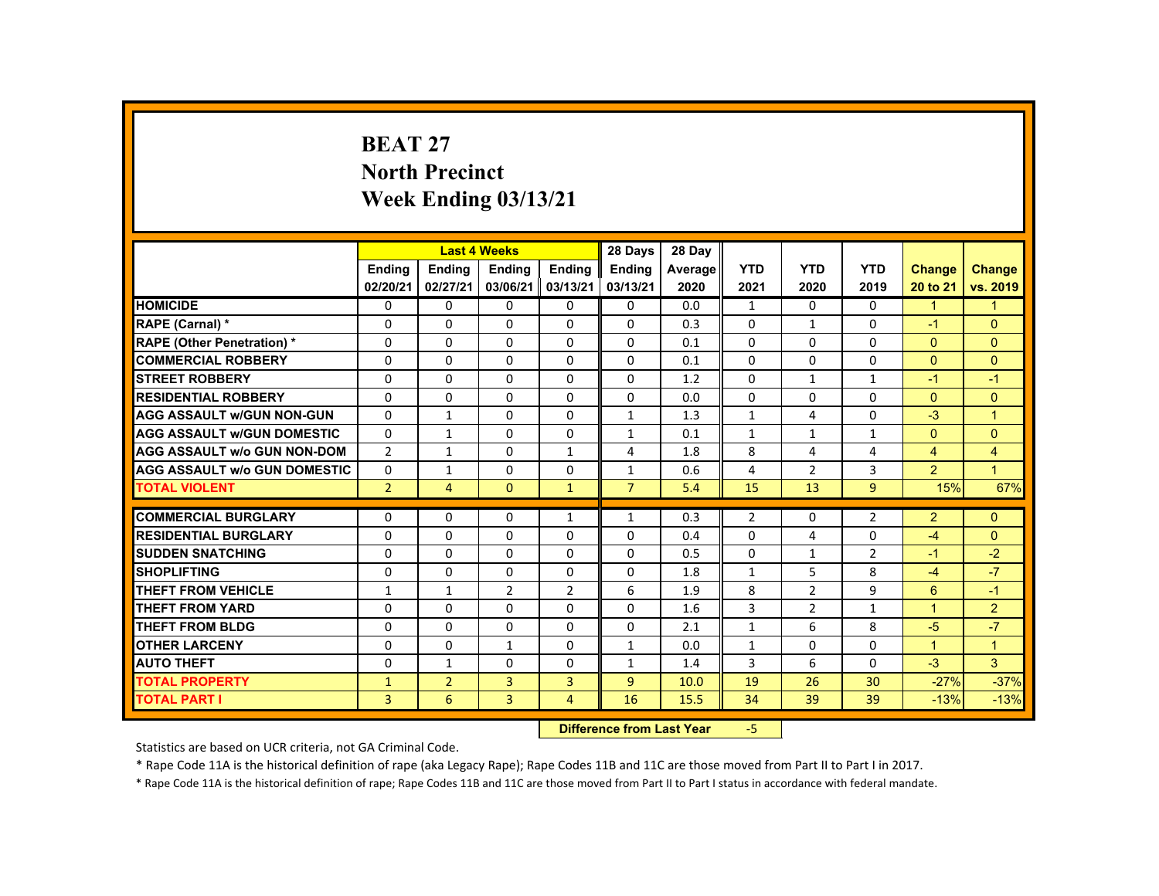# **BEAT 27 North Precinct Week Ending 03/13/21**

|                                     |                |                | <b>Last 4 Weeks</b>              |                | 28 Days        | 28 Day  |                |                |                |                |                      |
|-------------------------------------|----------------|----------------|----------------------------------|----------------|----------------|---------|----------------|----------------|----------------|----------------|----------------------|
|                                     | <b>Ending</b>  | <b>Ending</b>  | <b>Ending</b>                    | <b>Ending</b>  | <b>Endina</b>  | Average | <b>YTD</b>     | <b>YTD</b>     | <b>YTD</b>     | <b>Change</b>  | Change               |
|                                     | 02/20/21       | 02/27/21       | 03/06/21                         | 03/13/21       | 03/13/21       | 2020    | 2021           | 2020           | 2019           | 20 to 21       | vs. 2019             |
| <b>HOMICIDE</b>                     | 0              | $\Omega$       | $\Omega$                         | $\Omega$       | 0              | 0.0     | $\mathbf{1}$   | $\Omega$       | $\Omega$       | $\mathbf{1}$   | $\mathbf{1}$         |
| RAPE (Carnal) *                     | $\Omega$       | $\Omega$       | $\Omega$                         | $\Omega$       | $\Omega$       | 0.3     | $\Omega$       | $\mathbf{1}$   | $\Omega$       | $-1$           | $\Omega$             |
| <b>RAPE (Other Penetration) *</b>   | $\Omega$       | $\Omega$       | $\Omega$                         | $\Omega$       | $\Omega$       | 0.1     | $\Omega$       | $\Omega$       | $\Omega$       | $\Omega$       | $\Omega$             |
| <b>COMMERCIAL ROBBERY</b>           | $\Omega$       | $\Omega$       | $\Omega$                         | $\Omega$       | $\Omega$       | 0.1     | $\Omega$       | $\Omega$       | $\Omega$       | $\Omega$       | $\Omega$             |
| <b>STREET ROBBERY</b>               | $\Omega$       | $\Omega$       | $\Omega$                         | $\Omega$       | $\Omega$       | 1.2     | $\Omega$       | $\mathbf{1}$   | $\mathbf{1}$   | $-1$           | $-1$                 |
| <b>RESIDENTIAL ROBBERY</b>          | $\Omega$       | $\Omega$       | $\Omega$                         | $\Omega$       | $\Omega$       | 0.0     | $\Omega$       | $\Omega$       | $\Omega$       | $\Omega$       | $\Omega$             |
| <b>AGG ASSAULT w/GUN NON-GUN</b>    | $\Omega$       | $\mathbf{1}$   | $\Omega$                         | $\Omega$       | $\mathbf{1}$   | 1.3     | $\mathbf{1}$   | $\overline{4}$ | $\Omega$       | $-3$           | $\overline{1}$       |
| <b>AGG ASSAULT W/GUN DOMESTIC</b>   | $\Omega$       | $\mathbf{1}$   | $\Omega$                         | $\Omega$       | $\mathbf{1}$   | 0.1     | $\mathbf{1}$   | $\mathbf{1}$   | $\mathbf{1}$   | $\Omega$       | $\Omega$             |
| <b>AGG ASSAULT w/o GUN NON-DOM</b>  | $\overline{2}$ | $\mathbf{1}$   | $\mathbf{0}$                     | 1              | 4              | 1.8     | 8              | 4              | 4              | $\overline{4}$ | $\overline{4}$       |
| <b>AGG ASSAULT w/o GUN DOMESTIC</b> | $\Omega$       | $\mathbf{1}$   | $\Omega$                         | $\Omega$       | 1              | 0.6     | 4              | $\overline{2}$ | 3              | $\overline{2}$ | $\blacktriangleleft$ |
| <b>TOTAL VIOLENT</b>                | $\overline{2}$ | $\overline{4}$ | $\Omega$                         | $\mathbf{1}$   | $\overline{7}$ | 5.4     | 15             | 13             | $\overline{9}$ | 15%            | 67%                  |
| <b>COMMERCIAL BURGLARY</b>          | $\Omega$       | $\mathbf{0}$   | $\mathbf{0}$                     | $\mathbf{1}$   | $\mathbf{1}$   | 0.3     | $\overline{2}$ | 0              | $\overline{2}$ | $\overline{2}$ | $\mathbf{0}$         |
| <b>RESIDENTIAL BURGLARY</b>         | $\Omega$       | $\Omega$       | $\Omega$                         | $\Omega$       | $\Omega$       | 0.4     | $\Omega$       | 4              | 0              | $-4$           | $\overline{0}$       |
| <b>SUDDEN SNATCHING</b>             | $\Omega$       | $\Omega$       | $\Omega$                         | $\Omega$       | $\Omega$       | 0.5     | $\Omega$       | $\mathbf{1}$   | $\overline{2}$ | $-1$           | $-2$                 |
| <b>SHOPLIFTING</b>                  | 0              | $\mathbf 0$    | $\mathbf{0}$                     | $\mathbf{0}$   | 0              | 1.8     | $\mathbf{1}$   | 5              | 8              | $-4$           | $-7$                 |
| <b>THEFT FROM VEHICLE</b>           | $\mathbf{1}$   | $\mathbf{1}$   | $\overline{2}$                   | $\overline{2}$ | 6              | 1.9     | 8              | $\overline{2}$ | 9              | 6              | $-1$                 |
| <b>THEFT FROM YARD</b>              | $\Omega$       | $\Omega$       | $\Omega$                         | $\Omega$       | $\Omega$       | 1.6     | 3              | $\overline{2}$ | $\mathbf{1}$   | $\overline{1}$ | $\overline{2}$       |
| <b>THEFT FROM BLDG</b>              | $\Omega$       | $\Omega$       | $\Omega$                         | $\Omega$       | $\Omega$       | 2.1     | $\mathbf{1}$   | 6              | 8              | $-5$           | $-7$                 |
| <b>OTHER LARCENY</b>                | $\mathbf{0}$   | $\Omega$       | $\mathbf{1}$                     | $\Omega$       | $\mathbf{1}$   | 0.0     | $\mathbf{1}$   | $\Omega$       | $\Omega$       | $\mathbf{1}$   | $\blacktriangleleft$ |
| <b>AUTO THEFT</b>                   | $\Omega$       | $\mathbf{1}$   | $\Omega$                         | $\Omega$       | 1              | 1.4     | 3              | 6              | $\Omega$       | $-3$           | $\mathbf{3}$         |
| <b>TOTAL PROPERTY</b>               | $\mathbf{1}$   | $\overline{2}$ | 3                                | $\overline{3}$ | $\overline{9}$ | 10.0    | 19             | 26             | 30             | $-27%$         | $-37%$               |
| <b>TOTAL PART I</b>                 | $\overline{3}$ | 6              | $\overline{3}$                   | $\overline{4}$ | 16             | 15.5    | 34             | 39             | 39             | $-13%$         | $-13%$               |
|                                     |                |                | <b>Difference from Last Year</b> |                | $-5$           |         |                |                |                |                |                      |

Statistics are based on UCR criteria, not GA Criminal Code.

\* Rape Code 11A is the historical definition of rape (aka Legacy Rape); Rape Codes 11B and 11C are those moved from Part II to Part I in 2017.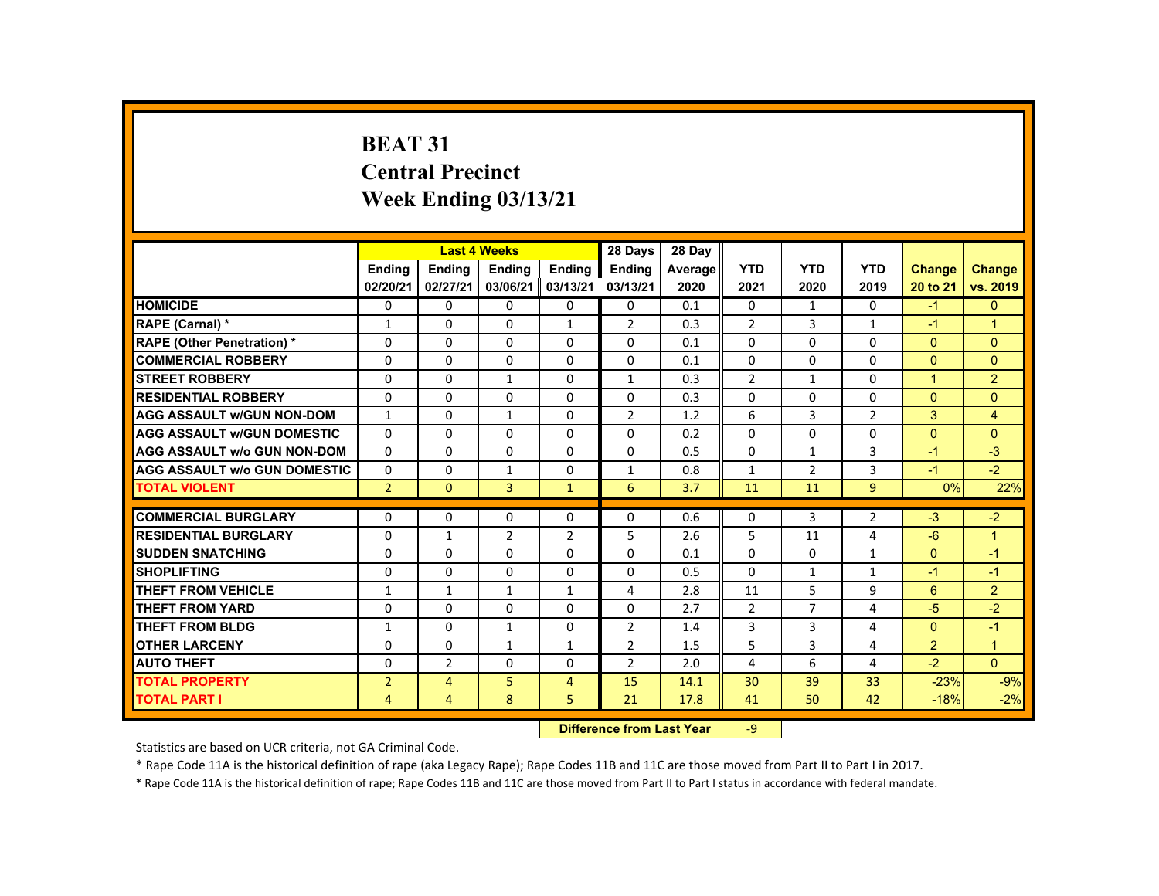# **BEAT 31 Central Precinct Week Ending 03/13/21**

|                                     |                           |                | <b>Last 4 Weeks</b> |                | 28 Days        | 28 Day  |                |                |                |               |                      |
|-------------------------------------|---------------------------|----------------|---------------------|----------------|----------------|---------|----------------|----------------|----------------|---------------|----------------------|
|                                     | <b>Ending</b>             | <b>Ending</b>  | <b>Ending</b>       | <b>Ending</b>  | <b>Endina</b>  | Average | <b>YTD</b>     | <b>YTD</b>     | <b>YTD</b>     | <b>Change</b> | <b>Change</b>        |
|                                     | 02/20/21                  | 02/27/21       | 03/06/21            | 03/13/21       | 03/13/21       | 2020    | 2021           | 2020           | 2019           | 20 to 21      | vs. 2019             |
| <b>HOMICIDE</b>                     | 0                         | $\Omega$       | $\Omega$            | $\Omega$       | $\Omega$       | 0.1     | 0              | 1              | 0              | $-1$          | $\mathbf{0}$         |
| RAPE (Carnal) *                     | $\mathbf{1}$              | $\Omega$       | $\Omega$            | $\mathbf{1}$   | $\overline{2}$ | 0.3     | $\overline{2}$ | 3              | $\mathbf{1}$   | $-1$          | $\blacktriangleleft$ |
| <b>RAPE (Other Penetration) *</b>   | $\Omega$                  | $\Omega$       | $\Omega$            | $\Omega$       | $\Omega$       | 0.1     | $\Omega$       | $\Omega$       | $\Omega$       | $\Omega$      | $\Omega$             |
| <b>COMMERCIAL ROBBERY</b>           | $\mathbf{0}$              | $\Omega$       | $\Omega$            | $\Omega$       | $\Omega$       | 0.1     | $\Omega$       | $\Omega$       | $\mathbf{0}$   | $\Omega$      | $\Omega$             |
| <b>STREET ROBBERY</b>               | $\Omega$                  | $\Omega$       | $\mathbf{1}$        | $\Omega$       | $\mathbf{1}$   | 0.3     | $\overline{2}$ | $\mathbf{1}$   | $\Omega$       | $\mathbf{1}$  | $\overline{2}$       |
| <b>RESIDENTIAL ROBBERY</b>          | $\Omega$                  | $\Omega$       | $\mathbf{0}$        | $\mathbf{0}$   | 0              | 0.3     | 0              | 0              | 0              | $\mathbf{0}$  | $\mathbf{0}$         |
| <b>AGG ASSAULT W/GUN NON-DOM</b>    | $\mathbf{1}$              | $\Omega$       | $\mathbf{1}$        | $\Omega$       | 2              | 1.2     | 6              | 3              | $\overline{2}$ | 3             | $\overline{4}$       |
| <b>AGG ASSAULT W/GUN DOMESTIC</b>   | $\mathbf{0}$              | $\Omega$       | $\Omega$            | $\Omega$       | $\Omega$       | 0.2     | $\Omega$       | $\Omega$       | 0              | $\Omega$      | $\Omega$             |
| <b>AGG ASSAULT w/o GUN NON-DOM</b>  | $\Omega$                  | $\Omega$       | $\Omega$            | $\Omega$       | $\Omega$       | 0.5     | $\Omega$       | $\mathbf{1}$   | $\overline{3}$ | $-1$          | $-3$                 |
| <b>AGG ASSAULT W/o GUN DOMESTIC</b> | $\Omega$                  | $\Omega$       | 1                   | $\Omega$       | $\mathbf{1}$   | 0.8     | $\mathbf{1}$   | $\overline{2}$ | 3              | $-1$          | $-2$                 |
| <b>TOTAL VIOLENT</b>                | $\overline{2}$            | $\mathbf{0}$   | $\overline{3}$      | $\mathbf{1}$   | 6              | 3.7     | 11             | 11             | 9              | 0%            | 22%                  |
| <b>COMMERCIAL BURGLARY</b>          | $\Omega$                  | $\Omega$       | $\Omega$            | $\mathbf{0}$   | 0              | 0.6     | $\Omega$       | 3              | $\overline{2}$ | $-3$          | $-2$                 |
| <b>RESIDENTIAL BURGLARY</b>         | $\Omega$                  | $\mathbf{1}$   | $\overline{2}$      | $\overline{2}$ | 5              | 2.6     | 5              | 11             | 4              | $-6$          | 1                    |
| <b>SUDDEN SNATCHING</b>             | $\Omega$                  | $\Omega$       | $\Omega$            | $\Omega$       | $\Omega$       | 0.1     | $\Omega$       | $\Omega$       | $\mathbf{1}$   | $\Omega$      | $-1$                 |
| <b>SHOPLIFTING</b>                  | $\Omega$                  | $\Omega$       | $\Omega$            | $\Omega$       | $\Omega$       | 0.5     | $\Omega$       | $\mathbf{1}$   | $\mathbf{1}$   | $-1$          | $-1$                 |
| THEFT FROM VEHICLE                  | $\mathbf{1}$              | $\mathbf{1}$   | $\mathbf{1}$        | $\mathbf{1}$   | 4              | 2.8     | 11             | 5              | 9              | 6             | $\overline{2}$       |
| <b>THEFT FROM YARD</b>              | 0                         | $\Omega$       | $\mathbf{0}$        | $\mathbf{0}$   | 0              | 2.7     | 2              | $\overline{7}$ | 4              | $-5$          | $-2$                 |
| <b>THEFT FROM BLDG</b>              | $\mathbf{1}$              | $\Omega$       | $\mathbf{1}$        | $\Omega$       | $\overline{2}$ | 1.4     | 3              | 3              | 4              | $\mathbf{0}$  | $-1$                 |
| <b>OTHER LARCENY</b>                | $\Omega$                  | $\Omega$       | $\mathbf{1}$        | $\mathbf{1}$   | 2              | 1.5     | 5              | 3              | 4              | 2             | $\overline{1}$       |
| <b>AUTO THEFT</b>                   | $\Omega$                  | $\overline{2}$ | $\Omega$            | $\Omega$       | $\overline{2}$ | 2.0     | 4              | 6              | 4              | $-2$          | $\mathbf{0}$         |
| <b>TOTAL PROPERTY</b>               | $\overline{2}$            | $\overline{4}$ | 5                   | $\overline{4}$ | 15             | 14.1    | 30             | 39             | 33             | $-23%$        | $-9%$                |
| TOTAL PART I                        | 4                         | 4              | 8                   | 5              | 21             | 17.8    | 41             | 50             | 42             | $-18%$        | $-2%$                |
|                                     | Difference from Last Vear |                |                     |                |                |         | $\Omega$       |                |                |               |                      |

 **Difference from Last Year**‐9

Statistics are based on UCR criteria, not GA Criminal Code.

\* Rape Code 11A is the historical definition of rape (aka Legacy Rape); Rape Codes 11B and 11C are those moved from Part II to Part I in 2017.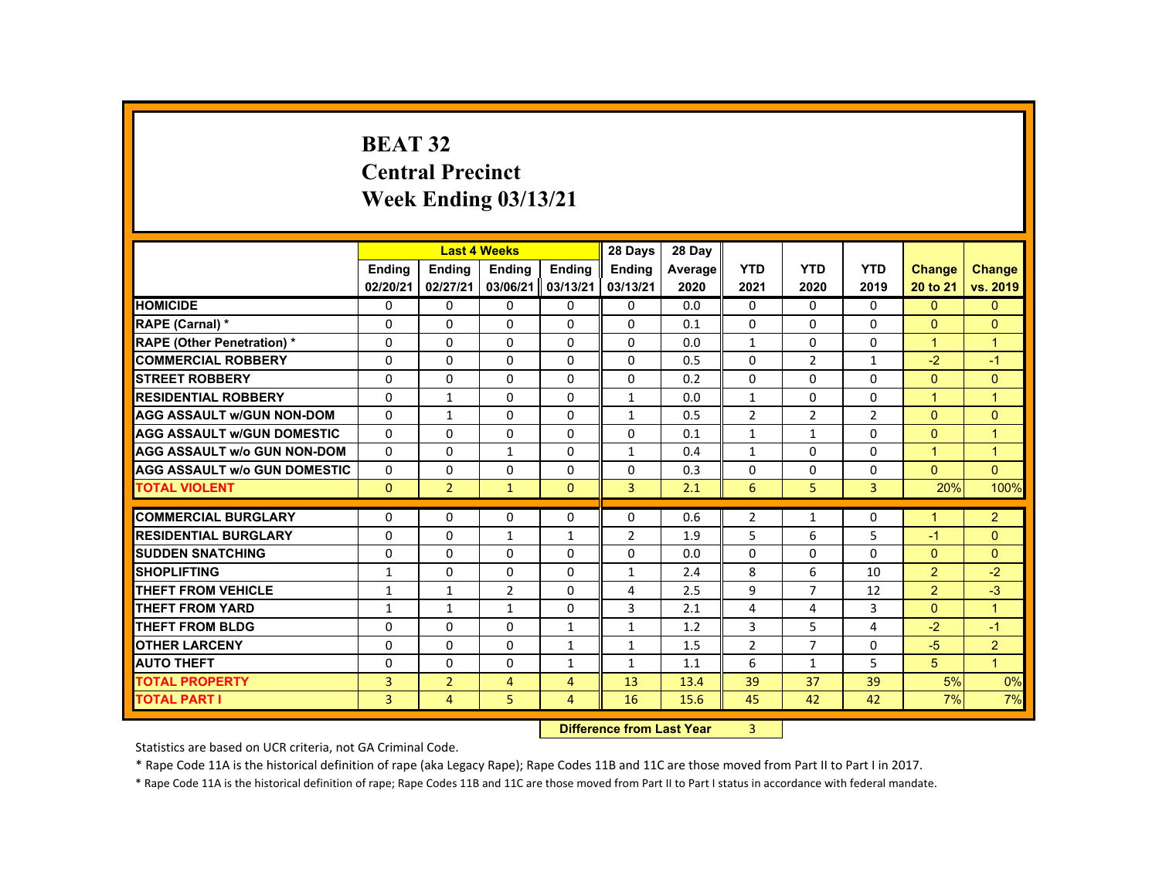# **BEAT 32 Central PrecinctWeek Ending 03/13/21**

|                                     |               |                | <b>Last 4 Weeks</b> |                | 28 Days                                                                                                                                                                                                                        | 28 Day  |                |                |                |                      |                |
|-------------------------------------|---------------|----------------|---------------------|----------------|--------------------------------------------------------------------------------------------------------------------------------------------------------------------------------------------------------------------------------|---------|----------------|----------------|----------------|----------------------|----------------|
|                                     | <b>Ending</b> | <b>Ending</b>  | <b>Ending</b>       | <b>Endina</b>  | <b>Ending</b>                                                                                                                                                                                                                  | Average | <b>YTD</b>     | <b>YTD</b>     | <b>YTD</b>     | <b>Change</b>        | <b>Change</b>  |
|                                     | 02/20/21      | 02/27/21       | 03/06/21            | 03/13/21       | 03/13/21                                                                                                                                                                                                                       | 2020    | 2021           | 2020           | 2019           | 20 to 21             | vs. 2019       |
| <b>HOMICIDE</b>                     | 0             | $\Omega$       | 0                   | $\Omega$       | 0                                                                                                                                                                                                                              | 0.0     | $\mathbf{0}$   | 0              | $\mathbf{0}$   | $\mathbf{0}$         | $\mathbf{0}$   |
| <b>RAPE (Carnal) *</b>              | 0             | $\Omega$       | 0                   | $\Omega$       | $\Omega$                                                                                                                                                                                                                       | 0.1     | $\Omega$       | 0              | 0              | $\Omega$             | $\Omega$       |
| <b>RAPE (Other Penetration) *</b>   | $\Omega$      | $\Omega$       | $\Omega$            | $\Omega$       | $\Omega$                                                                                                                                                                                                                       | 0.0     | $\mathbf{1}$   | $\Omega$       | $\Omega$       | $\mathbf{1}$         | $\overline{1}$ |
| <b>COMMERCIAL ROBBERY</b>           | $\Omega$      | $\Omega$       | $\Omega$            | $\Omega$       | $\Omega$                                                                                                                                                                                                                       | 0.5     | $\Omega$       | $\overline{2}$ | $\mathbf{1}$   | $-2$                 | $-1$           |
| <b>STREET ROBBERY</b>               | $\Omega$      | $\Omega$       | $\Omega$            | $\Omega$       | $\Omega$                                                                                                                                                                                                                       | 0.2     | $\Omega$       | $\Omega$       | $\Omega$       | $\Omega$             | $\Omega$       |
| <b>RESIDENTIAL ROBBERY</b>          | 0             | $\mathbf{1}$   | 0                   | 0              | $\mathbf{1}$                                                                                                                                                                                                                   | 0.0     | $\mathbf{1}$   | 0              | 0              | $\mathbf{1}$         | $\overline{1}$ |
| <b>AGG ASSAULT W/GUN NON-DOM</b>    | 0             | $\mathbf{1}$   | 0                   | $\Omega$       | $\mathbf{1}$                                                                                                                                                                                                                   | 0.5     | $\overline{2}$ | 2              | $\overline{2}$ | $\Omega$             | $\mathbf{0}$   |
| <b>AGG ASSAULT W/GUN DOMESTIC</b>   | $\Omega$      | $\Omega$       | $\Omega$            | $\Omega$       | $\Omega$                                                                                                                                                                                                                       | 0.1     | $\mathbf{1}$   | $\mathbf{1}$   | $\Omega$       | $\Omega$             | $\overline{1}$ |
| <b>AGG ASSAULT W/o GUN NON-DOM</b>  | $\Omega$      | $\Omega$       | $\mathbf{1}$        | $\Omega$       | $\mathbf{1}$                                                                                                                                                                                                                   | 0.4     | $\mathbf{1}$   | $\Omega$       | $\Omega$       | $\mathbf{1}$         | $\overline{1}$ |
| <b>AGG ASSAULT W/o GUN DOMESTIC</b> | $\Omega$      | $\Omega$       | $\Omega$            | $\Omega$       | $\Omega$                                                                                                                                                                                                                       | 0.3     | $\Omega$       | $\Omega$       | $\Omega$       | $\Omega$             | $\Omega$       |
| <b>TOTAL VIOLENT</b>                | $\mathbf{0}$  | $\overline{2}$ | $\mathbf{1}$        | $\mathbf{0}$   | 3                                                                                                                                                                                                                              | 2.1     | 6              | 5              | $\overline{3}$ | 20%                  | 100%           |
|                                     |               |                |                     |                |                                                                                                                                                                                                                                |         |                |                |                |                      |                |
| <b>COMMERCIAL BURGLARY</b>          | $\Omega$      | $\Omega$       | 0                   | 0              | $\Omega$                                                                                                                                                                                                                       | 0.6     | $\overline{2}$ | $\mathbf{1}$   | $\Omega$       | $\blacktriangleleft$ | $\overline{2}$ |
| <b>RESIDENTIAL BURGLARY</b>         | $\Omega$      | $\Omega$       | $\mathbf{1}$        | $\mathbf{1}$   | $\overline{2}$                                                                                                                                                                                                                 | 1.9     | 5              | 6              | 5              | $-1$                 | $\Omega$       |
| <b>SUDDEN SNATCHING</b>             | 0             | $\mathbf{0}$   | 0                   | 0              | 0                                                                                                                                                                                                                              | 0.0     | 0              | 0              | $\Omega$       | $\Omega$             | $\mathbf{0}$   |
| <b>SHOPLIFTING</b>                  | 1             | $\mathbf{0}$   | $\Omega$            | $\Omega$       | $\mathbf{1}$                                                                                                                                                                                                                   | 2.4     | 8              | 6              | 10             | $\overline{2}$       | $-2$           |
| <b>THEFT FROM VEHICLE</b>           | $\mathbf{1}$  | $\mathbf{1}$   | $\overline{2}$      | $\Omega$       | 4                                                                                                                                                                                                                              | 2.5     | 9              | $\overline{7}$ | 12             | $\overline{2}$       | $-3$           |
| <b>THEFT FROM YARD</b>              | $\mathbf{1}$  | $\mathbf{1}$   | $\mathbf{1}$        | $\Omega$       | 3                                                                                                                                                                                                                              | 2.1     | 4              | 4              | 3              | $\Omega$             | $\overline{1}$ |
| <b>THEFT FROM BLDG</b>              | $\Omega$      | $\Omega$       | $\Omega$            | $\mathbf{1}$   | $\mathbf{1}$                                                                                                                                                                                                                   | 1.2     | 3              | 5              | 4              | $-2$                 | $-1$           |
| <b>OTHER LARCENY</b>                | $\Omega$      | $\Omega$       | $\Omega$            | $\mathbf{1}$   | $\mathbf{1}$                                                                                                                                                                                                                   | 1.5     | $\overline{2}$ | $\overline{7}$ | 0              | $-5$                 | $\overline{2}$ |
| <b>AUTO THEFT</b>                   | $\Omega$      | $\Omega$       | $\Omega$            | $\mathbf{1}$   | $\mathbf{1}$                                                                                                                                                                                                                   | 1.1     | 6              | $\mathbf{1}$   | 5              | 5                    | $\overline{1}$ |
| <b>TOTAL PROPERTY</b>               | 3             | $\overline{2}$ | $\overline{4}$      | $\overline{4}$ | 13                                                                                                                                                                                                                             | 13.4    | 39             | 37             | 39             | 5%                   | 0%             |
| <b>TOTAL PART I</b>                 | 3             | $\overline{4}$ | 5                   | $\overline{4}$ | 16                                                                                                                                                                                                                             | 15.6    | 45             | 42             | 42             | 7%                   | 7%             |
|                                     | <b>CARLES</b> |                |                     |                | and the second control of the second second second to the second second second the second second second second second second second second second second second second second second second second second second second second |         | $\sim$         |                |                |                      |                |

 **Difference from Last Year**r 3

Statistics are based on UCR criteria, not GA Criminal Code.

\* Rape Code 11A is the historical definition of rape (aka Legacy Rape); Rape Codes 11B and 11C are those moved from Part II to Part I in 2017.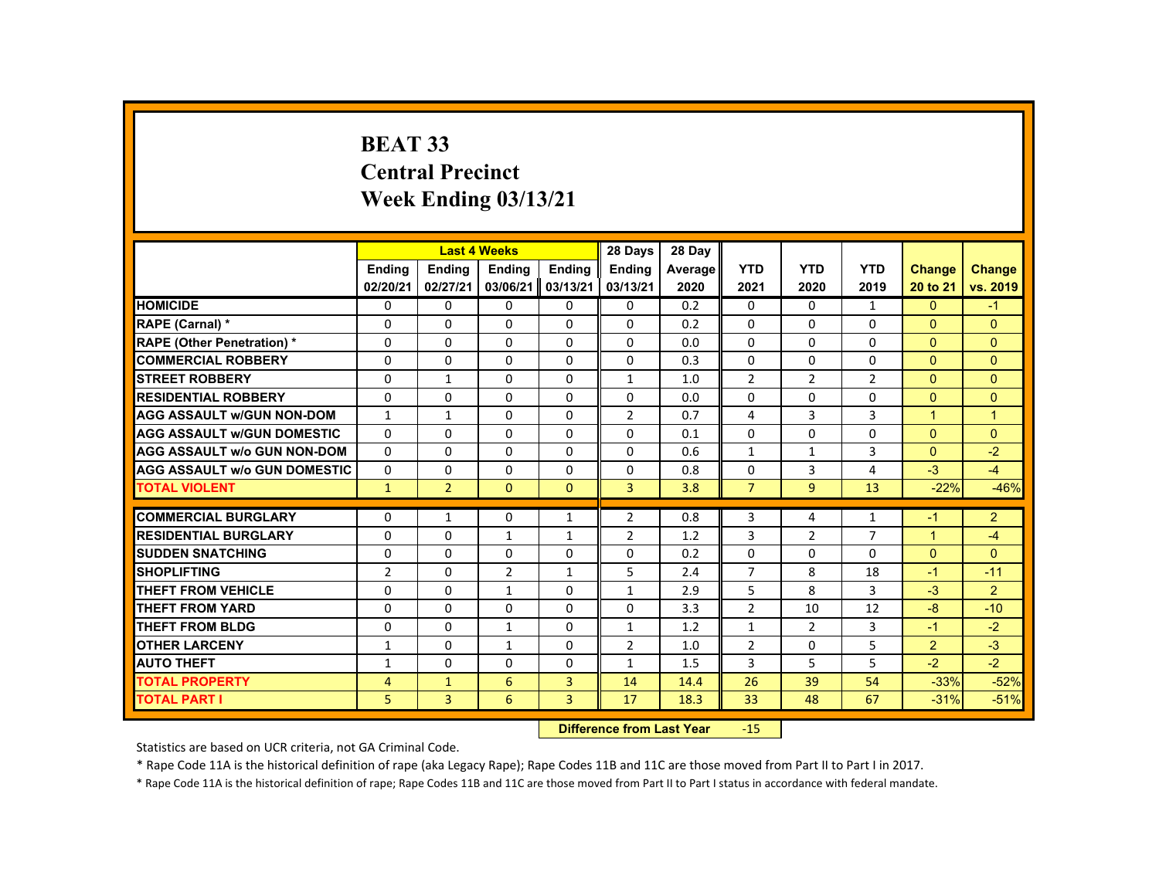# **BEAT 33 Central Precinct Week Ending 03/13/21**

|                                     |                |                | <b>Last 4 Weeks</b>              |              | 28 Days        | 28 Day  |                |                |                |                |                |
|-------------------------------------|----------------|----------------|----------------------------------|--------------|----------------|---------|----------------|----------------|----------------|----------------|----------------|
|                                     | Ending         | <b>Ending</b>  | <b>Ending</b>                    | Ending       | <b>Ending</b>  | Average | <b>YTD</b>     | <b>YTD</b>     | <b>YTD</b>     | <b>Change</b>  | <b>Change</b>  |
|                                     | 02/20/21       | 02/27/21       | 03/06/21                         | 03/13/21     | 03/13/21       | 2020    | 2021           | 2020           | 2019           | 20 to 21       | vs. 2019       |
| <b>HOMICIDE</b>                     | 0              | 0              | 0                                | 0            | 0              | 0.2     | 0              | 0              | $\mathbf{1}$   | $\mathbf{0}$   | $-1$           |
| RAPE (Carnal) *                     | 0              | $\Omega$       | $\Omega$                         | $\Omega$     | 0              | 0.2     | $\Omega$       | $\Omega$       | $\Omega$       | $\Omega$       | $\Omega$       |
| <b>RAPE (Other Penetration) *</b>   | 0              | $\Omega$       | $\Omega$                         | 0            | 0              | 0.0     | $\Omega$       | $\Omega$       | $\Omega$       | $\Omega$       | $\mathbf{0}$   |
| <b>COMMERCIAL ROBBERY</b>           | $\Omega$       | $\Omega$       | $\Omega$                         | $\Omega$     | $\Omega$       | 0.3     | $\Omega$       | $\Omega$       | $\Omega$       | $\Omega$       | $\Omega$       |
| <b>STREET ROBBERY</b>               | $\Omega$       | $\mathbf{1}$   | $\Omega$                         | $\Omega$     | 1              | 1.0     | $\overline{2}$ | $\overline{2}$ | $\overline{2}$ | $\Omega$       | $\Omega$       |
| <b>RESIDENTIAL ROBBERY</b>          | $\Omega$       | $\Omega$       | $\Omega$                         | $\Omega$     | $\Omega$       | 0.0     | $\Omega$       | $\Omega$       | $\Omega$       | $\Omega$       | $\Omega$       |
| <b>AGG ASSAULT w/GUN NON-DOM</b>    | $\mathbf{1}$   | $\mathbf{1}$   | $\Omega$                         | $\Omega$     | $\overline{2}$ | 0.7     | $\overline{4}$ | 3              | 3              | $\overline{1}$ | $\overline{1}$ |
| <b>AGG ASSAULT W/GUN DOMESTIC</b>   | $\Omega$       | $\Omega$       | $\Omega$                         | $\Omega$     | $\Omega$       | 0.1     | $\Omega$       | $\Omega$       | $\Omega$       | $\Omega$       | $\Omega$       |
| <b>AGG ASSAULT w/o GUN NON-DOM</b>  | 0              | 0              | 0                                | 0            | 0              | 0.6     | $\mathbf{1}$   | 1              | 3              | $\Omega$       | $-2$           |
| <b>AGG ASSAULT W/o GUN DOMESTIC</b> | $\Omega$       | 0              | $\Omega$                         | $\Omega$     | $\Omega$       | 0.8     | $\Omega$       | 3              | 4              | $-3$           | $-4$           |
| <b>TOTAL VIOLENT</b>                | $\mathbf{1}$   | $\overline{2}$ | $\mathbf{0}$                     | $\mathbf{0}$ | 3              | 3.8     | $\overline{7}$ | 9              | 13             | $-22%$         | $-46%$         |
| <b>COMMERCIAL BURGLARY</b>          | 0              | $\mathbf{1}$   | 0                                | $\mathbf{1}$ | $\overline{2}$ | 0.8     | 3              | 4              | 1              | $-1$           | $\overline{2}$ |
| <b>RESIDENTIAL BURGLARY</b>         | 0              | $\Omega$       | $\mathbf{1}$                     | $\mathbf{1}$ | $\overline{2}$ | 1.2     | 3              | 2              | $\overline{7}$ | $\overline{1}$ | $-4$           |
| <b>SUDDEN SNATCHING</b>             | $\Omega$       | $\Omega$       | $\Omega$                         | $\Omega$     | $\Omega$       | 0.2     | $\Omega$       | $\Omega$       | $\Omega$       | $\Omega$       | $\Omega$       |
| <b>SHOPLIFTING</b>                  | $\overline{2}$ | $\Omega$       | $\overline{2}$                   | $\mathbf{1}$ | 5              | 2.4     | $\overline{7}$ | 8              | 18             | $-1$           | $-11$          |
| <b>THEFT FROM VEHICLE</b>           | 0              | $\Omega$       | $\mathbf{1}$                     | $\Omega$     | $\mathbf{1}$   | 2.9     | 5              | 8              | 3              | $-3$           | $\overline{2}$ |
| <b>THEFT FROM YARD</b>              | 0              | $\Omega$       | $\Omega$                         | 0            | $\Omega$       | 3.3     | $\overline{2}$ | 10             | 12             | $-8$           | $-10$          |
| <b>THEFT FROM BLDG</b>              | $\Omega$       | $\Omega$       | $\mathbf{1}$                     | $\Omega$     | $\mathbf{1}$   | 1.2     | $\mathbf{1}$   | $\overline{2}$ | 3              | $-1$           | $-2$           |
| <b>OTHER LARCENY</b>                | 1              | $\Omega$       | 1                                | $\Omega$     | $\overline{2}$ | 1.0     | $\overline{2}$ | $\Omega$       | 5              | $\overline{2}$ | $-3$           |
| <b>AUTO THEFT</b>                   | 1              | 0              | 0                                | 0            | $\mathbf{1}$   | 1.5     | 3              | 5              | 5              | $-2$           | $-2$           |
| <b>TOTAL PROPERTY</b>               | 4              | $\mathbf{1}$   | 6                                | 3            | 14             | 14.4    | 26             | 39             | 54             | $-33%$         | $-52%$         |
| <b>TOTAL PART I</b>                 | 5              | 3              | 6                                | 3            | 17             | 18.3    | 33             | 48             | 67             | $-31%$         | $-51%$         |
|                                     |                |                | <b>Difference from Last Year</b> |              | $-15$          |         |                |                |                |                |                |

Statistics are based on UCR criteria, not GA Criminal Code.

\* Rape Code 11A is the historical definition of rape (aka Legacy Rape); Rape Codes 11B and 11C are those moved from Part II to Part I in 2017.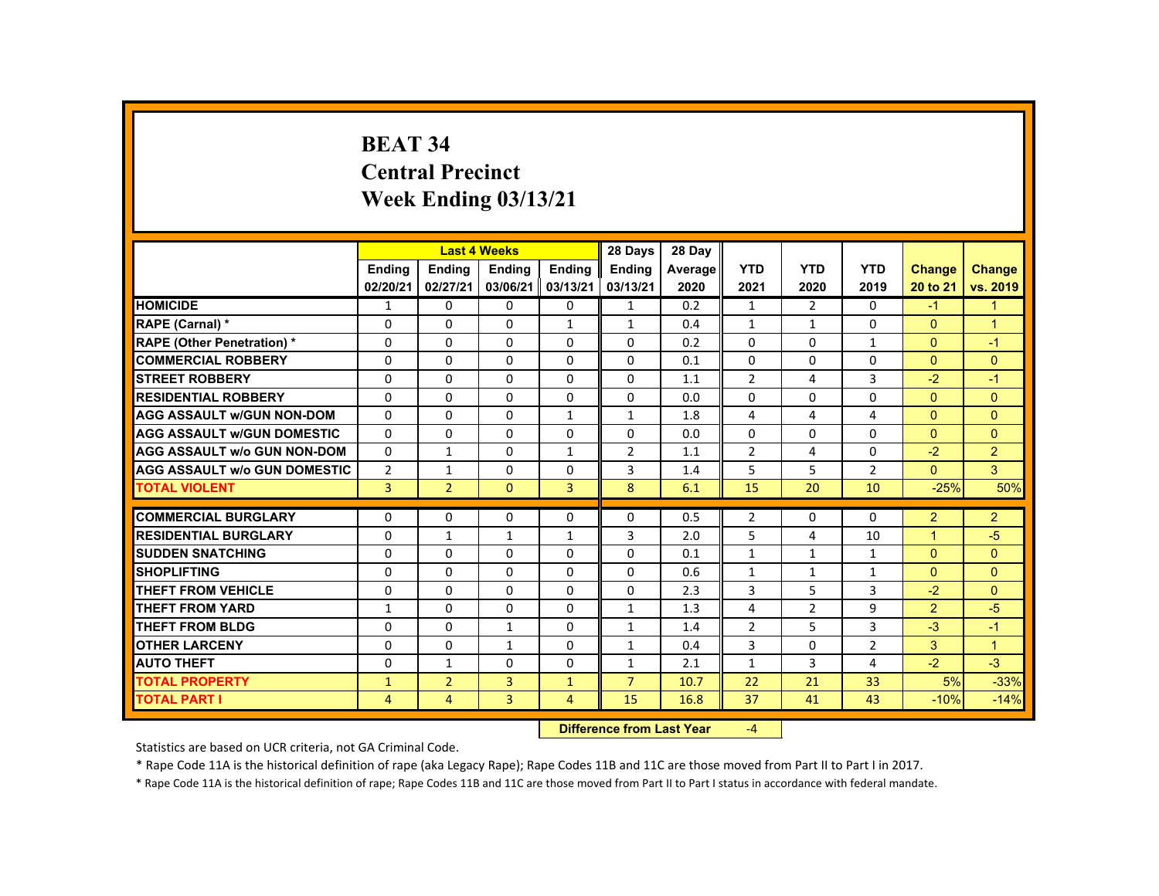# **BEAT 34 Central Precinct Week Ending 03/13/21**

|                                     |                           |                | <b>Last 4 Weeks</b> |                | 28 Days        | 28 Day  |                |                |                |                |                |
|-------------------------------------|---------------------------|----------------|---------------------|----------------|----------------|---------|----------------|----------------|----------------|----------------|----------------|
|                                     | <b>Ending</b>             | <b>Ending</b>  | <b>Ending</b>       | <b>Ending</b>  | <b>Endina</b>  | Average | <b>YTD</b>     | <b>YTD</b>     | <b>YTD</b>     | <b>Change</b>  | Change         |
|                                     | 02/20/21                  | 02/27/21       | 03/06/21            | 03/13/21       | 03/13/21       | 2020    | 2021           | 2020           | 2019           | 20 to 21       | vs. 2019       |
| <b>HOMICIDE</b>                     | 1                         | $\Omega$       | $\Omega$            | $\Omega$       | $\mathbf{1}$   | 0.2     | $\mathbf{1}$   | $\overline{2}$ | 0              | $-1$           | 1              |
| RAPE (Carnal) *                     | $\mathbf{0}$              | $\Omega$       | $\Omega$            | $\mathbf{1}$   | $\mathbf{1}$   | 0.4     | $\mathbf{1}$   | 1              | $\Omega$       | $\Omega$       | $\mathbf{1}$   |
| <b>RAPE (Other Penetration) *</b>   | $\mathbf{0}$              | $\Omega$       | $\Omega$            | $\Omega$       | $\Omega$       | 0.2     | $\Omega$       | $\Omega$       | $\mathbf{1}$   | $\Omega$       | $-1$           |
| <b>COMMERCIAL ROBBERY</b>           | $\mathbf{0}$              | $\Omega$       | $\Omega$            | $\Omega$       | $\Omega$       | 0.1     | $\Omega$       | $\Omega$       | $\mathbf{0}$   | $\Omega$       | $\Omega$       |
| <b>STREET ROBBERY</b>               | $\Omega$                  | $\Omega$       | $\Omega$            | $\Omega$       | $\Omega$       | 1.1     | $\overline{2}$ | 4              | 3              | $-2$           | $-1$           |
| <b>RESIDENTIAL ROBBERY</b>          | $\Omega$                  | $\Omega$       | $\mathbf{0}$        | $\mathbf{0}$   | 0              | 0.0     | $\Omega$       | 0              | 0              | $\mathbf{0}$   | $\overline{0}$ |
| <b>AGG ASSAULT W/GUN NON-DOM</b>    | $\mathbf{0}$              | $\Omega$       | $\Omega$            | $\mathbf{1}$   | $\mathbf{1}$   | 1.8     | 4              | 4              | 4              | $\Omega$       | $\Omega$       |
| <b>AGG ASSAULT W/GUN DOMESTIC</b>   | $\mathbf{0}$              | $\Omega$       | $\Omega$            | $\Omega$       | $\Omega$       | 0.0     | 0              | $\Omega$       | $\Omega$       | $\Omega$       | $\overline{0}$ |
| <b>AGG ASSAULT w/o GUN NON-DOM</b>  | $\Omega$                  | $\mathbf{1}$   | $\Omega$            | $\mathbf{1}$   | 2              | 1.1     | $\overline{2}$ | 4              | $\Omega$       | $-2$           | $\overline{2}$ |
| <b>AGG ASSAULT W/o GUN DOMESTIC</b> | $\overline{2}$            | $\mathbf{1}$   | $\mathbf{0}$        | $\Omega$       | 3              | 1.4     | 5              | 5              | $\overline{2}$ | $\mathbf{0}$   | 3 <sup>1</sup> |
| <b>TOTAL VIOLENT</b>                | $\overline{3}$            | $\overline{2}$ | $\mathbf{0}$        | $\mathbf{3}$   | 8              | 6.1     | 15             | 20             | 10             | $-25%$         | 50%            |
| <b>COMMERCIAL BURGLARY</b>          | $\Omega$                  | $\Omega$       | $\Omega$            | 0              | $\Omega$       | 0.5     | $\overline{2}$ | 0              | $\Omega$       | 2              | $\overline{2}$ |
| <b>RESIDENTIAL BURGLARY</b>         | $\Omega$                  | $\mathbf{1}$   | 1                   | 1              | 3              | 2.0     | 5              | 4              | 10             | $\overline{ }$ | $-5$           |
| <b>SUDDEN SNATCHING</b>             | $\Omega$                  | $\Omega$       | $\Omega$            | $\Omega$       | $\Omega$       | 0.1     | $\mathbf{1}$   | 1              | $\mathbf{1}$   | $\Omega$       | $\Omega$       |
| <b>SHOPLIFTING</b>                  | $\Omega$                  | $\Omega$       | $\Omega$            | $\Omega$       | $\Omega$       | 0.6     | $\mathbf{1}$   | $\mathbf{1}$   | $\mathbf{1}$   | $\Omega$       | $\mathbf{0}$   |
| <b>THEFT FROM VEHICLE</b>           | $\Omega$                  | $\Omega$       | $\Omega$            | $\Omega$       | $\Omega$       | 2.3     | 3              | 5              | 3              | $-2$           | $\Omega$       |
| <b>THEFT FROM YARD</b>              | $\mathbf{1}$              | $\mathbf{0}$   | $\mathbf{0}$        | $\mathbf{0}$   | $\mathbf{1}$   | 1.3     | 4              | 2              | 9              | 2              | $-5$           |
| <b>THEFT FROM BLDG</b>              | $\mathbf{0}$              | $\Omega$       | $\mathbf{1}$        | $\Omega$       | $\mathbf{1}$   | 1.4     | $\overline{2}$ | 5              | $\overline{3}$ | $-3$           | $-1$           |
| <b>OTHER LARCENY</b>                | $\Omega$                  | $\Omega$       | $\mathbf{1}$        | $\Omega$       | $\mathbf{1}$   | 0.4     | 3              | $\Omega$       | $\overline{2}$ | 3              | $\mathbf{1}$   |
| <b>AUTO THEFT</b>                   | $\Omega$                  | $\mathbf{1}$   | $\Omega$            | $\Omega$       | $\mathbf{1}$   | 2.1     | $\mathbf{1}$   | $\overline{3}$ | 4              | $-2$           | $-3$           |
| <b>TOTAL PROPERTY</b>               | $\mathbf{1}$              | $\overline{2}$ | 3                   | $\mathbf{1}$   | $\overline{7}$ | 10.7    | 22             | 21             | 33             | 5%             | $-33%$         |
| TOTAL PART I                        | 4                         | 4              | $\overline{3}$      | $\overline{4}$ | 15             | 16.8    | 37             | 41             | 43             | $-10%$         | $-14%$         |
|                                     | Difference from Last Vear |                |                     |                |                |         | $\sqrt{ }$     |                |                |                |                |

 **Difference from Last Year**r  $-4$ 

Statistics are based on UCR criteria, not GA Criminal Code.

\* Rape Code 11A is the historical definition of rape (aka Legacy Rape); Rape Codes 11B and 11C are those moved from Part II to Part I in 2017.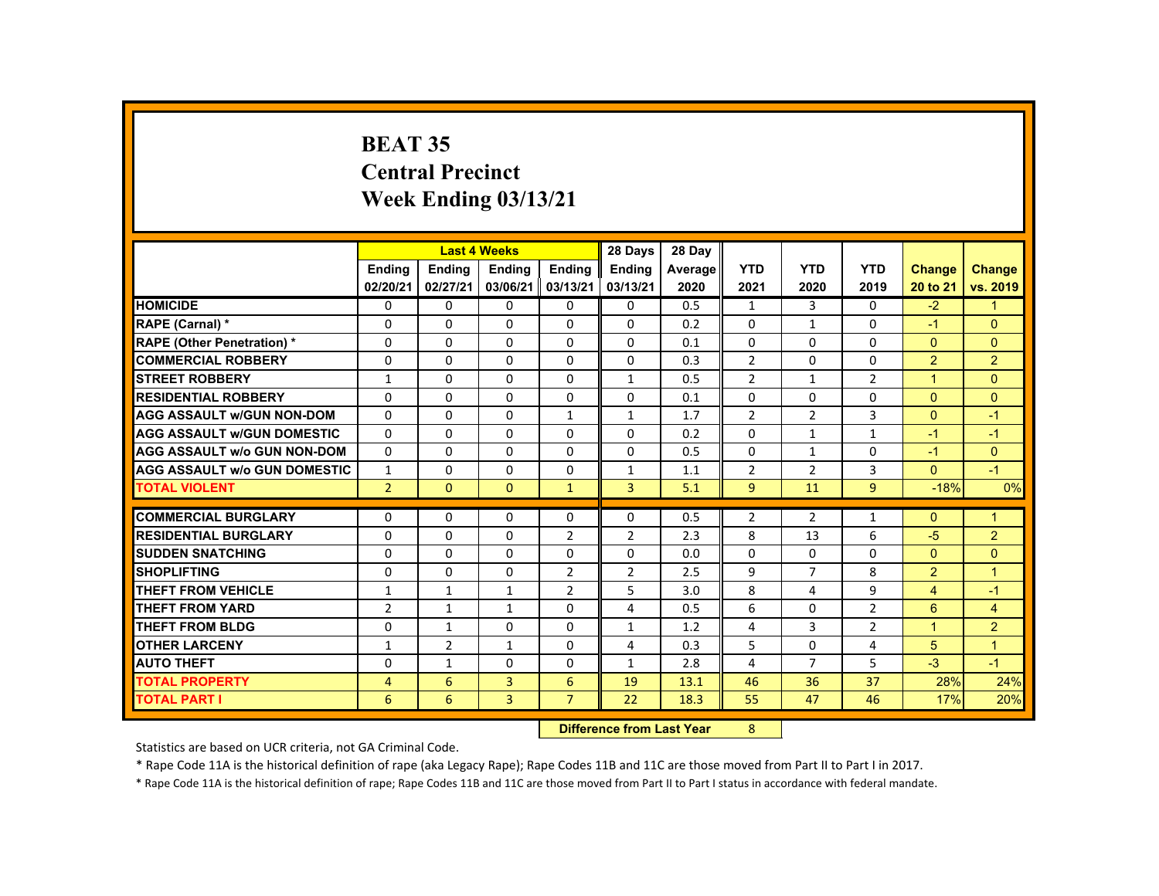# **BEAT 35 Central Precinct Week Ending 03/13/21**

|                                     |                |                | <b>Last 4 Weeks</b> |                | 28 Days                   | 28 Day  |                |                |                |                      |                |
|-------------------------------------|----------------|----------------|---------------------|----------------|---------------------------|---------|----------------|----------------|----------------|----------------------|----------------|
|                                     | <b>Endina</b>  | <b>Endina</b>  | <b>Endina</b>       | <b>Endina</b>  | <b>Endina</b>             | Average | <b>YTD</b>     | <b>YTD</b>     | <b>YTD</b>     | <b>Change</b>        | <b>Change</b>  |
|                                     | 02/20/21       | 02/27/21       | 03/06/21            | 03/13/21       | 03/13/21                  | 2020    | 2021           | 2020           | 2019           | 20 to 21             | vs. 2019       |
| <b>HOMICIDE</b>                     | $\mathbf{0}$   | $\Omega$       | $\Omega$            | $\Omega$       | 0                         | 0.5     | $\mathbf{1}$   | $\mathbf{3}$   | $\mathbf{0}$   | $-2$                 | $\mathbf{1}$   |
| RAPE (Carnal) *                     | $\Omega$       | $\Omega$       | $\Omega$            | $\Omega$       | $\Omega$                  | 0.2     | $\Omega$       | $\mathbf{1}$   | $\Omega$       | $-1$                 | $\Omega$       |
| <b>RAPE (Other Penetration) *</b>   | $\Omega$       | $\Omega$       | $\Omega$            | $\Omega$       | $\Omega$                  | 0.1     | $\Omega$       | $\Omega$       | $\Omega$       | $\Omega$             | $\Omega$       |
| <b>COMMERCIAL ROBBERY</b>           | $\Omega$       | $\Omega$       | $\Omega$            | $\Omega$       | $\Omega$                  | 0.3     | $\overline{2}$ | $\Omega$       | $\Omega$       | 2                    | $\overline{2}$ |
| <b>STREET ROBBERY</b>               | $\mathbf{1}$   | $\Omega$       | $\Omega$            | $\Omega$       | $\mathbf{1}$              | 0.5     | $\overline{2}$ | $\mathbf{1}$   | $\overline{2}$ | $\blacktriangleleft$ | $\Omega$       |
| <b>RESIDENTIAL ROBBERY</b>          | 0              | 0              | 0                   | 0              | 0                         | 0.1     | 0              | 0              | 0              | $\mathbf{0}$         | $\overline{0}$ |
| <b>AGG ASSAULT W/GUN NON-DOM</b>    | $\Omega$       | $\Omega$       | $\Omega$            | $\mathbf{1}$   | $\mathbf{1}$              | 1.7     | $\overline{2}$ | 2              | 3              | $\Omega$             | $-1$           |
| <b>AGG ASSAULT w/GUN DOMESTIC</b>   | $\Omega$       | $\Omega$       | $\Omega$            | $\Omega$       | $\Omega$                  | 0.2     | $\Omega$       | $\mathbf{1}$   | $\mathbf{1}$   | $-1$                 | $-1$           |
| <b>AGG ASSAULT w/o GUN NON-DOM</b>  | $\Omega$       | $\Omega$       | $\Omega$            | $\mathbf{0}$   | $\Omega$                  | 0.5     | $\Omega$       | $\mathbf{1}$   | $\Omega$       | $-1$                 | $\mathbf{0}$   |
| <b>AGG ASSAULT W/o GUN DOMESTIC</b> | $\mathbf{1}$   | $\Omega$       | $\Omega$            | $\Omega$       | $\mathbf{1}$              | 1.1     | $\overline{2}$ | $\overline{2}$ | 3              | $\Omega$             | $-1$           |
| <b>TOTAL VIOLENT</b>                | $\overline{2}$ | $\Omega$       | $\Omega$            | $\mathbf{1}$   | $\overline{3}$            | 5.1     | $\overline{9}$ | 11             | $\overline{9}$ | $-18%$               | 0%             |
| <b>COMMERCIAL BURGLARY</b>          | $\Omega$       | $\Omega$       | $\Omega$            |                | $\Omega$                  |         |                |                |                | $\Omega$             |                |
|                                     |                |                |                     | $\Omega$       |                           | 0.5     | $\overline{2}$ | $\overline{2}$ | $\mathbf{1}$   |                      | $\overline{1}$ |
| <b>RESIDENTIAL BURGLARY</b>         | $\Omega$       | $\Omega$       | $\Omega$            | $\overline{2}$ | 2                         | 2.3     | 8              | 13             | 6              | $-5$                 | $\overline{2}$ |
| <b>SUDDEN SNATCHING</b>             | $\Omega$       | 0              | $\Omega$            | 0              | $\Omega$                  | 0.0     | $\Omega$       | 0              | $\Omega$       | $\mathbf{0}$         | $\Omega$       |
| <b>SHOPLIFTING</b>                  | $\Omega$       | $\Omega$       | $\Omega$            | $\overline{2}$ | 2                         | 2.5     | 9              | $\overline{7}$ | 8              | 2                    | $\overline{1}$ |
| <b>THEFT FROM VEHICLE</b>           | $\mathbf{1}$   | $\mathbf{1}$   | $\mathbf{1}$        | $\overline{2}$ | 5                         | 3.0     | 8              | 4              | 9              | $\overline{4}$       | $-1$           |
| <b>THEFT FROM YARD</b>              | $\overline{2}$ | $\mathbf{1}$   | $\mathbf{1}$        | $\Omega$       | 4                         | 0.5     | 6              | $\Omega$       | $\overline{2}$ | 6                    | $\overline{4}$ |
| <b>THEFT FROM BLDG</b>              | $\Omega$       | $\mathbf{1}$   | $\Omega$            | $\Omega$       | $\mathbf{1}$              | 1.2     | 4              | 3              | $\overline{2}$ | $\blacktriangleleft$ | $\overline{2}$ |
| <b>OTHER LARCENY</b>                | $\mathbf{1}$   | $\overline{2}$ | 1                   | $\Omega$       | 4                         | 0.3     | 5              | $\Omega$       | 4              | 5                    | $\overline{1}$ |
| <b>AUTO THEFT</b>                   | $\Omega$       | $\mathbf{1}$   | $\Omega$            | $\Omega$       | $\mathbf{1}$              | 2.8     | 4              | $\overline{7}$ | 5              | $-3$                 | $-1$           |
| <b>TOTAL PROPERTY</b>               | 4              | 6              | $\overline{3}$      | 6              | 19                        | 13.1    | 46             | 36             | 37             | 28%                  | 24%            |
| <b>TOTAL PART I</b>                 | 6              | 6              | 3                   | $\overline{7}$ | 22                        | 18.3    | 55             | 47             | 46             | 17%                  | 20%            |
|                                     |                |                |                     |                | Difference from Leat Vaca |         | $\Omega$       |                |                |                      |                |

 **Difference from Last Year**8

Statistics are based on UCR criteria, not GA Criminal Code.

\* Rape Code 11A is the historical definition of rape (aka Legacy Rape); Rape Codes 11B and 11C are those moved from Part II to Part I in 2017.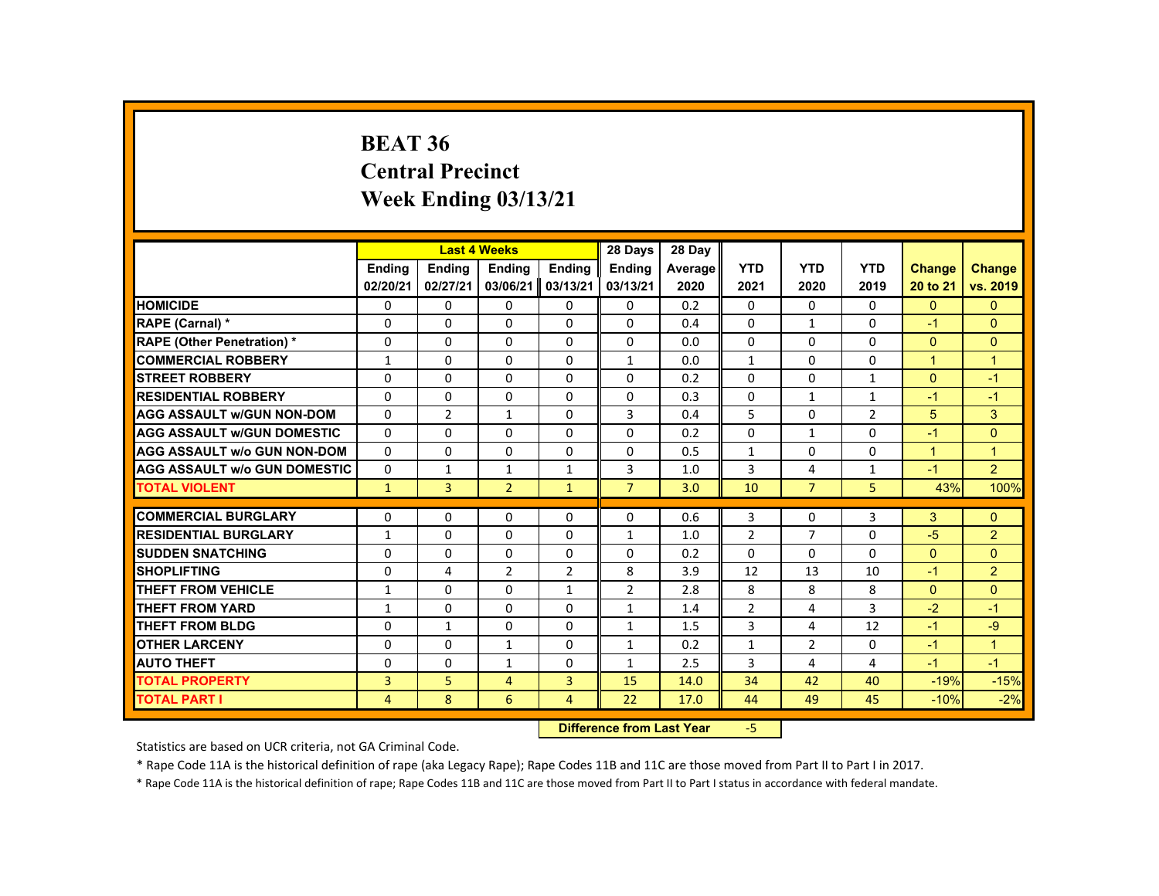#### **BEAT 36 Central PrecinctWeek Ending 03/13/21**

|                                     |               | <b>Last 4 Weeks</b> |                           |                | 28 Days        | 28 Day  |                |                |                |                      |                |
|-------------------------------------|---------------|---------------------|---------------------------|----------------|----------------|---------|----------------|----------------|----------------|----------------------|----------------|
|                                     | <b>Endina</b> | <b>Endina</b>       | <b>Ending</b>             | <b>Endina</b>  | <b>Ending</b>  | Average | <b>YTD</b>     | <b>YTD</b>     | <b>YTD</b>     | <b>Change</b>        | <b>Change</b>  |
|                                     | 02/20/21      | 02/27/21            | 03/06/21                  | 03/13/21       | 03/13/21       | 2020    | 2021           | 2020           | 2019           | 20 to 21             | vs. 2019       |
| <b>HOMICIDE</b>                     | 0             | $\Omega$            | 0                         | $\Omega$       | 0              | 0.2     | $\mathbf{0}$   | $\mathbf{0}$   | 0              | $\mathbf{0}$         | $\Omega$       |
| RAPE (Carnal) *                     | $\Omega$      | $\Omega$            | $\Omega$                  | $\Omega$       | $\Omega$       | 0.4     | $\Omega$       | $\mathbf{1}$   | $\Omega$       | $-1$                 | $\Omega$       |
| <b>RAPE (Other Penetration) *</b>   | 0             | $\Omega$            | $\Omega$                  | $\Omega$       | $\Omega$       | 0.0     | $\Omega$       | $\Omega$       | $\Omega$       | $\Omega$             | $\mathbf{0}$   |
| <b>COMMERCIAL ROBBERY</b>           | 1             | $\Omega$            | $\Omega$                  | $\Omega$       | $\mathbf{1}$   | 0.0     | $\mathbf{1}$   | $\Omega$       | 0              | $\blacktriangleleft$ | $\overline{1}$ |
| <b>STREET ROBBERY</b>               | $\Omega$      | $\Omega$            | $\Omega$                  | $\Omega$       | $\Omega$       | 0.2     | $\Omega$       | $\Omega$       | $\mathbf{1}$   | $\Omega$             | $-1$           |
| <b>RESIDENTIAL ROBBERY</b>          | $\Omega$      | 0                   | $\Omega$                  | $\Omega$       | $\Omega$       | 0.3     | $\Omega$       | $\mathbf{1}$   | $\mathbf{1}$   | $-1$                 | $-1$           |
| <b>AGG ASSAULT w/GUN NON-DOM</b>    | 0             | $\overline{2}$      | $\mathbf{1}$              | 0              | 3              | 0.4     | 5              | 0              | $\overline{2}$ | 5                    | 3              |
| <b>AGG ASSAULT w/GUN DOMESTIC</b>   | $\Omega$      | 0                   | $\Omega$                  | 0              | $\Omega$       | 0.2     | $\Omega$       | $\mathbf{1}$   | $\Omega$       | $-1$                 | $\Omega$       |
| <b>AGG ASSAULT w/o GUN NON-DOM</b>  | $\Omega$      | $\Omega$            | $\Omega$                  | $\Omega$       | $\Omega$       | 0.5     | $\mathbf{1}$   | $\Omega$       | $\Omega$       | $\mathbf{1}$         | $\overline{1}$ |
| <b>AGG ASSAULT W/o GUN DOMESTIC</b> | $\Omega$      | $\mathbf{1}$        | $\mathbf{1}$              | $\mathbf{1}$   | 3              | 1.0     | 3              | 4              | $\mathbf{1}$   | $-1$                 | 2              |
| <b>TOTAL VIOLENT</b>                | $\mathbf{1}$  | 3                   | $\overline{2}$            | $\mathbf{1}$   | $\overline{7}$ | 3.0     | 10             | $\overline{7}$ | 5              | 43%                  | 100%           |
| <b>COMMERCIAL BURGLARY</b>          | $\Omega$      | $\Omega$            | $\Omega$                  | $\Omega$       | $\Omega$       | 0.6     | 3              | $\Omega$       | 3              | 3                    | $\Omega$       |
| <b>RESIDENTIAL BURGLARY</b>         |               | $\Omega$            | $\Omega$                  | $\Omega$       |                |         | $\overline{2}$ | $\overline{7}$ | $\Omega$       | $-5$                 |                |
|                                     | $\mathbf{1}$  |                     |                           |                | $\mathbf{1}$   | 1.0     |                |                |                |                      | $\overline{2}$ |
| <b>SUDDEN SNATCHING</b>             | $\Omega$      | 0                   | 0                         | 0              | 0              | 0.2     | $\Omega$       | 0              | 0              | $\Omega$             | $\Omega$       |
| <b>SHOPLIFTING</b>                  | $\Omega$      | 4                   | $\overline{2}$            | $\overline{2}$ | 8              | 3.9     | 12             | 13             | 10             | $-1$                 | $\overline{2}$ |
| <b>THEFT FROM VEHICLE</b>           | $\mathbf{1}$  | $\Omega$            | $\Omega$                  | $\mathbf{1}$   | $\overline{2}$ | 2.8     | 8              | 8              | 8              | $\Omega$             | $\Omega$       |
| <b>THEFT FROM YARD</b>              | $\mathbf{1}$  | $\Omega$            | $\Omega$                  | $\Omega$       | $\mathbf{1}$   | 1.4     | $\overline{2}$ | 4              | 3              | $-2$                 | $-1$           |
| <b>THEFT FROM BLDG</b>              | $\Omega$      | $\mathbf{1}$        | $\Omega$                  | $\Omega$       | $\mathbf{1}$   | 1.5     | 3              | 4              | 12             | $-1$                 | $-9$           |
| <b>OTHER LARCENY</b>                | $\Omega$      | 0                   | $\mathbf{1}$              | 0              | $\mathbf{1}$   | 0.2     | $\mathbf{1}$   | 2              | 0              | $-1$                 | $\overline{1}$ |
| <b>AUTO THEFT</b>                   | $\Omega$      | $\Omega$            | 1                         | $\Omega$       | $\mathbf{1}$   | 2.5     | 3              | 4              | 4              | $-1$                 | $-1$           |
| <b>TOTAL PROPERTY</b>               | 3             | 5                   | 4                         | 3              | 15             | 14.0    | 34             | 42             | 40             | $-19%$               | $-15%$         |
| <b>TOTAL PART I</b>                 | 4             | 8                   | 6                         | $\overline{4}$ | 22             | 17.0    | 44             | 49             | 45             | $-10%$               | $-2%$          |
|                                     |               |                     | Difference from Loot Voor |                | E.             |         |                |                |                |                      |                |

 **Difference from Last Year**‐5

Statistics are based on UCR criteria, not GA Criminal Code.

\* Rape Code 11A is the historical definition of rape (aka Legacy Rape); Rape Codes 11B and 11C are those moved from Part II to Part I in 2017.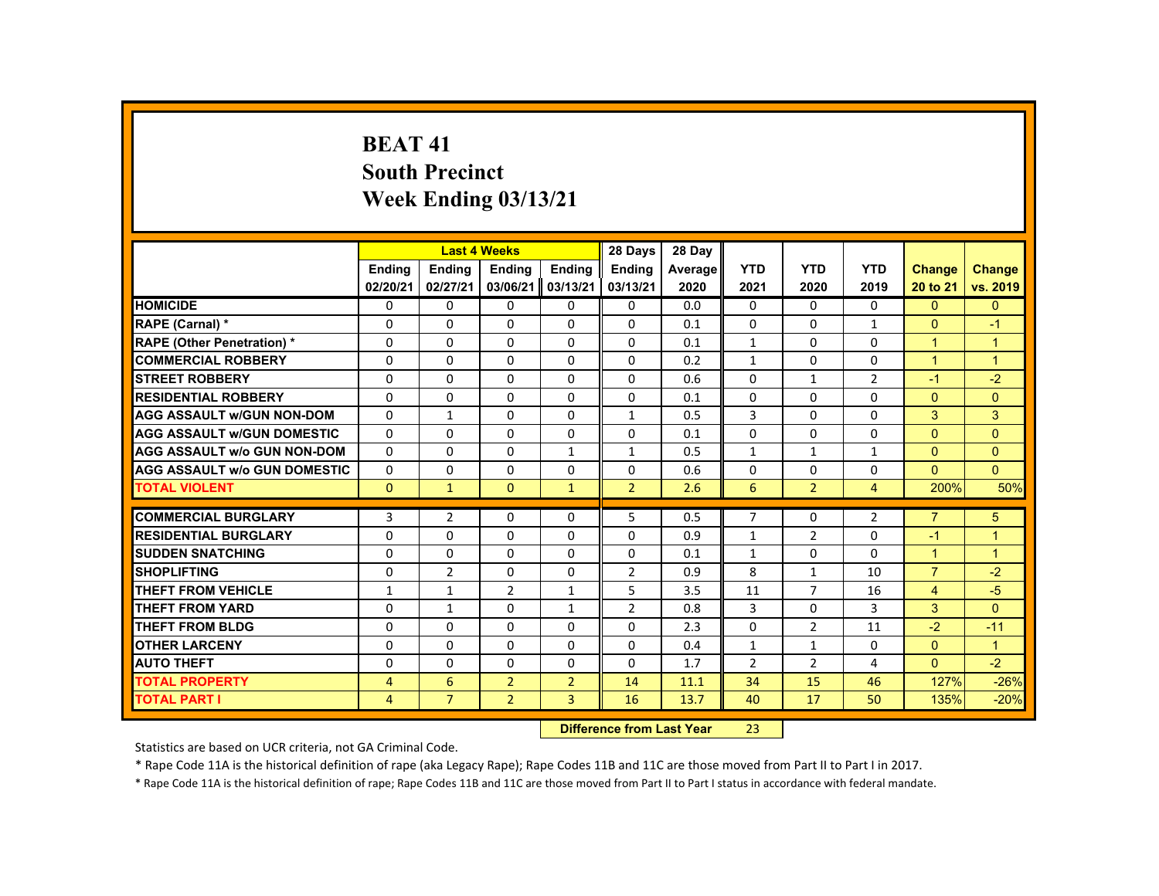# **BEAT 41South Precinct Week Ending 03/13/21**

|                                     |                |                | <b>Last 4 Weeks</b> |                | 28 Days        | 28 Day                    |                |                |                |                |                      |
|-------------------------------------|----------------|----------------|---------------------|----------------|----------------|---------------------------|----------------|----------------|----------------|----------------|----------------------|
|                                     | <b>Ending</b>  | <b>Ending</b>  | <b>Ending</b>       | Ending         | <b>Endina</b>  | Average                   | <b>YTD</b>     | <b>YTD</b>     | <b>YTD</b>     | <b>Change</b>  | <b>Change</b>        |
|                                     | 02/20/21       | 02/27/21       | 03/06/21            | 03/13/21       | 03/13/21       | 2020                      | 2021           | 2020           | 2019           | 20 to 21       | vs. 2019             |
| <b>HOMICIDE</b>                     | $\Omega$       | $\Omega$       | $\Omega$            | $\Omega$       | 0              | 0.0                       | 0              | $\Omega$       | $\Omega$       | $\Omega$       | $\overline{0}$       |
| RAPE (Carnal) *                     | $\Omega$       | $\Omega$       | $\Omega$            | $\Omega$       | $\Omega$       | 0.1                       | $\Omega$       | 0              | $\mathbf{1}$   | $\mathbf{0}$   | $-1$                 |
| <b>RAPE (Other Penetration) *</b>   | $\Omega$       | $\Omega$       | $\Omega$            | $\Omega$       | $\Omega$       | 0.1                       | $\mathbf{1}$   | $\Omega$       | $\Omega$       | $\mathbf{1}$   | $\mathbf{1}$         |
| <b>COMMERCIAL ROBBERY</b>           | $\mathbf{0}$   | $\Omega$       | $\Omega$            | $\Omega$       | 0              | 0.2                       | $\mathbf{1}$   | $\Omega$       | 0              | $\overline{1}$ | $\mathbf{1}$         |
| <b>STREET ROBBERY</b>               | $\Omega$       | $\Omega$       | $\Omega$            | $\Omega$       | $\Omega$       | 0.6                       | $\Omega$       | $\mathbf{1}$   | $\overline{2}$ | $-1$           | $-2$                 |
| <b>RESIDENTIAL ROBBERY</b>          | $\mathbf{0}$   | $\mathbf{0}$   | $\mathbf{0}$        | 0              | 0              | 0.1                       | 0              | 0              | 0              | $\mathbf{0}$   | $\overline{0}$       |
| <b>AGG ASSAULT W/GUN NON-DOM</b>    | $\mathbf{0}$   | $\mathbf{1}$   | $\Omega$            | $\Omega$       | $\mathbf{1}$   | 0.5                       | 3              | $\Omega$       | $\Omega$       | 3              | 3                    |
| <b>AGG ASSAULT W/GUN DOMESTIC</b>   | $\Omega$       | $\Omega$       | $\Omega$            | $\Omega$       | $\Omega$       | 0.1                       | $\Omega$       | $\Omega$       | $\Omega$       | $\Omega$       | $\Omega$             |
| <b>AGG ASSAULT w/o GUN NON-DOM</b>  | $\Omega$       | $\Omega$       | $\Omega$            | $\mathbf{1}$   | $\mathbf{1}$   | 0.5                       | $\mathbf{1}$   | $\mathbf{1}$   | $\mathbf{1}$   | $\mathbf{0}$   | $\Omega$             |
| <b>AGG ASSAULT W/o GUN DOMESTIC</b> | 0              | $\Omega$       | $\mathbf{0}$        | $\Omega$       | 0              | 0.6                       | $\Omega$       | 0              | $\Omega$       | $\Omega$       | $\mathbf{0}$         |
| <b>TOTAL VIOLENT</b>                | $\mathbf{0}$   | $\bullet$      | $\mathbf{0}$        | $\mathbf{1}$   | $\overline{2}$ | 2.6                       | 6              | $\overline{2}$ | $\overline{4}$ | 200%           | 50%                  |
| <b>COMMERCIAL BURGLARY</b>          | 3              | $\overline{2}$ | $\Omega$            | $\Omega$       | 5              | 0.5                       | $\overline{7}$ | $\Omega$       | $\overline{2}$ | $\overline{7}$ | 5 <sup>5</sup>       |
| <b>RESIDENTIAL BURGLARY</b>         | 0              | $\Omega$       | $\mathbf{0}$        | $\Omega$       | $\Omega$       | 0.9                       | $\mathbf{1}$   | $\overline{2}$ | $\Omega$       | $-1$           | $\mathbf{1}$         |
| <b>SUDDEN SNATCHING</b>             | $\Omega$       | $\Omega$       | $\Omega$            | $\Omega$       | $\Omega$       | 0.1                       | $\mathbf{1}$   | $\Omega$       | $\Omega$       | $\mathbf{1}$   | $\mathbf{1}$         |
| <b>SHOPLIFTING</b>                  | $\Omega$       | $\overline{2}$ | $\Omega$            | $\Omega$       | $\overline{2}$ | 0.9                       | 8              | $\mathbf{1}$   | 10             | $\overline{7}$ | $-2$                 |
| <b>THEFT FROM VEHICLE</b>           | $\mathbf{1}$   | $\mathbf{1}$   | $\overline{2}$      | $\mathbf{1}$   | 5              | 3.5                       | 11             | $\overline{7}$ | 16             | $\overline{4}$ | $-5$                 |
| <b>THEFT FROM YARD</b>              | $\Omega$       | $\mathbf{1}$   | $\Omega$            | $\mathbf{1}$   | $\overline{2}$ | 0.8                       | 3              | $\Omega$       | 3              | 3              | $\Omega$             |
| <b>THEFT FROM BLDG</b>              | $\Omega$       | $\mathbf{0}$   | $\mathbf{0}$        | $\mathbf{0}$   | $\Omega$       | 2.3                       | $\Omega$       | $\overline{2}$ | 11             | $-2$           | $-11$                |
| <b>OTHER LARCENY</b>                | $\Omega$       | $\Omega$       | $\Omega$            | $\Omega$       | $\Omega$       | 0.4                       | $\mathbf{1}$   | $\mathbf{1}$   | $\Omega$       | $\mathbf{0}$   | $\blacktriangleleft$ |
| <b>AUTO THEFT</b>                   | $\Omega$       | $\Omega$       | $\Omega$            | $\Omega$       | $\Omega$       | 1.7                       | $\overline{2}$ | $\overline{2}$ | 4              | $\mathbf{0}$   | $-2$                 |
| <b>TOTAL PROPERTY</b>               | $\overline{4}$ | 6              | $\overline{2}$      | $\overline{2}$ | 14             | 11.1                      | 34             | 15             | 46             | 127%           | $-26%$               |
| <b>TOTAL PART I</b>                 | $\overline{4}$ | $\overline{7}$ | $\overline{2}$      | $\overline{3}$ | 16             | 13.7                      | 40             | 17             | 50             | 135%           | $-20%$               |
|                                     |                |                |                     |                |                | Difference from Loot Voor | າາ             |                |                |                |                      |

 **Difference from Last Year**r 23

Statistics are based on UCR criteria, not GA Criminal Code.

\* Rape Code 11A is the historical definition of rape (aka Legacy Rape); Rape Codes 11B and 11C are those moved from Part II to Part I in 2017.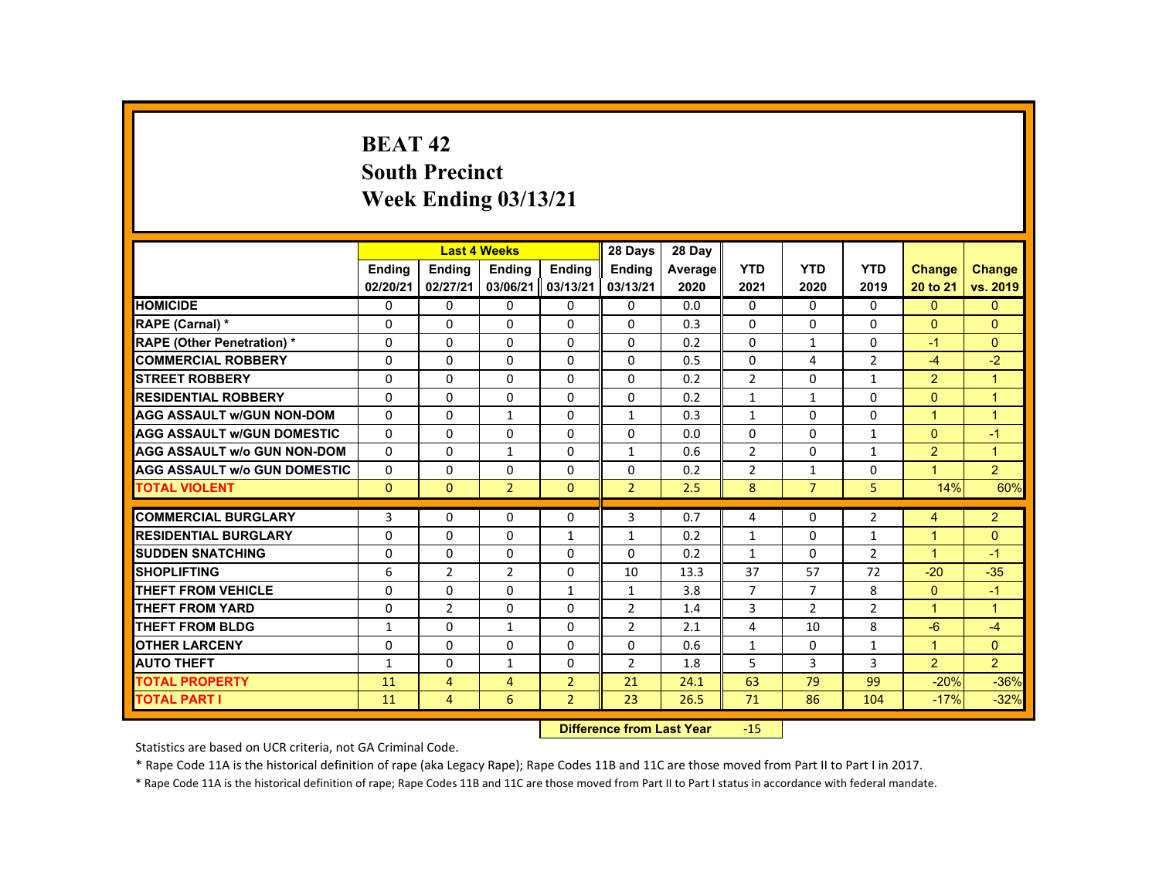# **BEAT 42South Precinct Week Ending 03/13/21**

|                                     |               |                | <b>Last 4 Weeks</b> |                 | 28 Days                                                                                                                                                                                                                        | 28 Day  |                |                |                |                |                |
|-------------------------------------|---------------|----------------|---------------------|-----------------|--------------------------------------------------------------------------------------------------------------------------------------------------------------------------------------------------------------------------------|---------|----------------|----------------|----------------|----------------|----------------|
|                                     | <b>Ending</b> | <b>Ending</b>  | <b>Ending</b>       | Ending          | <b>Ending</b>                                                                                                                                                                                                                  | Average | <b>YTD</b>     | <b>YTD</b>     | <b>YTD</b>     | <b>Change</b>  | <b>Change</b>  |
|                                     | 02/20/21      | 02/27/21       | 03/06/21            | 03/13/21        | 03/13/21                                                                                                                                                                                                                       | 2020    | 2021           | 2020           | 2019           | 20 to 21       | vs. 2019       |
| <b>HOMICIDE</b>                     | 0             | $\Omega$       | $\mathbf{0}$        | $\Omega$        | 0                                                                                                                                                                                                                              | 0.0     | 0              | $\Omega$       | $\mathbf{0}$   | $\mathbf{0}$   | $\mathbf{0}$   |
| RAPE (Carnal) *                     | 0             | $\Omega$       | $\mathbf{0}$        | $\mathbf{0}$    | 0                                                                                                                                                                                                                              | 0.3     | $\Omega$       | $\mathbf{0}$   | 0              | $\Omega$       | $\Omega$       |
| <b>RAPE (Other Penetration) *</b>   | $\Omega$      | $\Omega$       | $\Omega$            | $\Omega$        | $\Omega$                                                                                                                                                                                                                       | 0.2     | $\Omega$       | $\mathbf{1}$   | $\Omega$       | $-1$           | $\Omega$       |
| <b>COMMERCIAL ROBBERY</b>           | $\Omega$      | $\Omega$       | $\Omega$            | $\Omega$        | $\Omega$                                                                                                                                                                                                                       | 0.5     | $\Omega$       | 4              | $\overline{2}$ | $-4$           | $-2$           |
| <b>STREET ROBBERY</b>               | $\Omega$      | $\Omega$       | $\Omega$            | $\Omega$        | $\Omega$                                                                                                                                                                                                                       | 0.2     | $\overline{2}$ | $\Omega$       | $\mathbf{1}$   | $\overline{2}$ | $\overline{1}$ |
| <b>RESIDENTIAL ROBBERY</b>          | 0             | $\mathbf{0}$   | $\mathbf{0}$        | 0               | 0                                                                                                                                                                                                                              | 0.2     | $\mathbf{1}$   | $\mathbf{1}$   | 0              | $\mathbf{0}$   | $\overline{1}$ |
| <b>AGG ASSAULT W/GUN NON-DOM</b>    | 0             | $\Omega$       | $\mathbf{1}$        | $\Omega$        | $\mathbf{1}$                                                                                                                                                                                                                   | 0.3     | $\mathbf{1}$   | 0              | 0              | $\overline{1}$ | $\overline{1}$ |
| <b>AGG ASSAULT W/GUN DOMESTIC</b>   | $\Omega$      | $\Omega$       | $\Omega$            | $\Omega$        | $\Omega$                                                                                                                                                                                                                       | 0.0     | $\Omega$       | $\Omega$       | $\mathbf{1}$   | $\Omega$       | $-1$           |
| <b>AGG ASSAULT w/o GUN NON-DOM</b>  | $\Omega$      | $\Omega$       | $\mathbf{1}$        | $\Omega$        | $\mathbf{1}$                                                                                                                                                                                                                   | 0.6     | $\overline{2}$ | $\Omega$       | $\mathbf{1}$   | $\overline{2}$ | $\overline{1}$ |
| <b>AGG ASSAULT W/o GUN DOMESTIC</b> | $\Omega$      | $\Omega$       | $\Omega$            | $\Omega$        | $\Omega$                                                                                                                                                                                                                       | 0.2     | $\overline{2}$ | $\mathbf{1}$   | $\Omega$       | $\mathbf{1}$   | $\overline{2}$ |
| <b>TOTAL VIOLENT</b>                | $\mathbf{0}$  | $\overline{0}$ | $\overline{2}$      | $\mathbf{0}$    | $\overline{2}$                                                                                                                                                                                                                 | 2.5     | 8              | $\overline{7}$ | 5              | 14%            | 60%            |
|                                     |               |                |                     |                 |                                                                                                                                                                                                                                |         |                |                |                |                |                |
| <b>COMMERCIAL BURGLARY</b>          | 3             | $\Omega$       | $\Omega$            | $\Omega$        | 3                                                                                                                                                                                                                              | 0.7     | 4              | $\mathbf{0}$   | $\overline{2}$ | 4              | $\overline{2}$ |
| <b>RESIDENTIAL BURGLARY</b>         | $\Omega$      | $\Omega$       | $\Omega$            | $\mathbf{1}$    | $\mathbf{1}$                                                                                                                                                                                                                   | 0.2     | $\mathbf{1}$   | $\Omega$       | $\mathbf{1}$   | $\mathbf{1}$   | $\Omega$       |
| <b>SUDDEN SNATCHING</b>             | 0             | $\mathbf{0}$   | $\mathbf{0}$        | 0               | 0                                                                                                                                                                                                                              | 0.2     | $\mathbf{1}$   | 0              | $\overline{2}$ | $\mathbf{1}$   | $-1$           |
| <b>SHOPLIFTING</b>                  | 6             | $\overline{2}$ | 2                   | $\Omega$        | 10                                                                                                                                                                                                                             | 13.3    | 37             | 57             | 72             | $-20$          | $-35$          |
| THEFT FROM VEHICLE                  | $\Omega$      | $\Omega$       | $\Omega$            | $\mathbf{1}$    | $\mathbf{1}$                                                                                                                                                                                                                   | 3.8     | $\overline{7}$ | $\overline{7}$ | 8              | $\overline{0}$ | $-1$           |
| <b>THEFT FROM YARD</b>              | $\Omega$      | $\overline{2}$ | $\Omega$            | $\Omega$        | 2                                                                                                                                                                                                                              | 1.4     | 3              | 2              | $\overline{2}$ | $\mathbf{1}$   | $\overline{1}$ |
| <b>THEFT FROM BLDG</b>              | $\mathbf{1}$  | $\Omega$       | $\mathbf{1}$        | $\Omega$        | 2                                                                                                                                                                                                                              | 2.1     | 4              | 10             | 8              | $-6$           | $-4$           |
| <b>OTHER LARCENY</b>                | 0             | $\Omega$       | $\Omega$            | $\Omega$        | $\Omega$                                                                                                                                                                                                                       | 0.6     | $\mathbf{1}$   | 0              | $\mathbf{1}$   | $\mathbf{1}$   | $\mathbf{0}$   |
| <b>AUTO THEFT</b>                   | $\mathbf{1}$  | $\Omega$       | $\mathbf{1}$        | $\Omega$        | $\overline{2}$                                                                                                                                                                                                                 | 1.8     | 5              | 3              | 3              | $\overline{2}$ | $\overline{2}$ |
| <b>TOTAL PROPERTY</b>               | 11            | $\overline{4}$ | $\overline{4}$      | $\overline{2}$  | 21                                                                                                                                                                                                                             | 24.1    | 63             | 79             | 99             | $-20%$         | $-36%$         |
| <b>TOTAL PART I</b>                 | 11            | $\overline{4}$ | 6                   | $\overline{2}$  | 23                                                                                                                                                                                                                             | 26.5    | 71             | 86             | 104            | $-17%$         | $-32%$         |
|                                     |               |                |                     | <b>CALLED A</b> | and the second control of the second second second to the second second second the second second second second second second second second second second second second second second second second second second second second |         | $\sim$         |                |                |                |                |

 **Difference from Last Year**r -15

Statistics are based on UCR criteria, not GA Criminal Code.

\* Rape Code 11A is the historical definition of rape (aka Legacy Rape); Rape Codes 11B and 11C are those moved from Part II to Part I in 2017.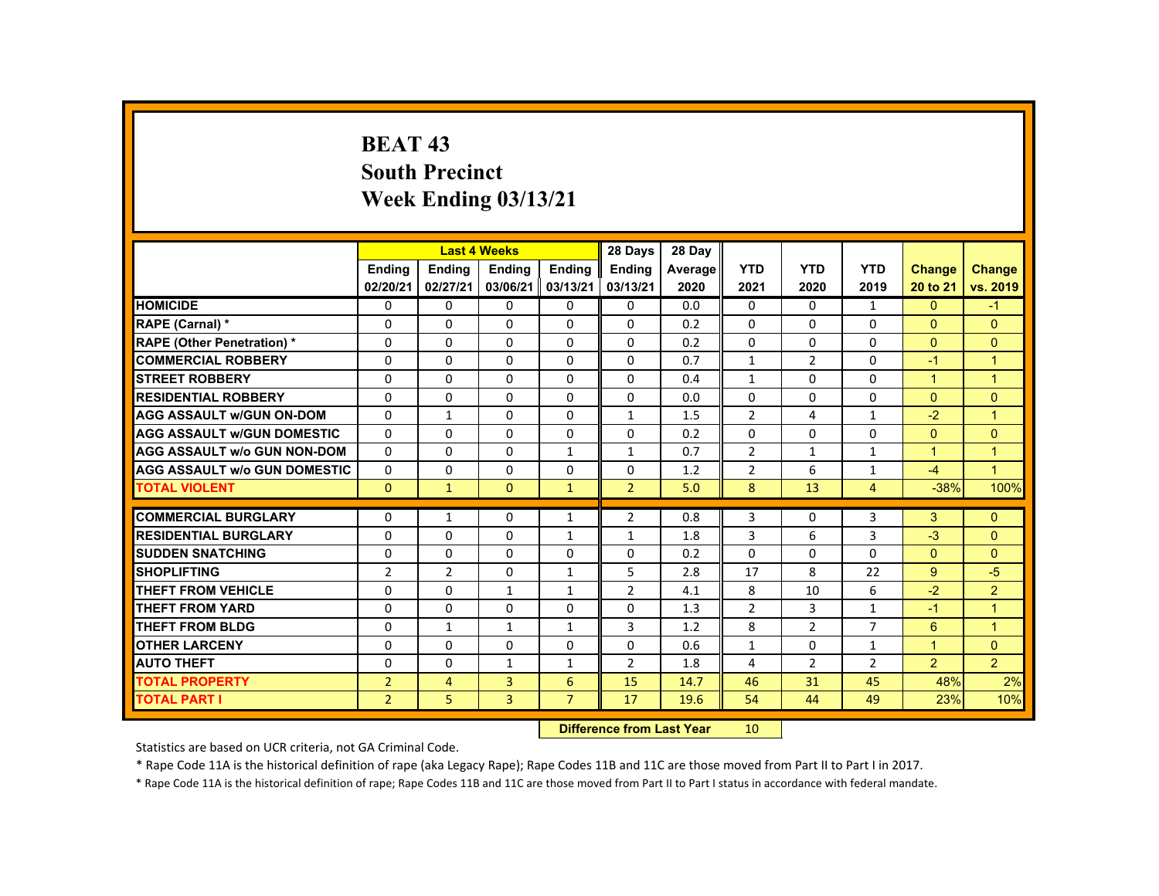# **BEAT 43 South Precinct Week Ending 03/13/21**

|                                     |                |                | <b>Last 4 Weeks</b>              |                | 28 Days        | 28 Day  |                |                |                |                 |                      |
|-------------------------------------|----------------|----------------|----------------------------------|----------------|----------------|---------|----------------|----------------|----------------|-----------------|----------------------|
|                                     | <b>Ending</b>  | <b>Ending</b>  | <b>Ending</b>                    | <b>Ending</b>  | <b>Ending</b>  | Average | <b>YTD</b>     | <b>YTD</b>     | <b>YTD</b>     | <b>Change</b>   | <b>Change</b>        |
|                                     | 02/20/21       | 02/27/21       | 03/06/21                         | 03/13/21       | 03/13/21       | 2020    | 2021           | 2020           | 2019           | 20 to 21        | vs. 2019             |
| <b>HOMICIDE</b>                     | 0              | $\Omega$       | $\Omega$                         | $\Omega$       | $\mathbf 0$    | 0.0     | $\mathbf{0}$   | $\Omega$       | $\mathbf{1}$   | $\mathbf{0}$    | $-1$                 |
| RAPE (Carnal) *                     | $\Omega$       | $\Omega$       | $\Omega$                         | $\Omega$       | $\Omega$       | 0.2     | $\Omega$       | $\Omega$       | $\Omega$       | $\Omega$        | $\Omega$             |
| <b>RAPE (Other Penetration) *</b>   | $\Omega$       | $\Omega$       | $\Omega$                         | $\Omega$       | $\Omega$       | 0.2     | $\Omega$       | $\Omega$       | $\Omega$       | $\mathbf{0}$    | $\Omega$             |
| <b>COMMERCIAL ROBBERY</b>           | $\Omega$       | $\Omega$       | $\Omega$                         | $\Omega$       | $\Omega$       | 0.7     | $\mathbf{1}$   | $\overline{2}$ | $\Omega$       | $-1$            | $\blacktriangleleft$ |
| <b>STREET ROBBERY</b>               | 0              | $\Omega$       | $\Omega$                         | $\Omega$       | $\Omega$       | 0.4     | $\mathbf{1}$   | $\Omega$       | $\Omega$       | $\mathbf{1}$    | $\blacktriangleleft$ |
| <b>RESIDENTIAL ROBBERY</b>          | $\Omega$       | $\Omega$       | $\Omega$                         | $\Omega$       | $\Omega$       | 0.0     | $\Omega$       | $\Omega$       | $\Omega$       | $\mathbf{0}$    | $\Omega$             |
| <b>AGG ASSAULT w/GUN ON-DOM</b>     | $\Omega$       | $\mathbf{1}$   | $\Omega$                         | $\Omega$       | $\mathbf{1}$   | 1.5     | 2              | $\overline{a}$ | $\mathbf{1}$   | $-2$            | $\blacktriangleleft$ |
| <b>AGG ASSAULT W/GUN DOMESTIC</b>   | $\Omega$       | $\Omega$       | $\Omega$                         | $\Omega$       | $\Omega$       | 0.2     | $\Omega$       | $\Omega$       | $\Omega$       | $\Omega$        | $\Omega$             |
| <b>AGG ASSAULT w/o GUN NON-DOM</b>  | $\Omega$       | $\Omega$       | $\Omega$                         | $\mathbf{1}$   | $\mathbf{1}$   | 0.7     | $\overline{2}$ | $\mathbf{1}$   | $\mathbf{1}$   | $\mathbf{1}$    | $\blacktriangleleft$ |
| <b>AGG ASSAULT W/o GUN DOMESTIC</b> | $\Omega$       | $\Omega$       | $\Omega$                         | $\Omega$       | $\Omega$       | 1.2     | $\overline{2}$ | 6              | $\mathbf{1}$   | $-4$            | $\overline{1}$       |
| <b>TOTAL VIOLENT</b>                | $\overline{0}$ | $\mathbf{1}$   | $\overline{0}$                   | $\mathbf{1}$   | $\overline{2}$ | 5.0     | 8              | 13             | $\overline{4}$ | $-38%$          | 100%                 |
| <b>COMMERCIAL BURGLARY</b>          | 0              | 1              | $\Omega$                         | 1              | $\overline{2}$ | 0.8     | 3              | $\mathbf{0}$   | 3              | 3               | $\Omega$             |
| <b>RESIDENTIAL BURGLARY</b>         | $\Omega$       | $\Omega$       | $\Omega$                         | $\mathbf{1}$   | $\mathbf{1}$   | 1.8     | 3              | 6              | $\overline{3}$ | $-3$            | $\Omega$             |
| <b>SUDDEN SNATCHING</b>             | $\Omega$       | $\Omega$       | $\Omega$                         | $\Omega$       | $\Omega$       | 0.2     | $\Omega$       | $\Omega$       | $\Omega$       | $\Omega$        | $\Omega$             |
| <b>SHOPLIFTING</b>                  | $\overline{2}$ | $\overline{2}$ | $\Omega$                         | $\mathbf{1}$   | 5              | 2.8     | 17             | 8              | 22             | 9               | $-5$                 |
| <b>THEFT FROM VEHICLE</b>           | $\Omega$       | $\Omega$       | $\mathbf{1}$                     | $\mathbf{1}$   | $\overline{2}$ | 4.1     | 8              | 10             | 6              | $-2$            | $\overline{2}$       |
| <b>THEFT FROM YARD</b>              | $\Omega$       | $\Omega$       | $\Omega$                         | $\Omega$       | $\Omega$       | 1.3     | $\overline{2}$ | 3              | $\mathbf{1}$   | $-1$            | $\blacktriangleleft$ |
| <b>THEFT FROM BLDG</b>              | $\Omega$       | $\mathbf{1}$   | $\mathbf{1}$                     | $\mathbf{1}$   | 3              | 1.2     | 8              | $\overline{2}$ | $\overline{7}$ | $6\overline{6}$ | $\blacktriangleleft$ |
| <b>OTHER LARCENY</b>                | $\Omega$       | $\Omega$       | $\Omega$                         | $\Omega$       | $\Omega$       | 0.6     | $\mathbf{1}$   | $\mathbf{0}$   | $\mathbf{1}$   | $\mathbf{1}$    | $\overline{0}$       |
| <b>AUTO THEFT</b>                   | $\Omega$       | $\Omega$       | 1                                | $\mathbf{1}$   | $\overline{2}$ | 1.8     | 4              | $\overline{2}$ | $\overline{2}$ | $\overline{2}$  | 2 <sup>1</sup>       |
| <b>TOTAL PROPERTY</b>               | $\overline{2}$ | $\overline{4}$ | 3                                | 6              | 15             | 14.7    | 46             | 31             | 45             | 48%             | 2%                   |
| <b>TOTAL PART I</b>                 | 2 <sup>1</sup> | 5              | $\overline{3}$                   | $\overline{7}$ | 17             | 19.6    | 54             | 44             | 49             | 23%             | 10%                  |
|                                     |                |                | <b>Difference from Last Year</b> |                | 10             |         |                |                |                |                 |                      |

Statistics are based on UCR criteria, not GA Criminal Code.

\* Rape Code 11A is the historical definition of rape (aka Legacy Rape); Rape Codes 11B and 11C are those moved from Part II to Part I in 2017.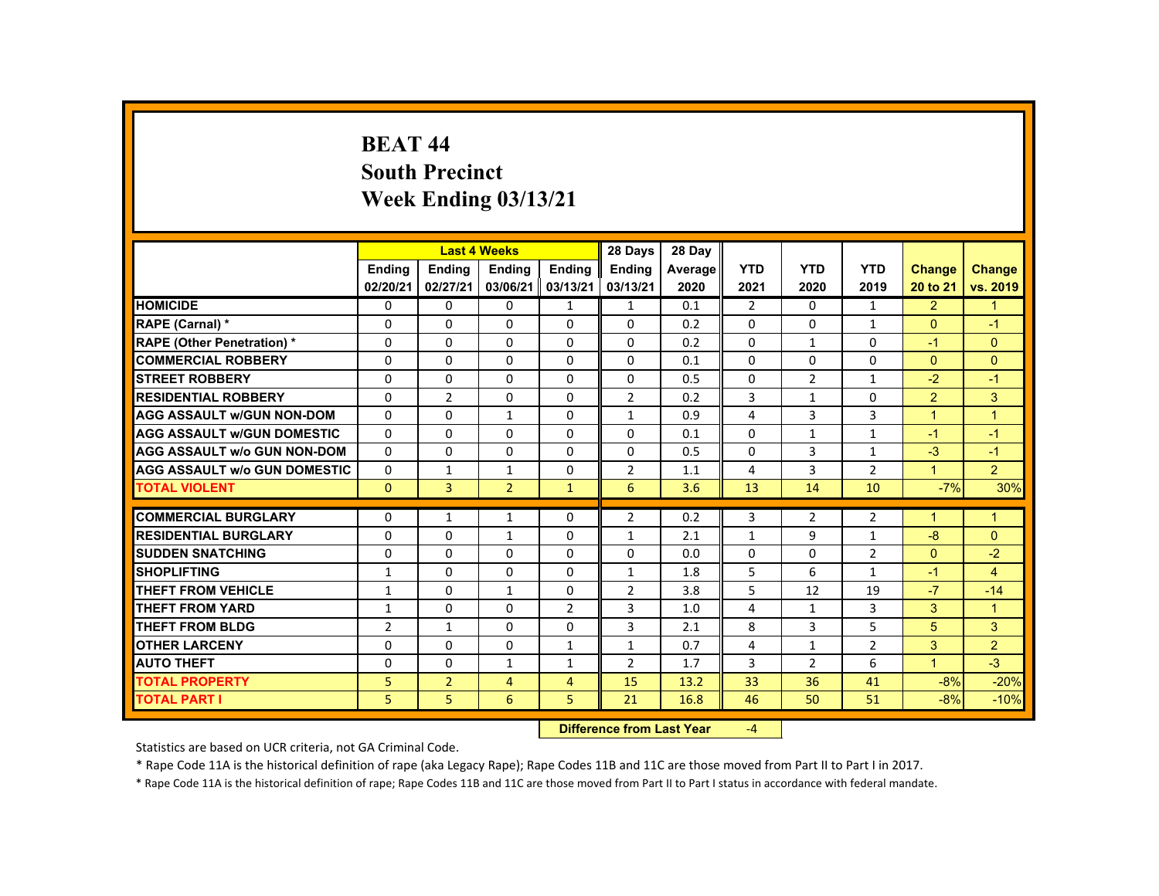### **BEAT 44 South Precinct Week Ending 03/13/21**

|                                     |                |                                   | <b>Last 4 Weeks</b> |                | 28 Days        | 28 Day  |                |                |                |                      |                      |
|-------------------------------------|----------------|-----------------------------------|---------------------|----------------|----------------|---------|----------------|----------------|----------------|----------------------|----------------------|
|                                     | <b>Ending</b>  | <b>Ending</b>                     | <b>Ending</b>       | <b>Ending</b>  | Ending         | Average | <b>YTD</b>     | <b>YTD</b>     | <b>YTD</b>     | <b>Change</b>        | <b>Change</b>        |
|                                     | 02/20/21       | 02/27/21                          | 03/06/21            | 03/13/21       | 03/13/21       | 2020    | 2021           | 2020           | 2019           | 20 to 21             | vs. 2019             |
| <b>HOMICIDE</b>                     | $\Omega$       | $\Omega$                          | $\mathbf{0}$        | $\mathbf{1}$   | $\mathbf{1}$   | 0.1     | $\overline{2}$ | $\Omega$       | $\mathbf{1}$   | $\overline{2}$       | $\blacklozenge$      |
| RAPE (Carnal) *                     | 0              | $\Omega$                          | $\Omega$            | $\Omega$       | $\Omega$       | 0.2     | $\Omega$       | $\Omega$       | $\mathbf{1}$   | $\Omega$             | $-1$                 |
| <b>RAPE (Other Penetration) *</b>   | $\Omega$       | $\Omega$                          | $\Omega$            | $\Omega$       | $\Omega$       | 0.2     | $\Omega$       | 1              | $\Omega$       | $-1$                 | $\Omega$             |
| <b>COMMERCIAL ROBBERY</b>           | $\Omega$       | $\Omega$                          | $\Omega$            | $\Omega$       | $\Omega$       | 0.1     | $\Omega$       | $\Omega$       | $\Omega$       | $\Omega$             | $\Omega$             |
| <b>STREET ROBBERY</b>               | $\Omega$       | $\Omega$                          | $\Omega$            | $\Omega$       | $\Omega$       | 0.5     | $\Omega$       | $\overline{2}$ | $\mathbf{1}$   | $-2$                 | $-1$                 |
| <b>RESIDENTIAL ROBBERY</b>          | $\Omega$       | $\overline{2}$                    | $\Omega$            | 0              | 2              | 0.2     | 3              | $\mathbf{1}$   | $\Omega$       | 2                    | 3                    |
| <b>AGG ASSAULT W/GUN NON-DOM</b>    | $\mathbf{0}$   | $\Omega$                          | $\mathbf{1}$        | $\Omega$       | $\mathbf{1}$   | 0.9     | 4              | 3              | $\overline{3}$ | $\blacktriangleleft$ | $\blacktriangleleft$ |
| <b>AGG ASSAULT W/GUN DOMESTIC</b>   | $\Omega$       | $\Omega$                          | $\Omega$            | $\Omega$       | $\Omega$       | 0.1     | $\Omega$       | $\mathbf{1}$   | $\mathbf{1}$   | $-1$                 | $-1$                 |
| <b>AGG ASSAULT w/o GUN NON-DOM</b>  | $\Omega$       | $\Omega$                          | $\Omega$            | $\Omega$       | $\Omega$       | 0.5     | $\Omega$       | $\overline{3}$ | $\mathbf{1}$   | $-3$                 | $-1$                 |
| <b>AGG ASSAULT W/o GUN DOMESTIC</b> | $\Omega$       | $\mathbf{1}$                      | $\mathbf{1}$        | $\Omega$       | 2              | 1.1     | 4              | 3              | $\overline{2}$ | $\mathbf{1}$         | $\overline{2}$       |
| <b>TOTAL VIOLENT</b>                | $\Omega$       | $\overline{3}$                    | $\overline{2}$      | $\mathbf{1}$   | 6              | 3.6     | 13             | 14             | 10             | $-7%$                | 30%                  |
|                                     |                |                                   |                     |                |                |         |                |                |                |                      |                      |
| <b>COMMERCIAL BURGLARY</b>          | $\mathbf{0}$   | $\mathbf{1}$                      | $\mathbf{1}$        | 0              | $\overline{2}$ | 0.2     | 3              | $\overline{2}$ | $\overline{2}$ | $\blacktriangleleft$ | $\mathbf{1}$         |
| <b>RESIDENTIAL BURGLARY</b>         | $\Omega$       | $\Omega$                          | $\mathbf{1}$        | $\Omega$       | $\mathbf{1}$   | 2.1     | $\mathbf{1}$   | 9              | $\mathbf{1}$   | $-8$                 | $\Omega$             |
| <b>SUDDEN SNATCHING</b>             | $\mathbf{0}$   | $\mathbf{0}$                      | $\Omega$            | $\mathbf{0}$   | 0              | 0.0     | $\Omega$       | 0              | $\overline{2}$ | $\mathbf{0}$         | $-2$                 |
| <b>SHOPLIFTING</b>                  | 1              | $\Omega$                          | $\Omega$            | $\Omega$       | $\mathbf{1}$   | 1.8     | 5              | 6              | $\mathbf{1}$   | $-1$                 | $\overline{4}$       |
| <b>THEFT FROM VEHICLE</b>           | 1              | $\Omega$                          | $\mathbf{1}$        | $\Omega$       | $\overline{2}$ | 3.8     | 5              | 12             | 19             | $-7$                 | $-14$                |
| <b>THEFT FROM YARD</b>              | $\mathbf{1}$   | $\Omega$                          | $\Omega$            | $\overline{2}$ | 3              | 1.0     | 4              | $\mathbf{1}$   | 3              | 3                    | $\mathbf{1}$         |
| <b>THEFT FROM BLDG</b>              | $\overline{2}$ | $\mathbf{1}$                      | $\mathbf{0}$        | $\Omega$       | 3              | 2.1     | 8              | 3              | 5              | 5                    | 3                    |
| <b>OTHER LARCENY</b>                | $\Omega$       | $\Omega$                          | $\Omega$            | $\mathbf{1}$   | $\mathbf{1}$   | 0.7     | 4              | 1              | $\overline{2}$ | 3                    | $\overline{2}$       |
| <b>AUTO THEFT</b>                   | $\Omega$       | $\Omega$                          | $\mathbf{1}$        | $\mathbf{1}$   | $\overline{2}$ | 1.7     | 3              | 2              | 6              | $\overline{1}$       | $-3$                 |
| <b>TOTAL PROPERTY</b>               | 5              | $\overline{2}$                    | $\overline{4}$      | $\overline{4}$ | 15             | 13.2    | 33             | 36             | 41             | $-8%$                | $-20%$               |
| <b>TOTAL PART I</b>                 | 5.             | 5                                 | 6                   | 5.             | 21             | 16.8    | 46             | 50             | 51             | $-8%$                | $-10%$               |
|                                     |                | <b>Difference from Least Vanc</b> |                     | $\mathbf{A}$   |                |         |                |                |                |                      |                      |

 **Difference from Last Year**‐4

Statistics are based on UCR criteria, not GA Criminal Code.

\* Rape Code 11A is the historical definition of rape (aka Legacy Rape); Rape Codes 11B and 11C are those moved from Part II to Part I in 2017.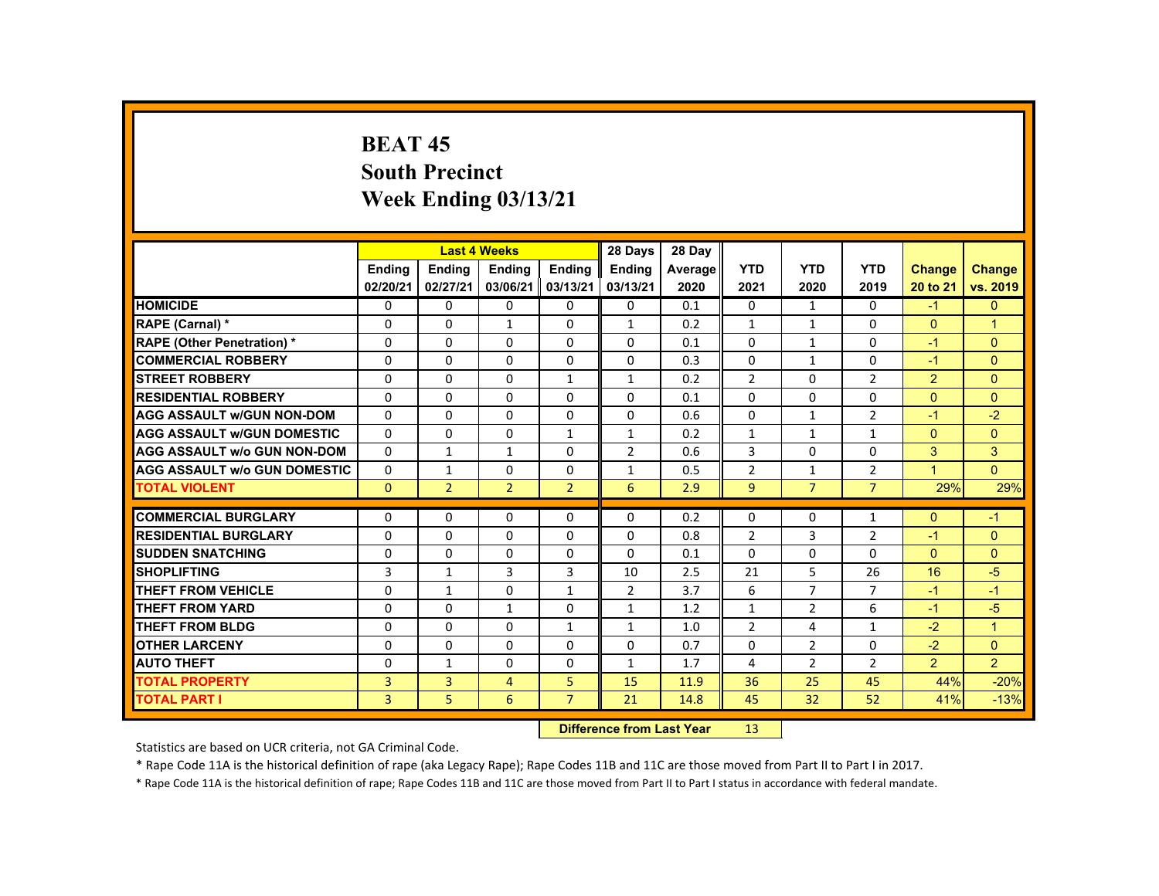# **BEAT 45 South Precinct Week Ending 03/13/21**

|                                     |                |                | <b>Last 4 Weeks</b>              |                | 28 Days        | 28 Day  |                |                |                |                |                      |
|-------------------------------------|----------------|----------------|----------------------------------|----------------|----------------|---------|----------------|----------------|----------------|----------------|----------------------|
|                                     | <b>Ending</b>  | <b>Ending</b>  | <b>Ending</b>                    | <b>Ending</b>  | <b>Ending</b>  | Average | <b>YTD</b>     | <b>YTD</b>     | <b>YTD</b>     | <b>Change</b>  | <b>Change</b>        |
|                                     | 02/20/21       | 02/27/21       | 03/06/21                         | 03/13/21       | 03/13/21       | 2020    | 2021           | 2020           | 2019           | 20 to 21       | vs. 2019             |
| <b>HOMICIDE</b>                     | 0              | $\Omega$       | $\Omega$                         | $\mathbf 0$    | $\mathbf 0$    | 0.1     | 0              | $\mathbf{1}$   | 0              | $-1$           | $\mathbf{0}$         |
| RAPE (Carnal) *                     | $\Omega$       | $\Omega$       | $\mathbf{1}$                     | $\Omega$       | $\mathbf{1}$   | 0.2     | $\mathbf{1}$   | $\mathbf{1}$   | $\Omega$       | $\Omega$       | $\blacktriangleleft$ |
| <b>RAPE (Other Penetration) *</b>   | 0              | $\Omega$       | $\Omega$                         | $\Omega$       | $\Omega$       | 0.1     | $\Omega$       | 1              | 0              | $-1$           | $\overline{0}$       |
| <b>COMMERCIAL ROBBERY</b>           | $\Omega$       | $\Omega$       | $\Omega$                         | $\Omega$       | $\Omega$       | 0.3     | $\Omega$       | $\mathbf{1}$   | $\Omega$       | $-1$           | $\Omega$             |
| <b>ISTREET ROBBERY</b>              | 0              | $\Omega$       | $\Omega$                         | $\mathbf{1}$   | 1              | 0.2     | $\overline{2}$ | 0              | $\overline{2}$ | $\overline{2}$ | $\Omega$             |
| <b>RESIDENTIAL ROBBERY</b>          | $\Omega$       | $\Omega$       | $\Omega$                         | $\Omega$       | $\Omega$       | 0.1     | 0              | $\Omega$       | 0              | $\Omega$       | $\Omega$             |
| <b>AGG ASSAULT W/GUN NON-DOM</b>    | $\mathbf{0}$   | $\Omega$       | $\Omega$                         | $\Omega$       | $\Omega$       | 0.6     | $\Omega$       | 1              | $\overline{2}$ | $-1$           | $-2$                 |
| <b>AGG ASSAULT W/GUN DOMESTIC</b>   | $\Omega$       | $\Omega$       | $\Omega$                         | $\mathbf{1}$   | $\mathbf{1}$   | 0.2     | $\mathbf{1}$   | $\mathbf{1}$   | $\mathbf{1}$   | $\Omega$       | $\Omega$             |
| <b>AGG ASSAULT w/o GUN NON-DOM</b>  | 0              | $\mathbf{1}$   | $\mathbf{1}$                     | 0              | $\overline{2}$ | 0.6     | 3              | 0              | $\Omega$       | 3              | 3                    |
| <b>AGG ASSAULT W/o GUN DOMESTIC</b> | $\Omega$       | $\mathbf{1}$   | $\Omega$                         | $\Omega$       | $\mathbf{1}$   | 0.5     | $\overline{2}$ | 1              | $\overline{2}$ | 1              | $\Omega$             |
| <b>TOTAL VIOLENT</b>                | $\Omega$       | $\overline{2}$ | $\overline{2}$                   | 2 <sup>1</sup> | 6              | 2.9     | $\overline{9}$ | $\overline{7}$ | $\overline{7}$ | 29%            | 29%                  |
| <b>COMMERCIAL BURGLARY</b>          | $\mathbf{0}$   | $\mathbf{0}$   | $\mathbf{0}$                     | 0              | 0              | 0.2     | 0              | 0              | 1              | $\mathbf{0}$   | $-1$                 |
| <b>RESIDENTIAL BURGLARY</b>         | $\Omega$       | $\Omega$       | $\Omega$                         | $\Omega$       | $\Omega$       | 0.8     | $\overline{2}$ | 3              | $\overline{2}$ | $-1$           | $\mathbf{0}$         |
| <b>SUDDEN SNATCHING</b>             | $\Omega$       | $\Omega$       | $\Omega$                         | $\Omega$       | $\Omega$       | 0.1     | $\Omega$       | $\Omega$       | $\Omega$       | $\Omega$       | $\Omega$             |
| <b>SHOPLIFTING</b>                  | 3              | $\mathbf{1}$   | 3                                | 3              | 10             | 2.5     | 21             | 5              | 26             | 16             | $-5$                 |
| THEFT FROM VEHICLE                  | $\Omega$       | $\mathbf{1}$   | $\Omega$                         | $\mathbf{1}$   | $\overline{2}$ | 3.7     | 6              | $\overline{7}$ | $\overline{7}$ | $-1$           | $-1$                 |
| <b>THEFT FROM YARD</b>              | $\Omega$       | $\Omega$       | $\mathbf{1}$                     | $\Omega$       | $\mathbf{1}$   | 1.2     | $\mathbf{1}$   | $\overline{2}$ | 6              | $-1$           | $-5$                 |
| <b>THEFT FROM BLDG</b>              | $\Omega$       | $\Omega$       | $\Omega$                         | $\mathbf{1}$   | $\mathbf{1}$   | 1.0     | $\overline{2}$ | 4              | $\mathbf{1}$   | $-2$           | $\mathbf{1}$         |
| <b>OTHER LARCENY</b>                | $\Omega$       | $\Omega$       | $\Omega$                         | $\Omega$       | $\Omega$       | 0.7     | 0              | $\overline{2}$ | 0              | $-2$           | $\overline{0}$       |
| <b>AUTO THEFT</b>                   | $\Omega$       | $\mathbf{1}$   | $\Omega$                         | $\Omega$       | $\mathbf{1}$   | 1.7     | 4              | $\overline{2}$ | $\overline{2}$ | 2 <sup>1</sup> | 2 <sup>1</sup>       |
| <b>TOTAL PROPERTY</b>               | 3              | $\overline{3}$ | 4                                | 5              | 15             | 11.9    | 36             | 25             | 45             | 44%            | $-20%$               |
| <b>TOTAL PART I</b>                 | $\overline{3}$ | 5              | 6                                | $\overline{7}$ | 21             | 14.8    | 45             | 32             | 52             | 41%            | $-13%$               |
|                                     |                |                | <b>Difference from Last Year</b> |                | 13             |         |                |                |                |                |                      |

Statistics are based on UCR criteria, not GA Criminal Code.

\* Rape Code 11A is the historical definition of rape (aka Legacy Rape); Rape Codes 11B and 11C are those moved from Part II to Part I in 2017.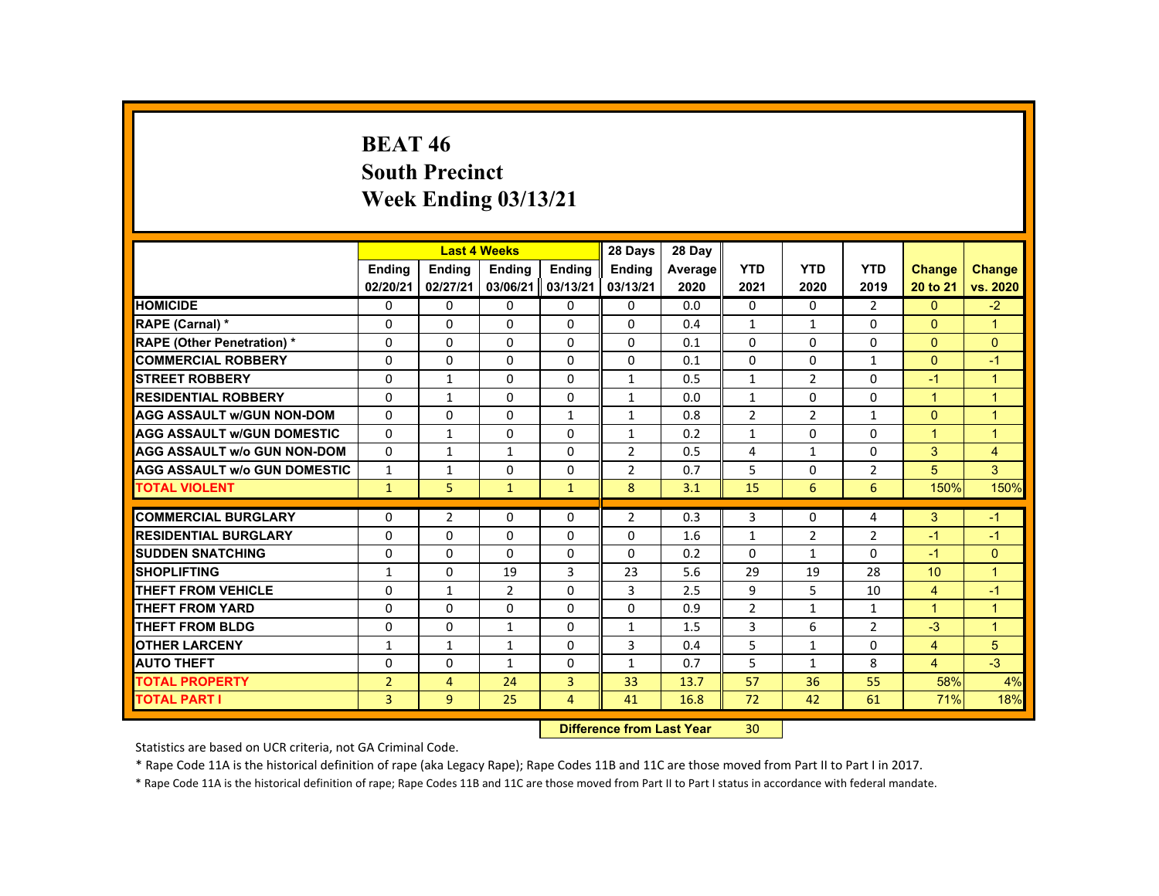# **BEAT 46 South Precinct Week Ending 03/13/21**

|                                     |                |                | <b>Last 4 Weeks</b> |                | 28 Days        | 28 Day  |                |                |                |                      |                      |
|-------------------------------------|----------------|----------------|---------------------|----------------|----------------|---------|----------------|----------------|----------------|----------------------|----------------------|
|                                     | Ending         | Ending         | Ending              | Ending         | Ending         | Average | <b>YTD</b>     | <b>YTD</b>     | <b>YTD</b>     | <b>Change</b>        | <b>Change</b>        |
|                                     | 02/20/21       | 02/27/21       | 03/06/21            | 03/13/21       | 03/13/21       | 2020    | 2021           | 2020           | 2019           | 20 to 21             | vs. 2020             |
| <b>HOMICIDE</b>                     | $\Omega$       | $\Omega$       | $\Omega$            | $\Omega$       | $\Omega$       | 0.0     | 0              | $\Omega$       | $\overline{2}$ | $\Omega$             | $-2$                 |
| <b>RAPE (Carnal) *</b>              | $\Omega$       | $\Omega$       | $\Omega$            | $\Omega$       | $\Omega$       | 0.4     | $\mathbf{1}$   | $\mathbf{1}$   | $\Omega$       | $\mathbf{0}$         | $\blacktriangleleft$ |
| <b>RAPE (Other Penetration) *</b>   | $\Omega$       | $\Omega$       | $\Omega$            | $\Omega$       | $\Omega$       | 0.1     | $\Omega$       | $\Omega$       | $\Omega$       | $\Omega$             | $\overline{0}$       |
| <b>COMMERCIAL ROBBERY</b>           | $\Omega$       | $\Omega$       | $\Omega$            | $\Omega$       | $\Omega$       | 0.1     | $\Omega$       | $\Omega$       | $\mathbf{1}$   | $\Omega$             | $-1$                 |
| <b>STREET ROBBERY</b>               | $\Omega$       | $\mathbf{1}$   | $\Omega$            | $\Omega$       | $\mathbf{1}$   | 0.5     | $\mathbf{1}$   | $\overline{2}$ | $\Omega$       | $-1$                 | $\mathbf{1}$         |
| <b>RESIDENTIAL ROBBERY</b>          | $\mathbf{0}$   | $\mathbf{1}$   | $\mathbf{0}$        | $\mathbf{0}$   | $\mathbf{1}$   | 0.0     | $\mathbf{1}$   | 0              | 0              | $\blacktriangleleft$ | $\overline{1}$       |
| <b>AGG ASSAULT W/GUN NON-DOM</b>    | $\Omega$       | $\Omega$       | $\Omega$            | $\mathbf{1}$   | 1              | 0.8     | $\overline{2}$ | $\overline{2}$ | $\mathbf{1}$   | $\Omega$             | $\overline{1}$       |
| <b>AGG ASSAULT W/GUN DOMESTIC</b>   | $\Omega$       | $\mathbf{1}$   | $\Omega$            | $\Omega$       | $\mathbf{1}$   | 0.2     | $\mathbf{1}$   | $\Omega$       | $\Omega$       | $\overline{1}$       | $\overline{1}$       |
| <b>AGG ASSAULT w/o GUN NON-DOM</b>  | $\Omega$       | $\mathbf{1}$   | $\mathbf{1}$        | $\Omega$       | $\overline{2}$ | 0.5     | 4              | $\mathbf{1}$   | $\Omega$       | 3                    | $\overline{4}$       |
| <b>AGG ASSAULT W/o GUN DOMESTIC</b> | $\mathbf{1}$   | $\mathbf{1}$   | $\Omega$            | $\Omega$       | $\overline{2}$ | 0.7     | 5              | $\Omega$       | $\overline{2}$ | 5                    | 3                    |
| <b>TOTAL VIOLENT</b>                | $\mathbf{1}$   | 5              | $\mathbf{1}$        | $\mathbf{1}$   | 8              | 3.1     | 15             | 6              | 6              | 150%                 | 150%                 |
| <b>COMMERCIAL BURGLARY</b>          | $\Omega$       | $\overline{2}$ | $\Omega$            | $\Omega$       | $\overline{2}$ | 0.3     | 3              | $\Omega$       | 4              | 3                    | $-1$                 |
| <b>RESIDENTIAL BURGLARY</b>         | $\Omega$       | $\Omega$       | $\Omega$            | $\Omega$       | $\Omega$       | 1.6     | $\mathbf{1}$   | $\overline{2}$ | $\overline{2}$ | $-1$                 | $-1$                 |
| <b>SUDDEN SNATCHING</b>             | $\mathbf{0}$   | $\Omega$       | $\Omega$            | $\Omega$       | $\Omega$       | 0.2     | $\Omega$       | $\mathbf{1}$   | $\Omega$       | $-1$                 | $\overline{0}$       |
| <b>SHOPLIFTING</b>                  | $\mathbf{1}$   | $\Omega$       | 19                  | 3              | 23             | 5.6     | 29             | 19             | 28             | 10                   | $\overline{1}$       |
| <b>THEFT FROM VEHICLE</b>           | $\Omega$       | $\mathbf{1}$   | $\overline{2}$      | $\Omega$       | 3              | 2.5     | 9              | 5              | 10             | $\overline{4}$       | $-1$                 |
| <b>THEFT FROM YARD</b>              | $\Omega$       | $\Omega$       | $\Omega$            | $\Omega$       | $\Omega$       | 0.9     | $\overline{2}$ | $\mathbf{1}$   | $\mathbf{1}$   | $\mathbf{1}$         | $\mathbf{1}$         |
| <b>THEFT FROM BLDG</b>              | $\mathbf{0}$   | $\Omega$       | 1                   | 0              | 1              | 1.5     | 3              | 6              | $\overline{2}$ | $-3$                 | $\blacktriangleleft$ |
| <b>OTHER LARCENY</b>                | 1              | $\mathbf{1}$   | 1                   | $\Omega$       | 3              | 0.4     | 5              | 1              | $\Omega$       | $\overline{4}$       | 5                    |
| <b>AUTO THEFT</b>                   | $\mathbf{0}$   | $\Omega$       | $\mathbf{1}$        | $\Omega$       | $\mathbf{1}$   | 0.7     | 5              | $\mathbf{1}$   | 8              | $\overline{4}$       | $-3$                 |
| <b>TOTAL PROPERTY</b>               | $\overline{2}$ | $\overline{4}$ | 24                  | $\overline{3}$ | 33             | 13.7    | 57             | 36             | 55             | 58%                  | 4%                   |
| <b>TOTAL PART I</b>                 | 3              | $9^{\circ}$    | 25                  | $\overline{4}$ | 41             | 16.8    | 72             | 42             | 61             | 71%                  | 18%                  |
|                                     |                |                |                     |                |                |         |                |                |                |                      |                      |

 **Difference from Last Year**r 30

Statistics are based on UCR criteria, not GA Criminal Code.

\* Rape Code 11A is the historical definition of rape (aka Legacy Rape); Rape Codes 11B and 11C are those moved from Part II to Part I in 2017.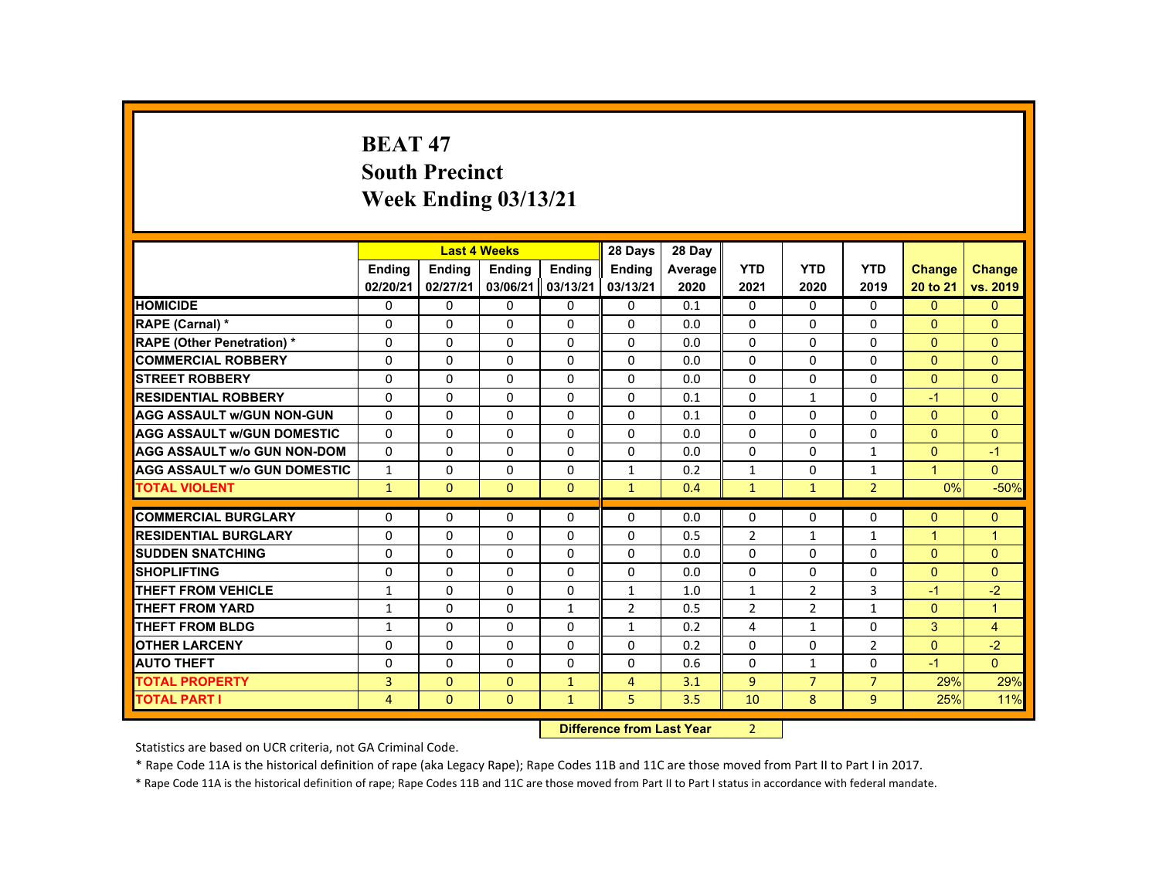# **BEAT 47 South Precinct Week Ending 03/13/21**

|                                     |                  | <b>Last 4 Weeks</b> |               |              | 28 Days        | 28 Day  |                |                |                |               |                |
|-------------------------------------|------------------|---------------------|---------------|--------------|----------------|---------|----------------|----------------|----------------|---------------|----------------|
|                                     | <b>Ending</b>    | Ending              | <b>Ending</b> | Ending       | <b>Endina</b>  | Average | <b>YTD</b>     | <b>YTD</b>     | <b>YTD</b>     | <b>Change</b> | <b>Change</b>  |
|                                     | 02/20/21         | 02/27/21            | 03/06/21      | 03/13/21     | 03/13/21       | 2020    | 2021           | 2020           | 2019           | 20 to 21      | vs. 2019       |
| <b>HOMICIDE</b>                     | 0                | $\Omega$            | $\mathbf{0}$  | $\Omega$     | 0              | 0.1     | 0              | $\Omega$       | $\mathbf{0}$   | $\mathbf{0}$  | $\mathbf{0}$   |
| RAPE (Carnal) *                     | 0                | $\Omega$            | $\Omega$      | $\Omega$     | $\Omega$       | 0.0     | $\Omega$       | $\Omega$       | $\Omega$       | $\Omega$      | $\Omega$       |
| <b>RAPE (Other Penetration) *</b>   | $\Omega$         | $\Omega$            | $\Omega$      | $\Omega$     | $\Omega$       | 0.0     | $\Omega$       | $\Omega$       | $\Omega$       | $\Omega$      | $\Omega$       |
| <b>COMMERCIAL ROBBERY</b>           | $\Omega$         | $\Omega$            | $\Omega$      | $\Omega$     | $\Omega$       | 0.0     | $\Omega$       | $\Omega$       | $\Omega$       | $\Omega$      | $\mathbf{0}$   |
| <b>STREET ROBBERY</b>               | $\Omega$         | $\Omega$            | $\Omega$      | $\Omega$     | $\Omega$       | 0.0     | $\Omega$       | $\Omega$       | $\Omega$       | $\Omega$      | $\Omega$       |
| <b>RESIDENTIAL ROBBERY</b>          | $\mathbf{0}$     | $\Omega$            | $\mathbf{0}$  | 0            | 0              | 0.1     | $\Omega$       | $\mathbf{1}$   | 0              | $-1$          | $\Omega$       |
| <b>AGG ASSAULT w/GUN NON-GUN</b>    | $\Omega$         | $\Omega$            | $\Omega$      | $\Omega$     | $\Omega$       | 0.1     | $\Omega$       | $\Omega$       | $\Omega$       | $\Omega$      | $\Omega$       |
| <b>AGG ASSAULT W/GUN DOMESTIC</b>   | $\Omega$         | $\Omega$            | $\Omega$      | 0            | $\Omega$       | 0.0     | $\Omega$       | 0              | 0              | $\Omega$      | $\mathbf{0}$   |
| <b>AGG ASSAULT w/o GUN NON-DOM</b>  | $\Omega$         | $\Omega$            | $\Omega$      | $\Omega$     | $\Omega$       | 0.0     | $\Omega$       | $\Omega$       | $\mathbf{1}$   | $\Omega$      | $-1$           |
| <b>AGG ASSAULT W/o GUN DOMESTIC</b> | $\mathbf{1}$     | $\Omega$            | $\Omega$      | $\Omega$     | $\mathbf{1}$   | 0.2     | $\mathbf{1}$   | $\Omega$       | $\mathbf{1}$   | $\mathbf{1}$  | $\Omega$       |
| <b>TOTAL VIOLENT</b>                | $\mathbf{1}$     | $\mathbf{0}$        | $\Omega$      | $\mathbf{0}$ | $\mathbf{1}$   | 0.4     | $\mathbf{1}$   | $\mathbf{1}$   | $\overline{2}$ | 0%            | $-50%$         |
| <b>COMMERCIAL BURGLARY</b>          | $\mathbf{0}$     | $\Omega$            | $\Omega$      | $\Omega$     | $\Omega$       | 0.0     | $\Omega$       | $\Omega$       | $\Omega$       | $\Omega$      | $\mathbf{0}$   |
| <b>RESIDENTIAL BURGLARY</b>         | $\Omega$         | $\Omega$            | $\Omega$      | $\Omega$     | $\Omega$       |         | $\overline{2}$ |                |                |               |                |
| <b>SUDDEN SNATCHING</b>             |                  | $\Omega$            |               |              |                | 0.5     |                | $\mathbf{1}$   | $\mathbf{1}$   | $\mathbf{1}$  | $\overline{1}$ |
|                                     | $\Omega$         |                     | $\Omega$      | $\mathbf{0}$ | 0              | 0.0     | $\Omega$       | $\Omega$       | $\Omega$       | $\Omega$      | $\Omega$       |
| <b>SHOPLIFTING</b>                  | $\Omega$         | $\Omega$            | $\Omega$      | $\Omega$     | $\Omega$       | 0.0     | $\Omega$       | $\Omega$       | $\Omega$       | $\Omega$      | $\Omega$       |
| <b>THEFT FROM VEHICLE</b>           | $\mathbf{1}$     | $\Omega$            | $\Omega$      | $\Omega$     | $\mathbf{1}$   | 1.0     | $\mathbf{1}$   | $\overline{2}$ | 3              | $-1$          | $-2$           |
| <b>THEFT FROM YARD</b>              | $\mathbf{1}$     | $\Omega$            | $\Omega$      | $\mathbf{1}$ | $\overline{2}$ | 0.5     | $\overline{2}$ | $\overline{2}$ | $\mathbf{1}$   | $\Omega$      | $\mathbf{1}$   |
| <b>THEFT FROM BLDG</b>              | $\mathbf{1}$     | $\Omega$            | $\Omega$      | $\Omega$     | $\mathbf{1}$   | 0.2     | 4              | $\mathbf{1}$   | 0              | 3             | $\overline{4}$ |
| <b>OTHER LARCENY</b>                | $\Omega$         | $\Omega$            | $\Omega$      | $\Omega$     | $\Omega$       | 0.2     | $\Omega$       | $\Omega$       | $\overline{2}$ | $\Omega$      | $-2$           |
| <b>AUTO THEFT</b>                   | $\Omega$         | $\Omega$            | $\Omega$      | $\Omega$     | $\Omega$       | 0.6     | $\Omega$       | $\mathbf{1}$   | $\Omega$       | $-1$          | $\Omega$       |
| <b>TOTAL PROPERTY</b>               | $\overline{3}$   | $\Omega$            | $\Omega$      | $\mathbf{1}$ | $\overline{4}$ | 3.1     | 9              | $\overline{7}$ | $\overline{7}$ | 29%           | 29%            |
| <b>TOTAL PART I</b>                 | $\overline{4}$   | $\Omega$            | $\mathbf{0}$  | $\mathbf{1}$ | 5              | 3.5     | 10             | 8              | $\overline{9}$ | 25%           | 11%            |
|                                     | <b>INSECTION</b> |                     |               |              |                |         | $\sim$         |                |                |               |                |

 **Difference from Last Year**r 2

Statistics are based on UCR criteria, not GA Criminal Code.

\* Rape Code 11A is the historical definition of rape (aka Legacy Rape); Rape Codes 11B and 11C are those moved from Part II to Part I in 2017.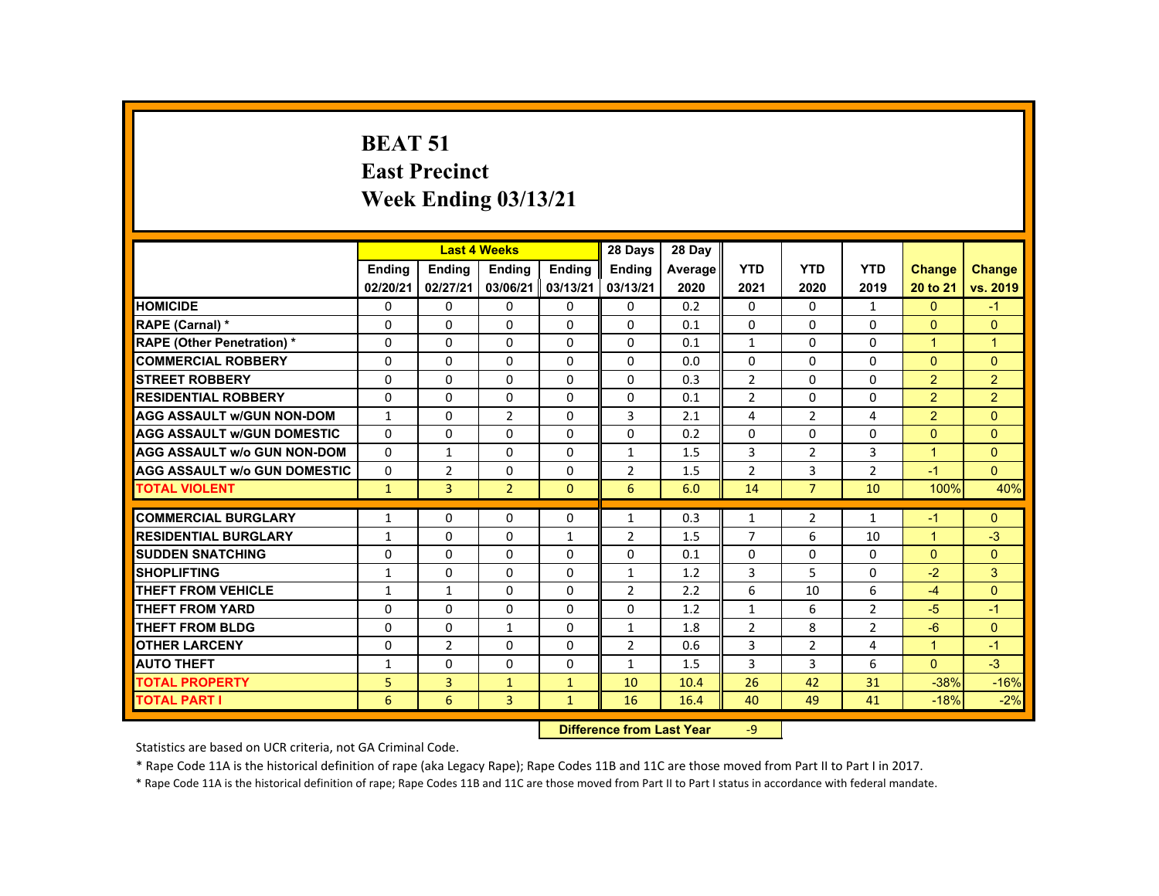# **BEAT 51 East Precinct Week Ending 03/13/21**

|                                     |               | <b>Last 4 Weeks</b> |                                  |               | 28 Days        | 28 Day  |                |                |                |                      |                |
|-------------------------------------|---------------|---------------------|----------------------------------|---------------|----------------|---------|----------------|----------------|----------------|----------------------|----------------|
|                                     | <b>Endina</b> | Ending              | <b>Ending</b>                    | <b>Endina</b> | <b>Endina</b>  | Average | <b>YTD</b>     | <b>YTD</b>     | <b>YTD</b>     | <b>Change</b>        | <b>Change</b>  |
|                                     | 02/20/21      | 02/27/21            | 03/06/21                         | 03/13/21      | 03/13/21       | 2020    | 2021           | 2020           | 2019           | 20 to 21             | vs. 2019       |
| <b>HOMICIDE</b>                     | $\Omega$      | $\Omega$            | $\Omega$                         | $\Omega$      | $\Omega$       | 0.2     | $\Omega$       | $\Omega$       | $\mathbf{1}$   | $\Omega$             | $-1$           |
| RAPE (Carnal) *                     | $\Omega$      | $\Omega$            | $\Omega$                         | $\Omega$      | $\Omega$       | 0.1     | $\Omega$       | $\Omega$       | $\Omega$       | $\Omega$             | $\Omega$       |
| <b>RAPE (Other Penetration) *</b>   | $\Omega$      | $\Omega$            | $\Omega$                         | $\Omega$      | $\Omega$       | 0.1     | $\mathbf{1}$   | $\Omega$       | $\Omega$       | $\blacktriangleleft$ | $\mathbf{1}$   |
| <b>COMMERCIAL ROBBERY</b>           | $\Omega$      | $\Omega$            | $\Omega$                         | $\Omega$      | $\Omega$       | 0.0     | $\Omega$       | $\Omega$       | $\Omega$       | $\Omega$             | $\Omega$       |
| <b>STREET ROBBERY</b>               | $\Omega$      | $\Omega$            | $\Omega$                         | $\Omega$      | $\Omega$       | 0.3     | $\overline{2}$ | $\Omega$       | $\Omega$       | $\overline{2}$       | $\overline{2}$ |
| <b>RESIDENTIAL ROBBERY</b>          | $\Omega$      | $\Omega$            | $\Omega$                         | 0             | 0              | 0.1     | $\overline{2}$ | $\Omega$       | $\Omega$       | $\overline{2}$       | $\overline{2}$ |
| <b>AGG ASSAULT w/GUN NON-DOM</b>    | $\mathbf{1}$  | $\Omega$            | $\overline{2}$                   | $\Omega$      | 3              | 2.1     | 4              | $\overline{2}$ | 4              | $\overline{2}$       | $\Omega$       |
| <b>AGG ASSAULT w/GUN DOMESTIC</b>   | $\Omega$      | $\Omega$            | $\Omega$                         | $\Omega$      | $\Omega$       | 0.2     | $\Omega$       | $\Omega$       | $\Omega$       | $\Omega$             | $\Omega$       |
| <b>AGG ASSAULT w/o GUN NON-DOM</b>  | $\Omega$      | $\mathbf{1}$        | $\Omega$                         | $\Omega$      | $\mathbf{1}$   | 1.5     | 3              | $\overline{2}$ | 3              | $\blacktriangleleft$ | $\Omega$       |
| <b>AGG ASSAULT w/o GUN DOMESTIC</b> | $\mathbf{0}$  | $\overline{2}$      | 0                                | 0             | $\overline{2}$ | 1.5     | $\overline{2}$ | 3              | $\overline{2}$ | $-1$                 | $\Omega$       |
| <b>TOTAL VIOLENT</b>                | $\mathbf{1}$  | $\overline{3}$      | $\overline{2}$                   | $\Omega$      | 6              | 6.0     | 14             | $\overline{7}$ | 10             | 100%                 | 40%            |
| <b>COMMERCIAL BURGLARY</b>          | 1             | 0                   | 0                                | 0             | 1              | 0.3     | 1              | $\overline{2}$ | $\mathbf{1}$   | -1                   | $\overline{0}$ |
| <b>RESIDENTIAL BURGLARY</b>         | $\mathbf{1}$  | $\Omega$            | $\Omega$                         | $\mathbf{1}$  | $\overline{2}$ | 1.5     | $\overline{7}$ | 6              | 10             | $\blacktriangleleft$ | $-3$           |
| <b>SUDDEN SNATCHING</b>             | 0             | $\Omega$            | $\Omega$                         | 0             | 0              | 0.1     | 0              | $\Omega$       | 0              | $\Omega$             | $\overline{0}$ |
| <b>SHOPLIFTING</b>                  | $\mathbf{1}$  | $\Omega$            | $\Omega$                         | $\Omega$      | $\mathbf{1}$   | 1.2     | 3              | 5              | $\Omega$       | $-2$                 | 3              |
| <b>THEFT FROM VEHICLE</b>           | $\mathbf{1}$  | $\mathbf{1}$        | $\Omega$                         | $\Omega$      | $\overline{2}$ | 2.2     | 6              | 10             | 6              | $-4$                 | $\Omega$       |
| <b>THEFT FROM YARD</b>              | $\Omega$      | $\Omega$            | $\Omega$                         | $\Omega$      | $\Omega$       | 1.2     | $\mathbf{1}$   | 6              | $\overline{2}$ | $-5$                 | $-1$           |
| <b>THEFT FROM BLDG</b>              | $\Omega$      | $\Omega$            | $\mathbf{1}$                     | $\Omega$      | $\mathbf{1}$   | 1.8     | $\overline{2}$ | 8              | $\overline{2}$ | $-6$                 | $\Omega$       |
| <b>OTHER LARCENY</b>                | $\Omega$      | $\overline{2}$      | $\Omega$                         | $\Omega$      | $\overline{2}$ | 0.6     | 3              | $\overline{2}$ | 4              | $\blacktriangleleft$ | $-1$           |
| <b>AUTO THEFT</b>                   | $\mathbf{1}$  | 0                   | $\Omega$                         | 0             | $\mathbf{1}$   | 1.5     | 3              | 3              | 6              | $\Omega$             | $-3$           |
| <b>TOTAL PROPERTY</b>               | 5             | 3                   | $\mathbf{1}$                     | $\mathbf{1}$  | 10             | 10.4    | 26             | 42             | 31             | $-38%$               | $-16%$         |
| <b>TOTAL PART I</b>                 | 6             | 6                   | $\overline{3}$                   | $\mathbf{1}$  | 16             | 16.4    | 40             | 49             | 41             | $-18%$               | $-2%$          |
|                                     |               |                     | <b>Difference from Last Year</b> |               | -9             |         |                |                |                |                      |                |

Statistics are based on UCR criteria, not GA Criminal Code.

\* Rape Code 11A is the historical definition of rape (aka Legacy Rape); Rape Codes 11B and 11C are those moved from Part II to Part I in 2017.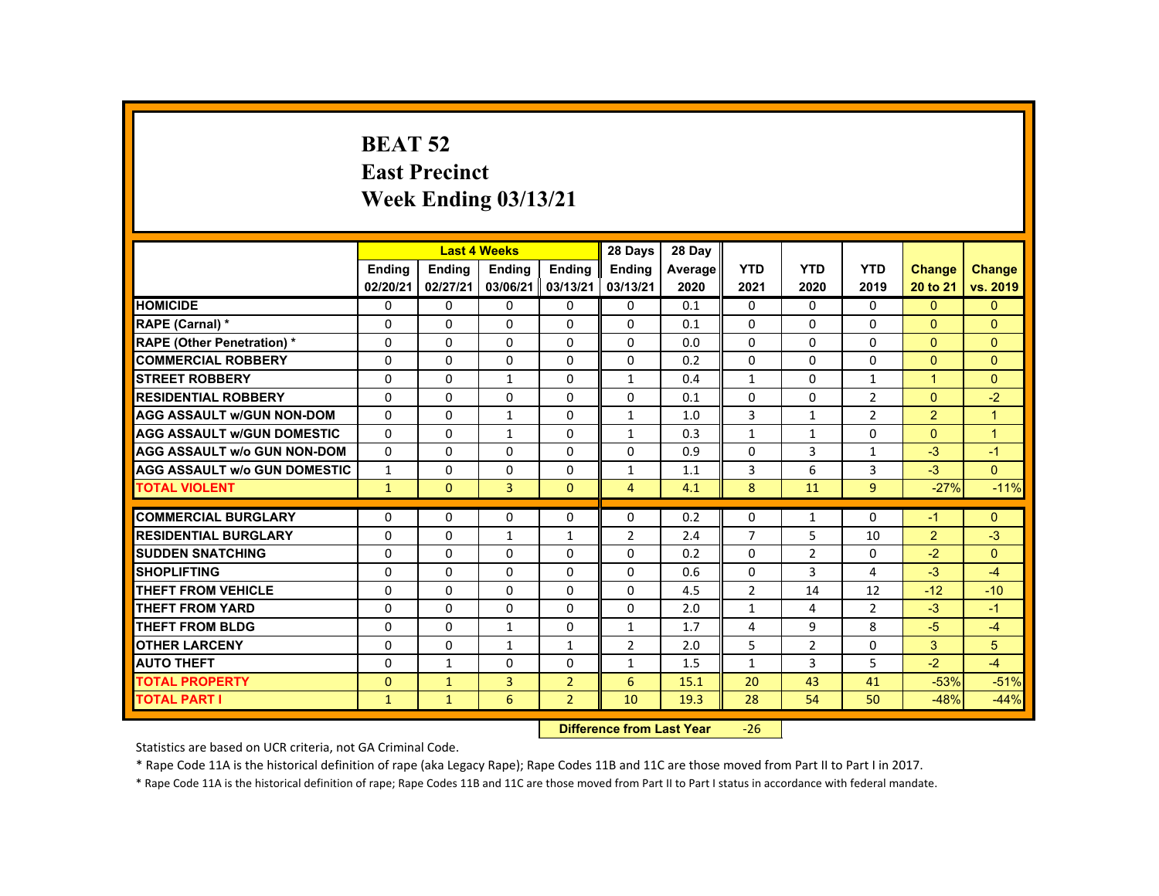# **BEAT 52 East Precinct Week Ending 03/13/21**

|                                     |               |               | <b>Last 4 Weeks</b> |                | 28 Days                   | 28 Day  |                |                |                |                      |                      |
|-------------------------------------|---------------|---------------|---------------------|----------------|---------------------------|---------|----------------|----------------|----------------|----------------------|----------------------|
|                                     | <b>Ending</b> | <b>Ending</b> | <b>Ending</b>       | <b>Ending</b>  | Ending                    | Average | <b>YTD</b>     | <b>YTD</b>     | <b>YTD</b>     | <b>Change</b>        | <b>Change</b>        |
|                                     | 02/20/21      | 02/27/21      | 03/06/21            | 03/13/21       | 03/13/21                  | 2020    | 2021           | 2020           | 2019           | 20 to 21             | vs. 2019             |
| <b>HOMICIDE</b>                     | $\Omega$      | $\Omega$      | $\Omega$            | $\Omega$       | 0                         | 0.1     | 0              | $\Omega$       | $\Omega$       | $\Omega$             | $\mathbf{0}$         |
| RAPE (Carnal) *                     | 0             | $\Omega$      | $\Omega$            | $\Omega$       | $\Omega$                  | 0.1     | $\Omega$       | $\Omega$       | $\Omega$       | $\Omega$             | $\Omega$             |
| <b>RAPE (Other Penetration) *</b>   | $\Omega$      | $\Omega$      | $\Omega$            | $\Omega$       | $\Omega$                  | 0.0     | $\Omega$       | $\Omega$       | $\Omega$       | $\Omega$             | $\Omega$             |
| <b>COMMERCIAL ROBBERY</b>           | $\Omega$      | $\Omega$      | $\Omega$            | $\Omega$       | $\Omega$                  | 0.2     | 0              | 0              | 0              | $\Omega$             | $\overline{0}$       |
| <b>STREET ROBBERY</b>               | $\Omega$      | $\Omega$      | $\mathbf{1}$        | $\Omega$       | $\mathbf{1}$              | 0.4     | $\mathbf{1}$   | $\Omega$       | $\mathbf{1}$   | $\blacktriangleleft$ | $\Omega$             |
| <b>RESIDENTIAL ROBBERY</b>          | $\Omega$      | $\Omega$      | $\Omega$            | $\Omega$       | $\Omega$                  | 0.1     | 0              | 0              | $\overline{2}$ | $\Omega$             | $-2$                 |
| <b>AGG ASSAULT W/GUN NON-DOM</b>    | $\Omega$      | $\Omega$      | $\mathbf{1}$        | $\Omega$       | $\mathbf{1}$              | 1.0     | 3              | $\mathbf{1}$   | $\overline{2}$ | $\overline{2}$       | $\blacktriangleleft$ |
| <b>AGG ASSAULT W/GUN DOMESTIC</b>   | $\Omega$      | $\Omega$      | $\mathbf{1}$        | $\Omega$       | $\mathbf{1}$              | 0.3     | $\mathbf{1}$   | $\mathbf{1}$   | $\Omega$       | $\Omega$             | $\mathbf{1}$         |
| <b>AGG ASSAULT w/o GUN NON-DOM</b>  | $\Omega$      | $\Omega$      | $\Omega$            | $\Omega$       | $\Omega$                  | 0.9     | $\Omega$       | $\overline{3}$ | $\mathbf{1}$   | $-3$                 | $-1$                 |
| <b>AGG ASSAULT W/o GUN DOMESTIC</b> | $\mathbf{1}$  | $\Omega$      | $\Omega$            | $\Omega$       | $\mathbf{1}$              | 1.1     | 3              | 6              | $\overline{3}$ | $-3$                 | $\Omega$             |
| <b>TOTAL VIOLENT</b>                | $\mathbf{1}$  | $\mathbf{0}$  | 3                   | $\mathbf{0}$   | $\overline{4}$            | 4.1     | 8              | 11             | 9              | $-27%$               | $-11%$               |
| <b>COMMERCIAL BURGLARY</b>          | $\Omega$      | $\Omega$      | $\Omega$            | $\Omega$       | $\Omega$                  |         |                |                | $\Omega$       | $-1$                 | $\Omega$             |
|                                     |               |               |                     |                |                           | 0.2     | 0              | $\mathbf{1}$   |                |                      |                      |
| <b>RESIDENTIAL BURGLARY</b>         | $\Omega$      | $\Omega$      | $\mathbf{1}$        | $\mathbf{1}$   | 2                         | 2.4     | $\overline{7}$ | 5              | 10             | 2                    | $-3$                 |
| <b>SUDDEN SNATCHING</b>             | $\Omega$      | $\Omega$      | $\Omega$            | $\Omega$       | $\Omega$                  | 0.2     | $\Omega$       | $\overline{2}$ | 0              | $-2$                 | $\mathbf{0}$         |
| <b>SHOPLIFTING</b>                  | $\Omega$      | $\Omega$      | $\Omega$            | $\Omega$       | $\Omega$                  | 0.6     | $\Omega$       | 3              | 4              | $-3$                 | $-4$                 |
| <b>THEFT FROM VEHICLE</b>           | $\Omega$      | $\Omega$      | $\Omega$            | $\Omega$       | $\Omega$                  | 4.5     | $\overline{2}$ | 14             | 12             | $-12$                | $-10$                |
| <b>THEFT FROM YARD</b>              | $\Omega$      | $\Omega$      | $\Omega$            | $\Omega$       | $\Omega$                  | 2.0     | $\mathbf{1}$   | 4              | $\overline{2}$ | $-3$                 | $-1$                 |
| <b>THEFT FROM BLDG</b>              | $\mathbf{0}$  | $\Omega$      | $\mathbf{1}$        | $\Omega$       | $\mathbf{1}$              | 1.7     | 4              | 9              | 8              | $-5$                 | $-4$                 |
| <b>OTHER LARCENY</b>                | $\Omega$      | $\Omega$      | $\mathbf{1}$        | $\mathbf{1}$   | 2                         | 2.0     | 5              | $\overline{2}$ | $\Omega$       | 3                    | 5                    |
| <b>AUTO THEFT</b>                   | $\Omega$      | $\mathbf{1}$  | $\Omega$            | $\Omega$       | $\mathbf{1}$              | 1.5     | $\mathbf{1}$   | 3              | 5              | $-2$                 | $-4$                 |
| <b>TOTAL PROPERTY</b>               | $\mathbf{0}$  | $\mathbf{1}$  | $\overline{3}$      | $\overline{2}$ | 6                         | 15.1    | 20             | 43             | 41             | $-53%$               | $-51%$               |
| <b>TOTAL PART I</b>                 | $\mathbf{1}$  | $\mathbf{1}$  | 6                   | $\overline{2}$ | 10                        | 19.3    | 28             | 54             | 50             | $-48%$               | $-44%$               |
|                                     |               |               |                     |                | Difference from Loot Voor |         | nc.            |                |                |                      |                      |

 **Difference from Last Year**‐26

Statistics are based on UCR criteria, not GA Criminal Code.

\* Rape Code 11A is the historical definition of rape (aka Legacy Rape); Rape Codes 11B and 11C are those moved from Part II to Part I in 2017.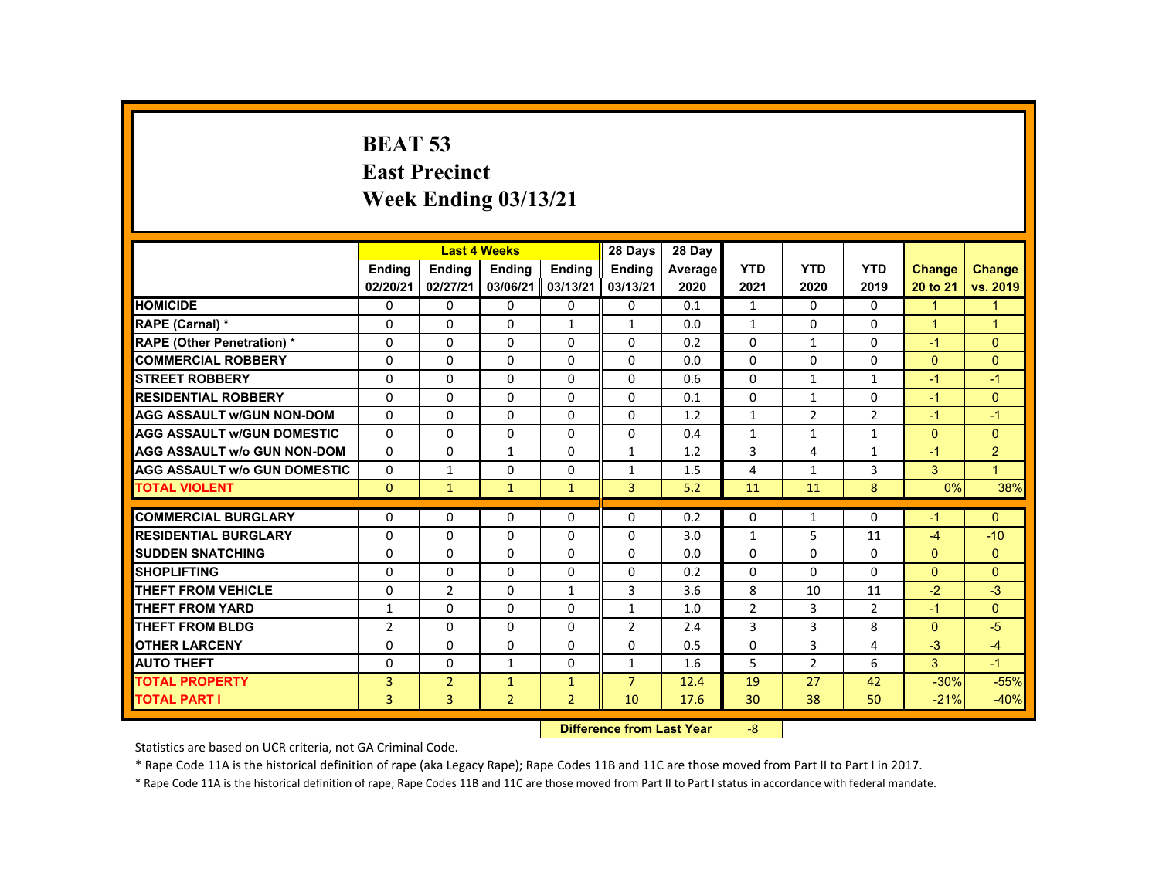# **BEAT 53 East Precinct Week Ending 03/13/21**

|                                     |                | <b>Last 4 Weeks</b> |                |                | 28 Days                           | 28 Day  |                |                |                |               |                |
|-------------------------------------|----------------|---------------------|----------------|----------------|-----------------------------------|---------|----------------|----------------|----------------|---------------|----------------|
|                                     | <b>Ending</b>  | <b>Ending</b>       | <b>Ending</b>  | <b>Ending</b>  | <b>Endina</b>                     | Average | <b>YTD</b>     | <b>YTD</b>     | <b>YTD</b>     | <b>Change</b> | <b>Change</b>  |
|                                     | 02/20/21       | 02/27/21            | 03/06/21       | 03/13/21       | 03/13/21                          | 2020    | 2021           | 2020           | 2019           | 20 to 21      | vs. 2019       |
| <b>HOMICIDE</b>                     | $\Omega$       | $\Omega$            | $\Omega$       | $\Omega$       | 0                                 | 0.1     | $\mathbf{1}$   | $\Omega$       | $\Omega$       | $\mathbf{1}$  | $\mathbf{1}$   |
| RAPE (Carnal) *                     | $\Omega$       | $\Omega$            | $\mathbf{0}$   | $\mathbf{1}$   | $\mathbf{1}$                      | 0.0     | $\mathbf{1}$   | $\Omega$       | $\Omega$       | $\mathbf{1}$  | $\mathbf{1}$   |
| <b>RAPE (Other Penetration) *</b>   | $\mathbf{0}$   | $\Omega$            | $\Omega$       | $\Omega$       | $\Omega$                          | 0.2     | 0              | $\mathbf{1}$   | $\Omega$       | $-1$          | $\Omega$       |
| <b>COMMERCIAL ROBBERY</b>           | $\Omega$       | $\Omega$            | $\Omega$       | $\Omega$       | $\Omega$                          | 0.0     | $\Omega$       | $\Omega$       | $\Omega$       | $\Omega$      | $\Omega$       |
| <b>STREET ROBBERY</b>               | $\Omega$       | $\Omega$            | $\Omega$       | $\Omega$       | $\Omega$                          | 0.6     | $\Omega$       | $\mathbf{1}$   | $\mathbf{1}$   | $-1$          | $-1$           |
| <b>RESIDENTIAL ROBBERY</b>          | 0              | $\mathbf{0}$        | $\Omega$       | $\mathbf{0}$   | 0                                 | 0.1     | 0              | 1              | 0              | $-1$          | $\overline{0}$ |
| <b>AGG ASSAULT W/GUN NON-DOM</b>    | $\Omega$       | $\Omega$            | $\Omega$       | $\Omega$       | $\Omega$                          | 1.2     | $\mathbf{1}$   | $\overline{2}$ | $\overline{2}$ | $-1$          | $-1$           |
| <b>AGG ASSAULT W/GUN DOMESTIC</b>   | $\Omega$       | $\Omega$            | $\Omega$       | $\Omega$       | $\Omega$                          | 0.4     | $\mathbf{1}$   | $\mathbf{1}$   | $\mathbf{1}$   | $\Omega$      | $\mathbf{0}$   |
| <b>AGG ASSAULT w/o GUN NON-DOM</b>  | $\Omega$       | $\Omega$            | $\mathbf{1}$   | $\Omega$       | $\mathbf{1}$                      | 1.2     | 3              | 4              | $\mathbf{1}$   | $-1$          | $\overline{2}$ |
| <b>AGG ASSAULT W/o GUN DOMESTIC</b> | $\Omega$       | $\mathbf{1}$        | $\Omega$       | $\Omega$       | $\mathbf{1}$                      | 1.5     | 4              | $\mathbf{1}$   | 3              | 3             | $\mathbf{1}$   |
| <b>TOTAL VIOLENT</b>                | $\Omega$       | $\mathbf{1}$        | $\mathbf{1}$   | $\mathbf{1}$   | $\overline{3}$                    | 5.2     | 11             | 11             | 8              | 0%            | 38%            |
| <b>COMMERCIAL BURGLARY</b>          | $\Omega$       | $\Omega$            | $\Omega$       | $\Omega$       | $\Omega$                          | 0.2     | $\Omega$       | $\mathbf{1}$   | $\Omega$       | $-1$          | $\Omega$       |
| <b>RESIDENTIAL BURGLARY</b>         | $\Omega$       | $\Omega$            | $\Omega$       | $\Omega$       | $\Omega$                          | 3.0     | $\mathbf{1}$   | 5              | 11             | $-4$          | $-10$          |
| <b>SUDDEN SNATCHING</b>             | $\mathbf{0}$   | $\mathbf{0}$        | $\Omega$       | $\mathbf{0}$   | $\Omega$                          | 0.0     | $\Omega$       | $\Omega$       | 0              | $\Omega$      | $\Omega$       |
| <b>SHOPLIFTING</b>                  | $\Omega$       | $\Omega$            | $\Omega$       | $\Omega$       | $\Omega$                          | 0.2     | $\Omega$       | $\Omega$       | $\Omega$       | $\Omega$      | $\Omega$       |
| <b>THEFT FROM VEHICLE</b>           | $\mathbf{0}$   | $\overline{2}$      | $\Omega$       | $\mathbf{1}$   | 3                                 | 3.6     | 8              | 10             | 11             | $-2$          | $-3$           |
| <b>THEFT FROM YARD</b>              | $\mathbf{1}$   | $\Omega$            | $\Omega$       | $\Omega$       | $\mathbf{1}$                      | 1.0     | $\overline{2}$ | 3              | $\overline{2}$ | $-1$          | $\Omega$       |
| <b>THEFT FROM BLDG</b>              | $\overline{2}$ | $\Omega$            | $\Omega$       | $\Omega$       | $\overline{2}$                    | 2.4     | 3              | 3              | 8              | $\Omega$      | $-5$           |
| <b>OTHER LARCENY</b>                | $\Omega$       | $\Omega$            | $\Omega$       | $\Omega$       | $\Omega$                          | 0.5     | $\Omega$       | $\overline{3}$ | 4              | $-3$          | $-4$           |
| <b>AUTO THEFT</b>                   | $\Omega$       | $\Omega$            | $\mathbf{1}$   | $\Omega$       | $\mathbf{1}$                      |         | 5              | $\overline{2}$ | 6              | 3             | $-1$           |
|                                     |                |                     |                |                | $\overline{7}$                    | 1.6     | 19             | 27             | 42             | $-30%$        |                |
| <b>TOTAL PROPERTY</b>               | $\overline{3}$ | $\overline{2}$      | $\mathbf{1}$   | $\mathbf{1}$   |                                   | 12.4    |                |                |                |               | $-55%$         |
| <b>TOTAL PART I</b>                 | 3              | 3                   | $\overline{2}$ | $\overline{2}$ | 10                                | 17.6    | 30             | 38             | 50             | $-21%$        | $-40%$         |
|                                     |                |                     |                |                | <b>Difference from Least Vaca</b> |         | $\Omega$       |                |                |               |                |

 **Difference from Last Year**‐8

Statistics are based on UCR criteria, not GA Criminal Code.

\* Rape Code 11A is the historical definition of rape (aka Legacy Rape); Rape Codes 11B and 11C are those moved from Part II to Part I in 2017.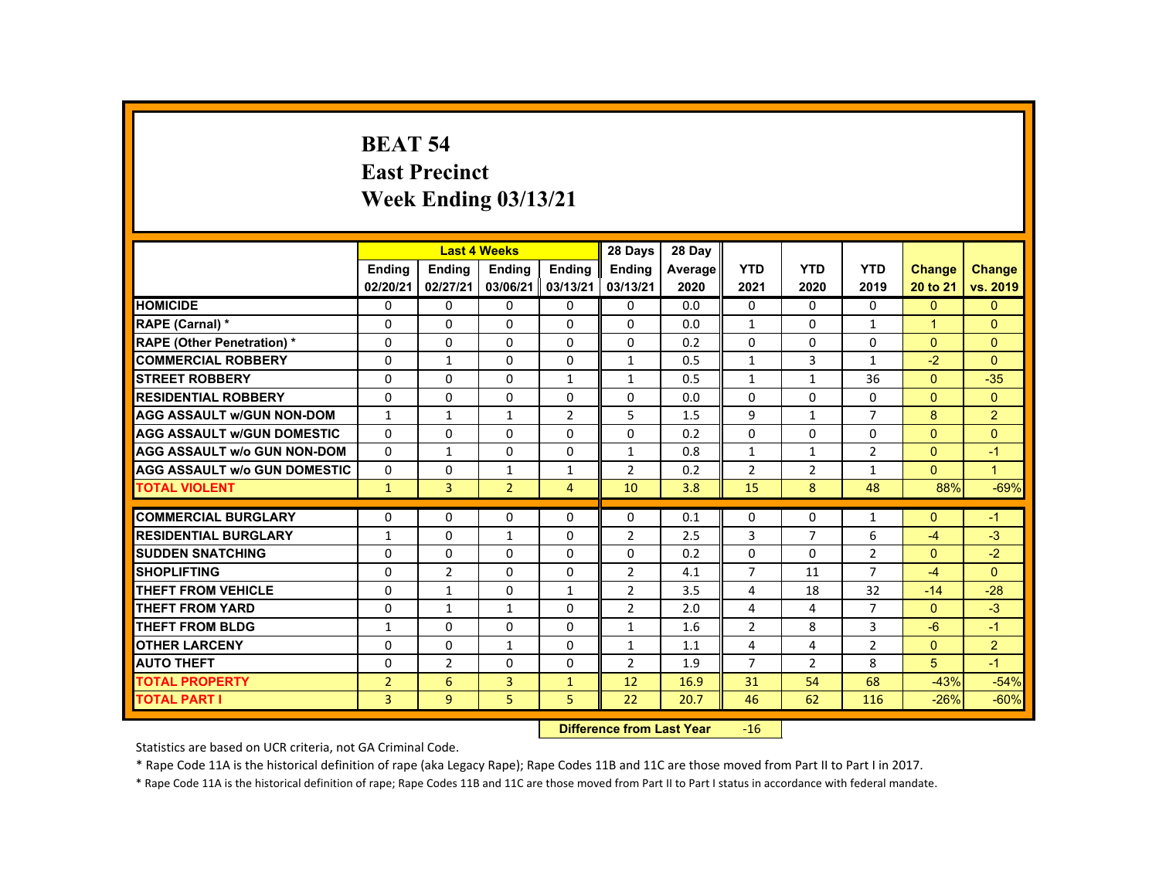### **BEAT 54 East Precinct Week Ending 03/13/21**

|                                     |                           |                           | <b>Last 4 Weeks</b>       |                    | 28 Days            | 28 Day          |                    |                    |                    |                           |                           |
|-------------------------------------|---------------------------|---------------------------|---------------------------|--------------------|--------------------|-----------------|--------------------|--------------------|--------------------|---------------------------|---------------------------|
|                                     | <b>Endina</b><br>02/20/21 | <b>Endina</b><br>02/27/21 | <b>Endina</b><br>03/06/21 | Ending<br>03/13/21 | Ending<br>03/13/21 | Average<br>2020 | <b>YTD</b><br>2021 | <b>YTD</b><br>2020 | <b>YTD</b><br>2019 | <b>Change</b><br>20 to 21 | <b>Change</b><br>vs. 2019 |
| <b>HOMICIDE</b>                     | 0                         | 0                         | 0                         | 0                  | 0                  | 0.0             | 0                  | $\mathbf{0}$       | $\mathbf{0}$       | $\mathbf{0}$              | $\mathbf{0}$              |
| RAPE (Carnal) *                     | 0                         | 0                         | 0                         | $\Omega$           | 0                  | 0.0             | $\mathbf{1}$       | 0                  | $\mathbf{1}$       | 1                         | $\Omega$                  |
| <b>RAPE (Other Penetration) *</b>   | $\Omega$                  | $\Omega$                  | $\Omega$                  | $\Omega$           | $\Omega$           | 0.2             | $\Omega$           | $\Omega$           | $\Omega$           | $\Omega$                  | $\Omega$                  |
| <b>COMMERCIAL ROBBERY</b>           | $\Omega$                  | $\mathbf{1}$              | 0                         | $\Omega$           | $\mathbf{1}$       | 0.5             | $\mathbf{1}$       | 3                  | $\mathbf{1}$       | $-2$                      | $\Omega$                  |
| <b>STREET ROBBERY</b>               | $\Omega$                  | $\Omega$                  | $\Omega$                  | $\mathbf{1}$       | $\mathbf{1}$       | 0.5             | $\mathbf{1}$       | $\mathbf{1}$       | 36                 | $\Omega$                  | $-35$                     |
| <b>RESIDENTIAL ROBBERY</b>          | $\Omega$                  | $\Omega$                  | $\Omega$                  | $\Omega$           | $\Omega$           | 0.0             | $\Omega$           | $\Omega$           | $\Omega$           | $\Omega$                  | $\Omega$                  |
| <b>AGG ASSAULT w/GUN NON-DOM</b>    | $\mathbf{1}$              | $\mathbf{1}$              | $\mathbf{1}$              | $\overline{2}$     | 5                  | 1.5             | 9                  | $\mathbf{1}$       | $\overline{7}$     | 8                         | $\overline{2}$            |
| <b>AGG ASSAULT W/GUN DOMESTIC</b>   | $\Omega$                  | $\Omega$                  | $\Omega$                  | $\Omega$           | $\Omega$           | 0.2             | $\Omega$           | $\Omega$           | $\Omega$           | $\Omega$                  | $\Omega$                  |
| <b>AGG ASSAULT w/o GUN NON-DOM</b>  | $\Omega$                  | $\mathbf{1}$              | $\Omega$                  | $\Omega$           | $\mathbf{1}$       | 0.8             | $\mathbf{1}$       | $\mathbf{1}$       | $\overline{2}$     | $\Omega$                  | $-1$                      |
| <b>AGG ASSAULT W/o GUN DOMESTIC</b> | $\Omega$                  | $\Omega$                  | $\mathbf{1}$              | $\mathbf{1}$       | $\overline{2}$     | 0.2             | $\overline{2}$     | 2                  | $\mathbf{1}$       | $\Omega$                  | $\blacktriangleleft$      |
| <b>TOTAL VIOLENT</b>                | $\mathbf{1}$              | 3                         | $\overline{2}$            | $\overline{4}$     | 10                 | 3.8             | 15                 | 8                  | 48                 | 88%                       | $-69%$                    |
|                                     |                           |                           |                           |                    |                    |                 |                    |                    |                    |                           |                           |
| <b>COMMERCIAL BURGLARY</b>          | $\Omega$                  | $\Omega$                  | $\Omega$                  | $\Omega$           | $\Omega$           | 0.1             | $\Omega$           | $\Omega$           | $\mathbf{1}$       | $\Omega$                  | $-1$                      |
| <b>RESIDENTIAL BURGLARY</b>         | $\mathbf{1}$              | $\Omega$                  | $\mathbf{1}$              | $\Omega$           | $\overline{2}$     | 2.5             | 3                  | $\overline{7}$     | 6                  | $-4$                      | $-3$                      |
| <b>SUDDEN SNATCHING</b>             | $\Omega$                  | 0                         | $\Omega$                  | 0                  | 0                  | 0.2             | 0                  | 0                  | $\overline{2}$     | $\mathbf{0}$              | $-2$                      |
| <b>SHOPLIFTING</b>                  | $\Omega$                  | $\overline{2}$            | $\Omega$                  | $\Omega$           | $\overline{2}$     | 4.1             | $\overline{7}$     | 11                 | $\overline{7}$     | $-4$                      | $\Omega$                  |
| <b>THEFT FROM VEHICLE</b>           | $\Omega$                  | $\mathbf{1}$              | $\Omega$                  | $\mathbf{1}$       | $\overline{2}$     | 3.5             | 4                  | 18                 | 32                 | $-14$                     | $-28$                     |
| <b>THEFT FROM YARD</b>              | $\Omega$                  | $\mathbf{1}$              | $\mathbf{1}$              | $\Omega$           | $\overline{2}$     | 2.0             | 4                  | 4                  | $\overline{7}$     | $\Omega$                  | $-3$                      |
| <b>THEFT FROM BLDG</b>              | $\mathbf{1}$              | $\Omega$                  | $\Omega$                  | $\Omega$           | $\mathbf{1}$       | 1.6             | $\overline{2}$     | 8                  | 3                  | $-6$                      | $-1$                      |
| <b>OTHER LARCENY</b>                | $\Omega$                  | $\Omega$                  | $\mathbf{1}$              | $\Omega$           | $\mathbf{1}$       | 1.1             | 4                  | 4                  | $\overline{2}$     | $\Omega$                  | $\overline{2}$            |
| <b>AUTO THEFT</b>                   | $\Omega$                  | $\overline{2}$            | $\Omega$                  | $\Omega$           | 2                  | 1.9             | $\overline{7}$     | 2                  | 8                  | $5\overline{)}$           | $-1$                      |
| <b>TOTAL PROPERTY</b>               | $\overline{2}$            | 6                         | $\overline{3}$            | $\mathbf{1}$       | 12                 | 16.9            | 31                 | 54                 | 68                 | $-43%$                    | $-54%$                    |
| <b>TOTAL PART I</b>                 | $\overline{3}$            | 9                         | 5                         | 5                  | 22                 | 20.7            | 46                 | 62                 | 116                | $-26%$                    | $-60%$                    |
|                                     | <b>Publication</b>        | a a a dheann 1 anns Mainn |                           | $\sim$             |                    |                 |                    |                    |                    |                           |                           |

 **Difference from Last Year**r -16

Statistics are based on UCR criteria, not GA Criminal Code.

\* Rape Code 11A is the historical definition of rape (aka Legacy Rape); Rape Codes 11B and 11C are those moved from Part II to Part I in 2017.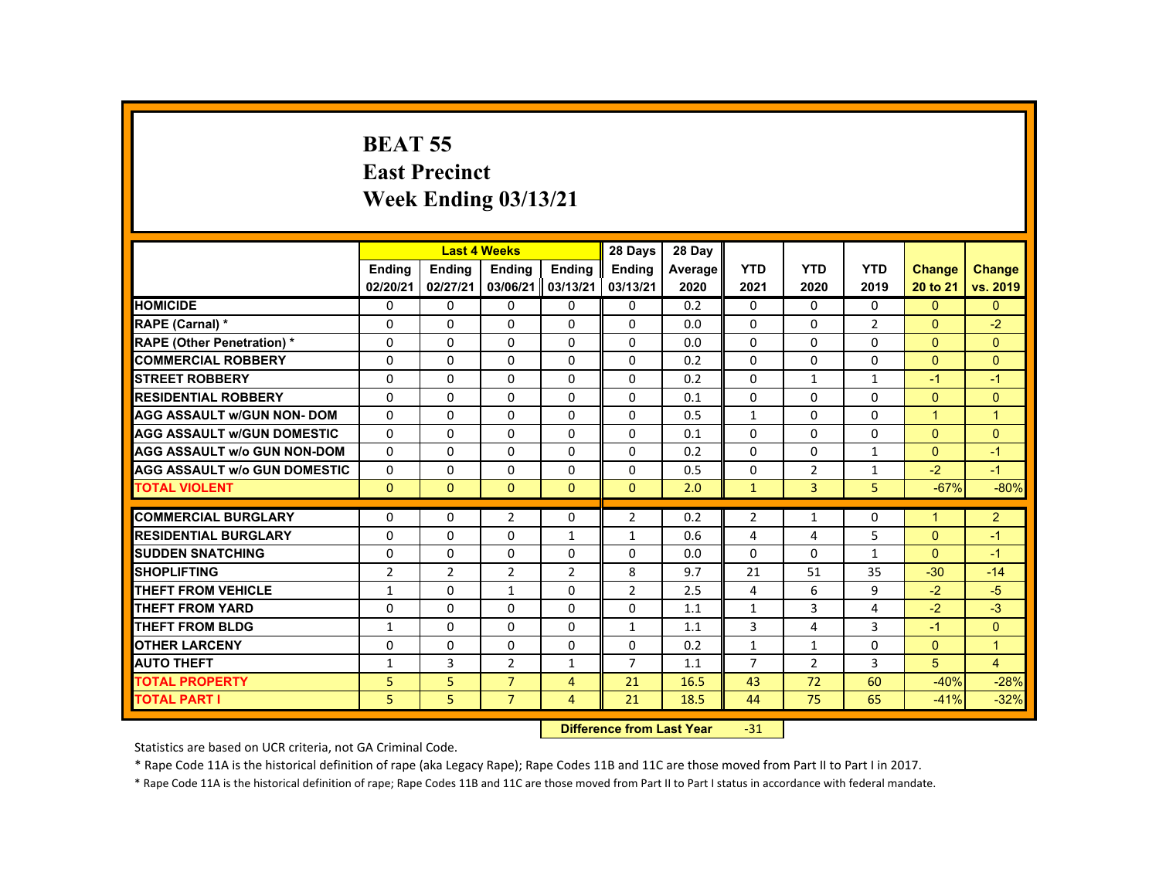# **BEAT 55 East Precinct Week Ending 03/13/21**

|                                     |                |                | <b>Last 4 Weeks</b> |                  | 28 Days                                                                                                                                                                                                                        | 28 Day  |                |                |                |               |                |
|-------------------------------------|----------------|----------------|---------------------|------------------|--------------------------------------------------------------------------------------------------------------------------------------------------------------------------------------------------------------------------------|---------|----------------|----------------|----------------|---------------|----------------|
|                                     | <b>Endina</b>  | Ending         | <b>Endina</b>       | <b>Endina</b>    | <b>Endina</b>                                                                                                                                                                                                                  | Average | <b>YTD</b>     | <b>YTD</b>     | <b>YTD</b>     | <b>Change</b> | <b>Change</b>  |
|                                     | 02/20/21       | 02/27/21       | 03/06/21            | 03/13/21         | 03/13/21                                                                                                                                                                                                                       | 2020    | 2021           | 2020           | 2019           | 20 to 21      | vs. 2019       |
| <b>HOMICIDE</b>                     | $\Omega$       | $\Omega$       | $\Omega$            | $\Omega$         | 0                                                                                                                                                                                                                              | 0.2     | 0              | $\Omega$       | $\Omega$       | $\Omega$      | $\mathbf{0}$   |
| RAPE (Carnal) *                     | $\Omega$       | $\Omega$       | 0                   | $\Omega$         | 0                                                                                                                                                                                                                              | 0.0     | 0              | 0              | $\overline{2}$ | $\mathbf{0}$  | $-2$           |
| <b>RAPE (Other Penetration) *</b>   | $\Omega$       | $\Omega$       | $\Omega$            | $\Omega$         | $\Omega$                                                                                                                                                                                                                       | 0.0     | $\Omega$       | 0              | $\Omega$       | $\Omega$      | $\Omega$       |
| <b>COMMERCIAL ROBBERY</b>           | $\Omega$       | $\Omega$       | $\Omega$            | $\Omega$         | $\Omega$                                                                                                                                                                                                                       | 0.2     | $\Omega$       | $\Omega$       | $\Omega$       | $\Omega$      | $\Omega$       |
| <b>STREET ROBBERY</b>               | $\Omega$       | $\Omega$       | $\Omega$            | $\Omega$         | $\Omega$                                                                                                                                                                                                                       | 0.2     | $\Omega$       | $\mathbf{1}$   | $\mathbf{1}$   | $-1$          | $-1$           |
| <b>RESIDENTIAL ROBBERY</b>          | $\Omega$       | $\Omega$       | $\Omega$            | $\Omega$         | $\Omega$                                                                                                                                                                                                                       | 0.1     | $\Omega$       | $\Omega$       | $\Omega$       | $\Omega$      | $\Omega$       |
| <b>AGG ASSAULT w/GUN NON-DOM</b>    | $\mathbf{0}$   | $\Omega$       | $\Omega$            | $\Omega$         | $\Omega$                                                                                                                                                                                                                       | 0.5     | $\mathbf{1}$   | $\Omega$       | $\Omega$       | $\mathbf{1}$  | $\overline{1}$ |
| <b>AGG ASSAULT w/GUN DOMESTIC</b>   | $\Omega$       | $\Omega$       | $\Omega$            | $\Omega$         | $\Omega$                                                                                                                                                                                                                       | 0.1     | $\Omega$       | $\Omega$       | $\Omega$       | $\Omega$      | $\Omega$       |
| <b>AGG ASSAULT w/o GUN NON-DOM</b>  | $\Omega$       | $\Omega$       | $\Omega$            | $\Omega$         | $\Omega$                                                                                                                                                                                                                       | 0.2     | $\Omega$       | $\Omega$       | $\mathbf{1}$   | $\Omega$      | $-1$           |
| <b>AGG ASSAULT w/o GUN DOMESTIC</b> | $\Omega$       | $\Omega$       | $\Omega$            | $\Omega$         | $\Omega$                                                                                                                                                                                                                       | 0.5     | $\Omega$       | $\overline{2}$ | $\mathbf{1}$   | $-2$          | $-1$           |
| <b>TOTAL VIOLENT</b>                | $\mathbf{0}$   | $\Omega$       | $\Omega$            | $\mathbf{0}$     | $\mathbf{0}$                                                                                                                                                                                                                   | 2.0     | $\mathbf{1}$   | 3              | 5              | $-67%$        | $-80%$         |
| <b>COMMERCIAL BURGLARY</b>          | $\Omega$       | $\Omega$       | $\overline{2}$      | $\Omega$         | $\overline{2}$                                                                                                                                                                                                                 | 0.2     | $\overline{2}$ | $\mathbf{1}$   | 0              | $\mathbf{1}$  | 2              |
| <b>RESIDENTIAL BURGLARY</b>         | $\Omega$       | $\Omega$       | $\Omega$            | $\mathbf{1}$     | $\mathbf{1}$                                                                                                                                                                                                                   | 0.6     | 4              | 4              | 5              | $\Omega$      | $-1$           |
| <b>SUDDEN SNATCHING</b>             | 0              | $\mathbf{0}$   | $\mathbf{0}$        | 0                | 0                                                                                                                                                                                                                              | 0.0     | 0              | 0              | $\mathbf{1}$   | $\Omega$      | $-1$           |
| <b>SHOPLIFTING</b>                  | $\overline{2}$ | $\overline{2}$ | 2                   | $\overline{2}$   | 8                                                                                                                                                                                                                              | 9.7     | 21             | 51             | 35             | $-30$         | $-14$          |
| <b>THEFT FROM VEHICLE</b>           | $\mathbf{1}$   | $\Omega$       | $\mathbf{1}$        | 0                | $\overline{2}$                                                                                                                                                                                                                 | 2.5     | 4              | 6              | 9              | $-2$          | $-5$           |
| <b>THEFT FROM YARD</b>              | $\Omega$       | $\Omega$       | $\Omega$            | $\Omega$         | $\Omega$                                                                                                                                                                                                                       | 1.1     | $\mathbf{1}$   | 3              | $\overline{4}$ | $-2$          | $-3$           |
| <b>THEFT FROM BLDG</b>              |                | $\Omega$       | $\Omega$            |                  |                                                                                                                                                                                                                                |         | $\overline{3}$ |                | $\overline{3}$ | $-1$          | $\Omega$       |
|                                     | $\mathbf{1}$   |                |                     | $\Omega$         | $\mathbf{1}$                                                                                                                                                                                                                   | 1.1     |                | 4              |                |               |                |
| <b>OTHER LARCENY</b>                | $\Omega$       | $\mathbf{0}$   | $\mathbf{0}$        | $\mathbf{0}$     | $\Omega$                                                                                                                                                                                                                       | 0.2     | $\mathbf{1}$   | $\mathbf{1}$   | 0              | $\Omega$      | $\overline{1}$ |
| <b>AUTO THEFT</b>                   | $\mathbf{1}$   | $\overline{3}$ | 2                   | $\mathbf{1}$     | $\overline{7}$                                                                                                                                                                                                                 | 1.1     | $\overline{7}$ | 2              | 3              | 5             | $\overline{4}$ |
| <b>TOTAL PROPERTY</b>               | 5              | 5              | $\overline{7}$      | $\overline{4}$   | 21                                                                                                                                                                                                                             | 16.5    | 43             | 72             | 60             | $-40%$        | $-28%$         |
| <b>TOTAL PART I</b>                 | 5              | 5              | $\overline{7}$      | 4                | 21                                                                                                                                                                                                                             | 18.5    | 44             | 75             | 65             | $-41%$        | $-32%$         |
|                                     |                |                |                     | <b>CALLED AT</b> | and the second control of the second second the second second second second second second second second second second second second second second second second second second second second second second second second second |         | $\sim$ $\sim$  |                |                |               |                |

 **Difference from Last Year**‐31

Statistics are based on UCR criteria, not GA Criminal Code.

\* Rape Code 11A is the historical definition of rape (aka Legacy Rape); Rape Codes 11B and 11C are those moved from Part II to Part I in 2017.